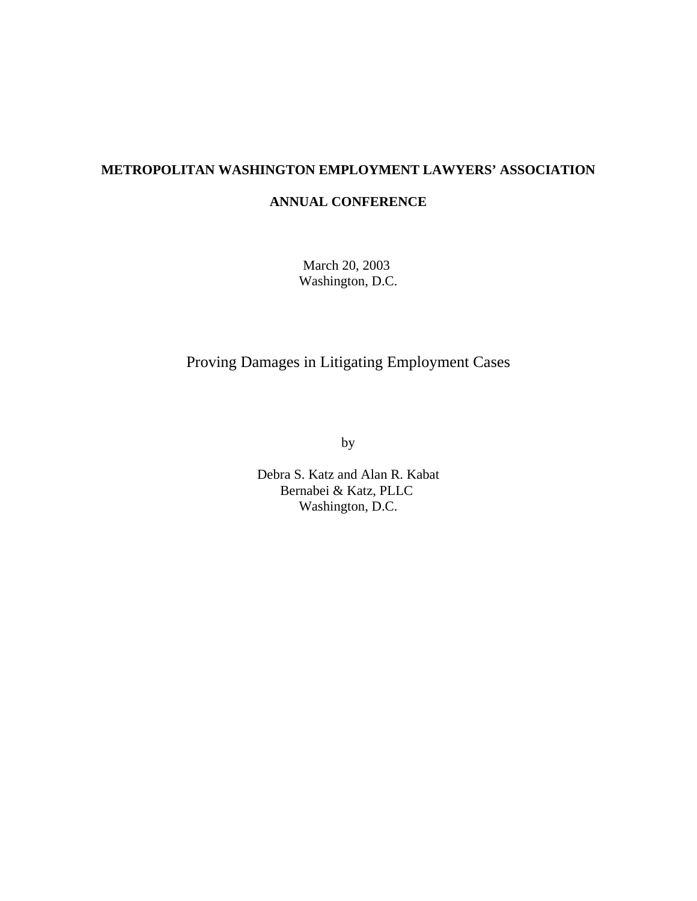# **METROPOLITAN WASHINGTON EMPLOYMENT LAWYERS' ASSOCIATION**

### **ANNUAL CONFERENCE**

March 20, 2003 Washington, D.C.

# Proving Damages in Litigating Employment Cases

by

Debra S. Katz and Alan R. Kabat Bernabei & Katz, PLLC Washington, D.C.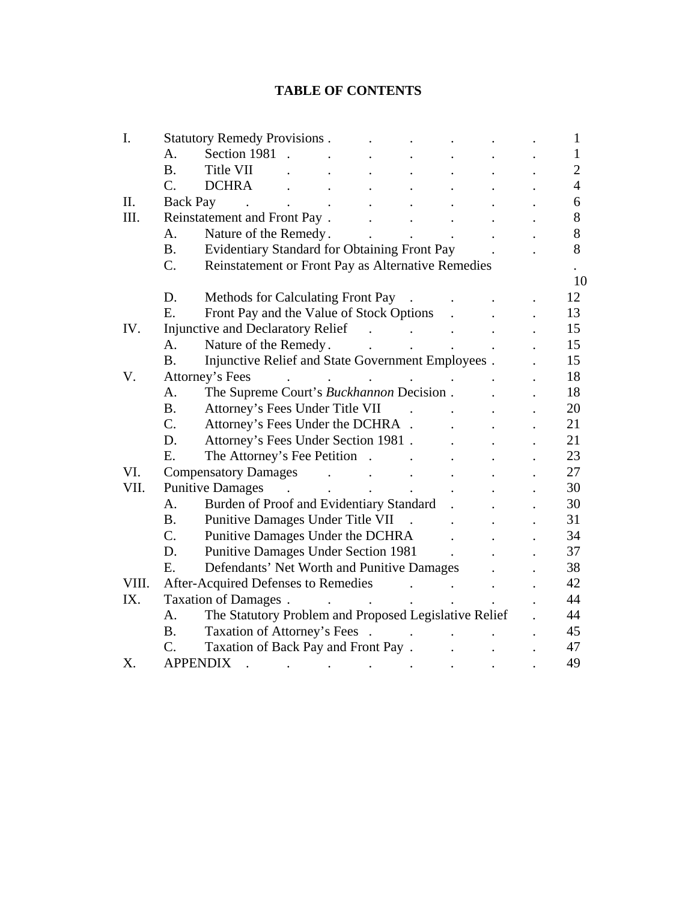# **TABLE OF CONTENTS**

| I.    | <b>Statutory Remedy Provisions.</b>                            |                                                       |        |  |              |                      |                      |  |    | $\mathbf{1}$   |
|-------|----------------------------------------------------------------|-------------------------------------------------------|--------|--|--------------|----------------------|----------------------|--|----|----------------|
|       | A.                                                             | Section 1981                                          |        |  |              |                      |                      |  |    | $\mathbf{1}$   |
|       | <b>B.</b>                                                      | Title VII                                             |        |  |              |                      |                      |  |    | $\overline{2}$ |
|       | C.                                                             | <b>DCHRA</b>                                          |        |  |              |                      |                      |  |    | $\overline{4}$ |
| II.   | Back Pay                                                       |                                                       |        |  |              |                      |                      |  |    | 6              |
| III.  | Reinstatement and Front Pay.                                   |                                                       |        |  |              |                      |                      |  | 8  |                |
|       | A.                                                             | Nature of the Remedy.                                 |        |  |              |                      | $\ddot{\phantom{a}}$ |  |    | 8              |
|       | <b>B.</b>                                                      | Evidentiary Standard for Obtaining Front Pay          |        |  |              |                      |                      |  |    | 8              |
|       | C.                                                             | Reinstatement or Front Pay as Alternative Remedies    |        |  |              |                      |                      |  |    |                |
|       | 10                                                             |                                                       |        |  |              |                      |                      |  |    |                |
|       | D.                                                             | <b>Methods for Calculating Front Pay</b>              |        |  |              |                      |                      |  |    | 12             |
|       | Ε.                                                             | Front Pay and the Value of Stock Options              |        |  |              |                      |                      |  |    | 13             |
| IV.   | <b>Injunctive and Declaratory Relief</b>                       |                                                       |        |  |              |                      |                      |  |    | 15             |
|       | A.                                                             | Nature of the Remedy.                                 |        |  |              | $\ddot{\phantom{a}}$ | $\ddot{\phantom{a}}$ |  |    | 15             |
|       | Injunctive Relief and State Government Employees.<br><b>B.</b> |                                                       |        |  |              |                      |                      |  |    | 15             |
| V.    | Attorney's Fees                                                |                                                       |        |  |              |                      |                      |  |    | 18             |
|       | A.                                                             | The Supreme Court's Buckhannon Decision.              |        |  |              |                      |                      |  |    | 18             |
|       | <b>B.</b>                                                      | Attorney's Fees Under Title VII                       |        |  |              |                      |                      |  |    | 20             |
|       | $C$ .                                                          | Attorney's Fees Under the DCHRA .                     |        |  |              |                      |                      |  |    | 21             |
|       | D.                                                             | Attorney's Fees Under Section 1981.                   |        |  |              |                      |                      |  | 21 |                |
|       | E.                                                             | The Attorney's Fee Petition                           |        |  |              |                      |                      |  |    | 23             |
| VI.   |                                                                | <b>Compensatory Damages</b>                           |        |  |              |                      |                      |  |    | 27             |
| VII.  |                                                                | <b>Punitive Damages</b>                               | $\sim$ |  | $\mathbf{r}$ |                      |                      |  |    | 30             |
|       | A.                                                             | Burden of Proof and Evidentiary Standard              |        |  |              |                      |                      |  |    | 30             |
|       | <b>B.</b>                                                      | Punitive Damages Under Title VII                      |        |  |              |                      |                      |  |    | 31             |
|       | $C$ .                                                          | Punitive Damages Under the DCHRA                      |        |  |              |                      |                      |  |    | 34             |
|       | D.                                                             | <b>Punitive Damages Under Section 1981</b>            |        |  |              |                      |                      |  |    | 37             |
|       | Ε.                                                             | Defendants' Net Worth and Punitive Damages            |        |  |              |                      |                      |  |    | 38             |
| VIII. |                                                                | After-Acquired Defenses to Remedies                   |        |  |              |                      |                      |  |    | 42             |
| IX.   | Taxation of Damages.                                           |                                                       |        |  |              |                      |                      |  | 44 |                |
|       | A.                                                             | The Statutory Problem and Proposed Legislative Relief |        |  |              |                      |                      |  |    | 44             |
|       | <b>B.</b>                                                      | Taxation of Attorney's Fees.                          |        |  |              |                      |                      |  |    | 45             |
|       | $C$ .                                                          | Taxation of Back Pay and Front Pay.                   |        |  |              |                      |                      |  |    | 47             |
| X.    |                                                                | <b>APPENDIX</b>                                       |        |  |              |                      |                      |  |    | 49             |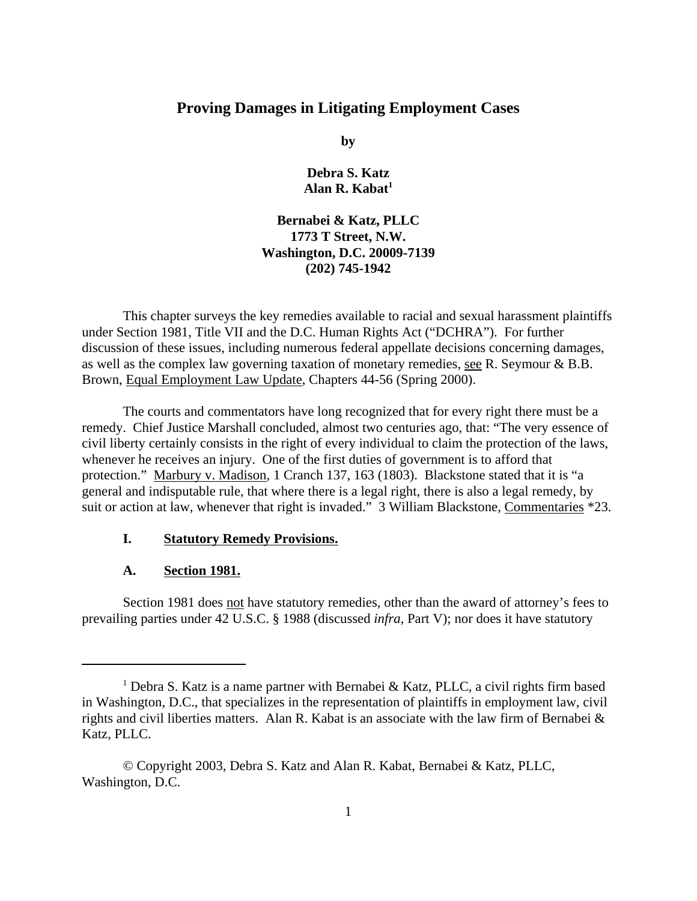# **Proving Damages in Litigating Employment Cases**

**by**

**Debra S. Katz Alan R. Kabat1**

## **Bernabei & Katz, PLLC 1773 T Street, N.W. Washington, D.C. 20009-7139 (202) 745-1942**

This chapter surveys the key remedies available to racial and sexual harassment plaintiffs under Section 1981, Title VII and the D.C. Human Rights Act ("DCHRA"). For further discussion of these issues, including numerous federal appellate decisions concerning damages, as well as the complex law governing taxation of monetary remedies, see R. Seymour & B.B. Brown, Equal Employment Law Update, Chapters 44-56 (Spring 2000).

The courts and commentators have long recognized that for every right there must be a remedy. Chief Justice Marshall concluded, almost two centuries ago, that: "The very essence of civil liberty certainly consists in the right of every individual to claim the protection of the laws, whenever he receives an injury. One of the first duties of government is to afford that protection." Marbury v. Madison, 1 Cranch 137, 163 (1803). Blackstone stated that it is "a general and indisputable rule, that where there is a legal right, there is also a legal remedy, by suit or action at law, whenever that right is invaded." 3 William Blackstone, Commentaries \*23.

### **I. Statutory Remedy Provisions.**

#### **A. Section 1981.**

Section 1981 does not have statutory remedies, other than the award of attorney's fees to prevailing parties under 42 U.S.C. § 1988 (discussed *infra*, Part V); nor does it have statutory

<sup>&</sup>lt;sup>1</sup> Debra S. Katz is a name partner with Bernabei & Katz, PLLC, a civil rights firm based in Washington, D.C., that specializes in the representation of plaintiffs in employment law, civil rights and civil liberties matters. Alan R. Kabat is an associate with the law firm of Bernabei & Katz, PLLC.

<sup>©</sup> Copyright 2003, Debra S. Katz and Alan R. Kabat, Bernabei & Katz, PLLC, Washington, D.C.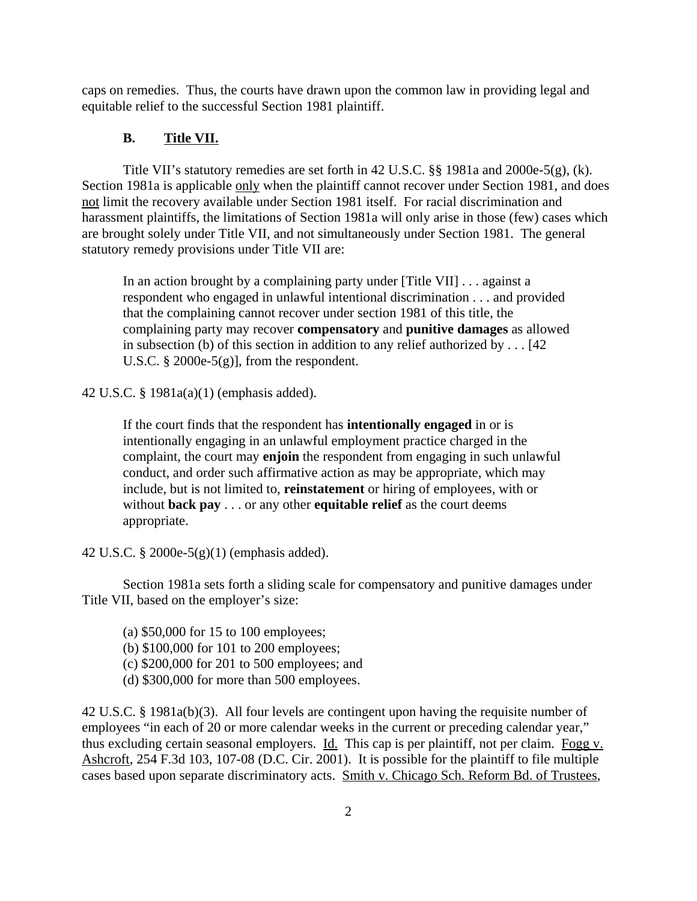caps on remedies. Thus, the courts have drawn upon the common law in providing legal and equitable relief to the successful Section 1981 plaintiff.

# **B. Title VII.**

Title VII's statutory remedies are set forth in 42 U.S.C. §§ 1981a and 2000e-5(g), (k). Section 1981a is applicable only when the plaintiff cannot recover under Section 1981, and does not limit the recovery available under Section 1981 itself. For racial discrimination and harassment plaintiffs, the limitations of Section 1981a will only arise in those (few) cases which are brought solely under Title VII, and not simultaneously under Section 1981. The general statutory remedy provisions under Title VII are:

In an action brought by a complaining party under [Title VII] . . . against a respondent who engaged in unlawful intentional discrimination . . . and provided that the complaining cannot recover under section 1981 of this title, the complaining party may recover **compensatory** and **punitive damages** as allowed in subsection (b) of this section in addition to any relief authorized by . . . [42 U.S.C.  $\S 2000e-5(g)$ , from the respondent.

42 U.S.C. § 1981a(a)(1) (emphasis added).

If the court finds that the respondent has **intentionally engaged** in or is intentionally engaging in an unlawful employment practice charged in the complaint, the court may **enjoin** the respondent from engaging in such unlawful conduct, and order such affirmative action as may be appropriate, which may include, but is not limited to, **reinstatement** or hiring of employees, with or without **back pay** . . . or any other **equitable relief** as the court deems appropriate.

42 U.S.C. § 2000e-5(g)(1) (emphasis added).

Section 1981a sets forth a sliding scale for compensatory and punitive damages under Title VII, based on the employer's size:

(a) \$50,000 for 15 to 100 employees;

- (b) \$100,000 for 101 to 200 employees;
- (c) \$200,000 for 201 to 500 employees; and
- (d) \$300,000 for more than 500 employees.

42 U.S.C. § 1981a(b)(3). All four levels are contingent upon having the requisite number of employees "in each of 20 or more calendar weeks in the current or preceding calendar year," thus excluding certain seasonal employers. Id. This cap is per plaintiff, not per claim. Fogg v. Ashcroft, 254 F.3d 103, 107-08 (D.C. Cir. 2001). It is possible for the plaintiff to file multiple cases based upon separate discriminatory acts. Smith v. Chicago Sch. Reform Bd. of Trustees,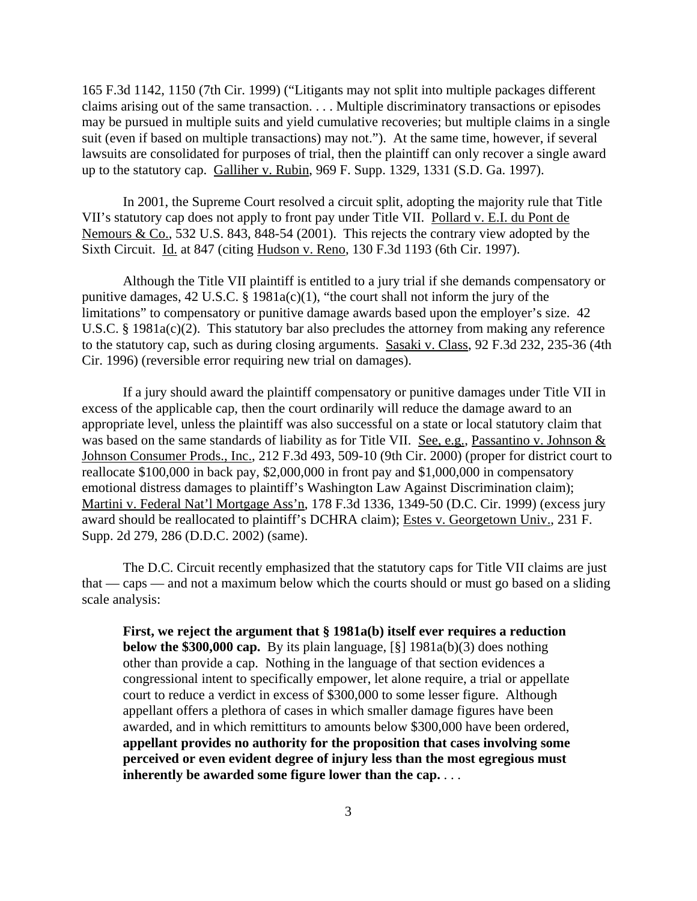165 F.3d 1142, 1150 (7th Cir. 1999) ("Litigants may not split into multiple packages different claims arising out of the same transaction. . . . Multiple discriminatory transactions or episodes may be pursued in multiple suits and yield cumulative recoveries; but multiple claims in a single suit (even if based on multiple transactions) may not."). At the same time, however, if several lawsuits are consolidated for purposes of trial, then the plaintiff can only recover a single award up to the statutory cap. Galliher v. Rubin, 969 F. Supp. 1329, 1331 (S.D. Ga. 1997).

In 2001, the Supreme Court resolved a circuit split, adopting the majority rule that Title VII's statutory cap does not apply to front pay under Title VII. Pollard v. E.I. du Pont de Nemours & Co., 532 U.S. 843, 848-54 (2001). This rejects the contrary view adopted by the Sixth Circuit. Id. at 847 (citing Hudson v. Reno, 130 F.3d 1193 (6th Cir. 1997).

Although the Title VII plaintiff is entitled to a jury trial if she demands compensatory or punitive damages, 42 U.S.C. § 1981a(c)(1), "the court shall not inform the jury of the limitations" to compensatory or punitive damage awards based upon the employer's size. 42 U.S.C. § 1981a(c)(2). This statutory bar also precludes the attorney from making any reference to the statutory cap, such as during closing arguments. Sasaki v. Class, 92 F.3d 232, 235-36 (4th Cir. 1996) (reversible error requiring new trial on damages).

If a jury should award the plaintiff compensatory or punitive damages under Title VII in excess of the applicable cap, then the court ordinarily will reduce the damage award to an appropriate level, unless the plaintiff was also successful on a state or local statutory claim that was based on the same standards of liability as for Title VII. See, e.g., Passantino v. Johnson & Johnson Consumer Prods., Inc., 212 F.3d 493, 509-10 (9th Cir. 2000) (proper for district court to reallocate \$100,000 in back pay, \$2,000,000 in front pay and \$1,000,000 in compensatory emotional distress damages to plaintiff's Washington Law Against Discrimination claim); Martini v. Federal Nat'l Mortgage Ass'n, 178 F.3d 1336, 1349-50 (D.C. Cir. 1999) (excess jury award should be reallocated to plaintiff's DCHRA claim); Estes v. Georgetown Univ., 231 F. Supp. 2d 279, 286 (D.D.C. 2002) (same).

The D.C. Circuit recently emphasized that the statutory caps for Title VII claims are just that — caps — and not a maximum below which the courts should or must go based on a sliding scale analysis:

**First, we reject the argument that § 1981a(b) itself ever requires a reduction below the \$300,000 cap.** By its plain language, [§] 1981a(b)(3) does nothing other than provide a cap. Nothing in the language of that section evidences a congressional intent to specifically empower, let alone require, a trial or appellate court to reduce a verdict in excess of \$300,000 to some lesser figure. Although appellant offers a plethora of cases in which smaller damage figures have been awarded, and in which remittiturs to amounts below \$300,000 have been ordered, **appellant provides no authority for the proposition that cases involving some perceived or even evident degree of injury less than the most egregious must inherently be awarded some figure lower than the cap.** . . .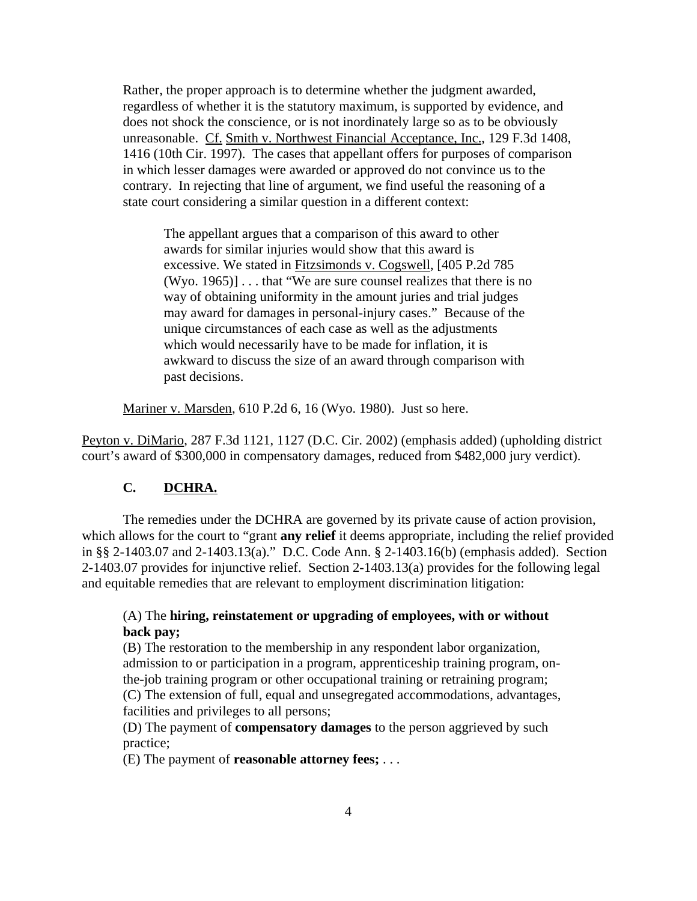Rather, the proper approach is to determine whether the judgment awarded, regardless of whether it is the statutory maximum, is supported by evidence, and does not shock the conscience, or is not inordinately large so as to be obviously unreasonable. Cf. Smith v. Northwest Financial Acceptance, Inc., 129 F.3d 1408, 1416 (10th Cir. 1997). The cases that appellant offers for purposes of comparison in which lesser damages were awarded or approved do not convince us to the contrary. In rejecting that line of argument, we find useful the reasoning of a state court considering a similar question in a different context:

The appellant argues that a comparison of this award to other awards for similar injuries would show that this award is excessive. We stated in Fitzsimonds v. Cogswell, [405 P.2d 785 (Wyo. 1965)] . . . that "We are sure counsel realizes that there is no way of obtaining uniformity in the amount juries and trial judges may award for damages in personal-injury cases." Because of the unique circumstances of each case as well as the adjustments which would necessarily have to be made for inflation, it is awkward to discuss the size of an award through comparison with past decisions.

Mariner v. Marsden, 610 P.2d 6, 16 (Wyo. 1980). Just so here.

Peyton v. DiMario, 287 F.3d 1121, 1127 (D.C. Cir. 2002) (emphasis added) (upholding district court's award of \$300,000 in compensatory damages, reduced from \$482,000 jury verdict).

### **C. DCHRA.**

The remedies under the DCHRA are governed by its private cause of action provision, which allows for the court to "grant **any relief** it deems appropriate, including the relief provided in §§ 2-1403.07 and 2-1403.13(a)." D.C. Code Ann. § 2-1403.16(b) (emphasis added). Section 2-1403.07 provides for injunctive relief. Section 2-1403.13(a) provides for the following legal and equitable remedies that are relevant to employment discrimination litigation:

### (A) The **hiring, reinstatement or upgrading of employees, with or without back pay;**

(B) The restoration to the membership in any respondent labor organization, admission to or participation in a program, apprenticeship training program, onthe-job training program or other occupational training or retraining program; (C) The extension of full, equal and unsegregated accommodations, advantages, facilities and privileges to all persons;

(D) The payment of **compensatory damages** to the person aggrieved by such practice;

(E) The payment of **reasonable attorney fees;** . . .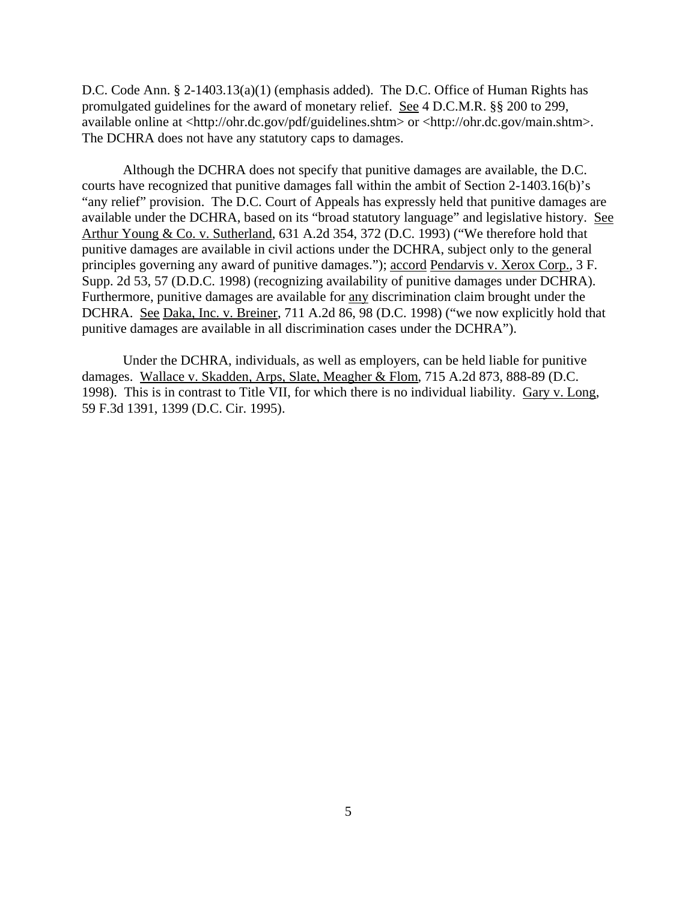D.C. Code Ann. § 2-1403.13(a)(1) (emphasis added). The D.C. Office of Human Rights has promulgated guidelines for the award of monetary relief. See 4 D.C.M.R. §§ 200 to 299, available online at <http://ohr.dc.gov/pdf/guidelines.shtm> or <http://ohr.dc.gov/main.shtm>. The DCHRA does not have any statutory caps to damages.

Although the DCHRA does not specify that punitive damages are available, the D.C. courts have recognized that punitive damages fall within the ambit of Section 2-1403.16(b)'s "any relief" provision. The D.C. Court of Appeals has expressly held that punitive damages are available under the DCHRA, based on its "broad statutory language" and legislative history. See Arthur Young & Co. v. Sutherland, 631 A.2d 354, 372 (D.C. 1993) ("We therefore hold that punitive damages are available in civil actions under the DCHRA, subject only to the general principles governing any award of punitive damages."); accord Pendarvis v. Xerox Corp., 3 F. Supp. 2d 53, 57 (D.D.C. 1998) (recognizing availability of punitive damages under DCHRA). Furthermore, punitive damages are available for any discrimination claim brought under the DCHRA. See Daka, Inc. v. Breiner, 711 A.2d 86, 98 (D.C. 1998) ("we now explicitly hold that punitive damages are available in all discrimination cases under the DCHRA").

Under the DCHRA, individuals, as well as employers, can be held liable for punitive damages. Wallace v. Skadden, Arps, Slate, Meagher & Flom, 715 A.2d 873, 888-89 (D.C. 1998). This is in contrast to Title VII, for which there is no individual liability. Gary v. Long, 59 F.3d 1391, 1399 (D.C. Cir. 1995).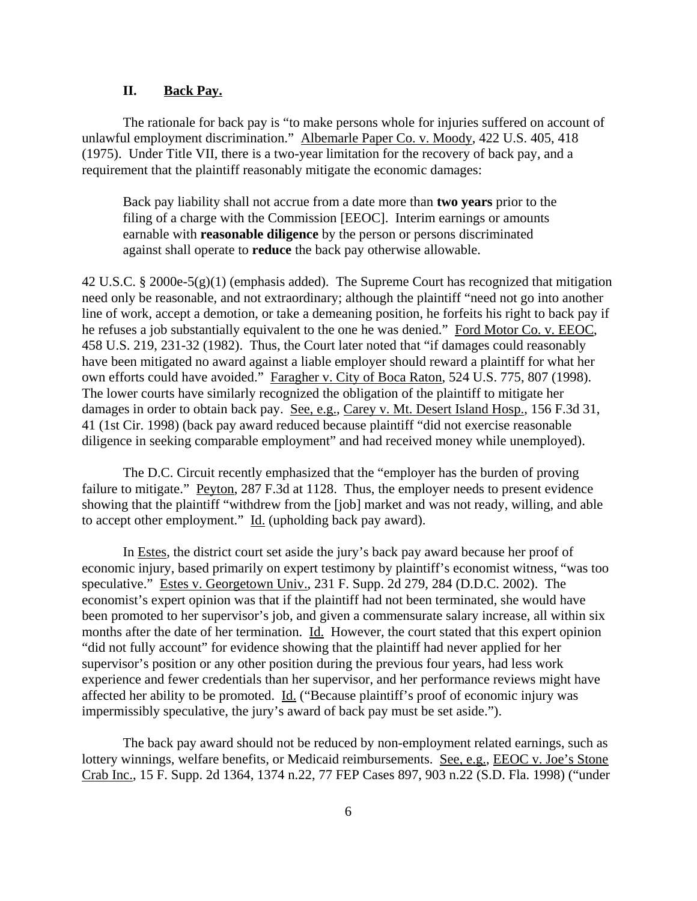#### **II. Back Pay.**

The rationale for back pay is "to make persons whole for injuries suffered on account of unlawful employment discrimination." Albemarle Paper Co. v. Moody, 422 U.S. 405, 418 (1975). Under Title VII, there is a two-year limitation for the recovery of back pay, and a requirement that the plaintiff reasonably mitigate the economic damages:

Back pay liability shall not accrue from a date more than **two years** prior to the filing of a charge with the Commission [EEOC]. Interim earnings or amounts earnable with **reasonable diligence** by the person or persons discriminated against shall operate to **reduce** the back pay otherwise allowable.

42 U.S.C. § 2000e-5(g)(1) (emphasis added). The Supreme Court has recognized that mitigation need only be reasonable, and not extraordinary; although the plaintiff "need not go into another line of work, accept a demotion, or take a demeaning position, he forfeits his right to back pay if he refuses a job substantially equivalent to the one he was denied." Ford Motor Co. v. EEOC, 458 U.S. 219, 231-32 (1982). Thus, the Court later noted that "if damages could reasonably have been mitigated no award against a liable employer should reward a plaintiff for what her own efforts could have avoided." Faragher v. City of Boca Raton, 524 U.S. 775, 807 (1998). The lower courts have similarly recognized the obligation of the plaintiff to mitigate her damages in order to obtain back pay. See, e.g., Carey v. Mt. Desert Island Hosp., 156 F.3d 31, 41 (1st Cir. 1998) (back pay award reduced because plaintiff "did not exercise reasonable diligence in seeking comparable employment" and had received money while unemployed).

The D.C. Circuit recently emphasized that the "employer has the burden of proving failure to mitigate." Peyton, 287 F.3d at 1128. Thus, the employer needs to present evidence showing that the plaintiff "withdrew from the [job] market and was not ready, willing, and able to accept other employment." Id. (upholding back pay award).

In Estes, the district court set aside the jury's back pay award because her proof of economic injury, based primarily on expert testimony by plaintiff's economist witness, "was too speculative." Estes v. Georgetown Univ., 231 F. Supp. 2d 279, 284 (D.D.C. 2002). The economist's expert opinion was that if the plaintiff had not been terminated, she would have been promoted to her supervisor's job, and given a commensurate salary increase, all within six months after the date of her termination. Id. However, the court stated that this expert opinion "did not fully account" for evidence showing that the plaintiff had never applied for her supervisor's position or any other position during the previous four years, had less work experience and fewer credentials than her supervisor, and her performance reviews might have affected her ability to be promoted. Id. ("Because plaintiff's proof of economic injury was impermissibly speculative, the jury's award of back pay must be set aside.").

The back pay award should not be reduced by non-employment related earnings, such as lottery winnings, welfare benefits, or Medicaid reimbursements. See, e.g., EEOC v. Joe's Stone Crab Inc., 15 F. Supp. 2d 1364, 1374 n.22, 77 FEP Cases 897, 903 n.22 (S.D. Fla. 1998) ("under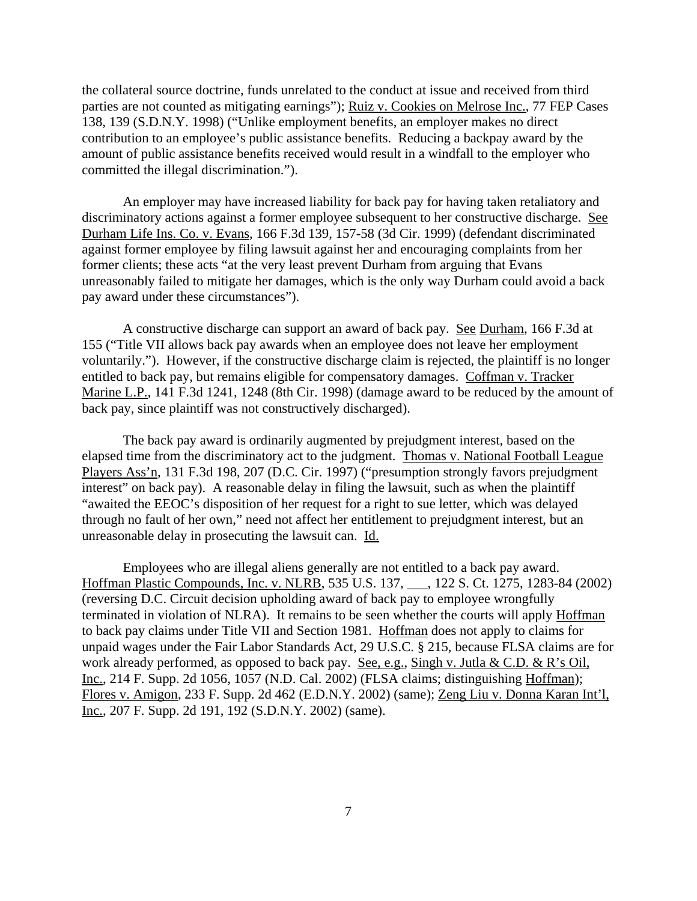the collateral source doctrine, funds unrelated to the conduct at issue and received from third parties are not counted as mitigating earnings"); Ruiz v. Cookies on Melrose Inc., 77 FEP Cases 138, 139 (S.D.N.Y. 1998) ("Unlike employment benefits, an employer makes no direct contribution to an employee's public assistance benefits. Reducing a backpay award by the amount of public assistance benefits received would result in a windfall to the employer who committed the illegal discrimination.").

An employer may have increased liability for back pay for having taken retaliatory and discriminatory actions against a former employee subsequent to her constructive discharge. See Durham Life Ins. Co. v. Evans, 166 F.3d 139, 157-58 (3d Cir. 1999) (defendant discriminated against former employee by filing lawsuit against her and encouraging complaints from her former clients; these acts "at the very least prevent Durham from arguing that Evans unreasonably failed to mitigate her damages, which is the only way Durham could avoid a back pay award under these circumstances").

A constructive discharge can support an award of back pay. See Durham, 166 F.3d at 155 ("Title VII allows back pay awards when an employee does not leave her employment voluntarily."). However, if the constructive discharge claim is rejected, the plaintiff is no longer entitled to back pay, but remains eligible for compensatory damages. Coffman v. Tracker Marine L.P., 141 F.3d 1241, 1248 (8th Cir. 1998) (damage award to be reduced by the amount of back pay, since plaintiff was not constructively discharged).

The back pay award is ordinarily augmented by prejudgment interest, based on the elapsed time from the discriminatory act to the judgment. Thomas v. National Football League Players Ass'n, 131 F.3d 198, 207 (D.C. Cir. 1997) ("presumption strongly favors prejudgment interest" on back pay). A reasonable delay in filing the lawsuit, such as when the plaintiff "awaited the EEOC's disposition of her request for a right to sue letter, which was delayed through no fault of her own," need not affect her entitlement to prejudgment interest, but an unreasonable delay in prosecuting the lawsuit can. Id.

Employees who are illegal aliens generally are not entitled to a back pay award. Hoffman Plastic Compounds, Inc. v. NLRB, 535 U.S. 137, \_\_\_, 122 S. Ct. 1275, 1283-84 (2002) (reversing D.C. Circuit decision upholding award of back pay to employee wrongfully terminated in violation of NLRA). It remains to be seen whether the courts will apply Hoffman to back pay claims under Title VII and Section 1981. Hoffman does not apply to claims for unpaid wages under the Fair Labor Standards Act, 29 U.S.C. § 215, because FLSA claims are for work already performed, as opposed to back pay. See, e.g., Singh v. Jutla & C.D. & R's Oil, Inc., 214 F. Supp. 2d 1056, 1057 (N.D. Cal. 2002) (FLSA claims; distinguishing Hoffman); Flores v. Amigon, 233 F. Supp. 2d 462 (E.D.N.Y. 2002) (same); Zeng Liu v. Donna Karan Int'l, Inc., 207 F. Supp. 2d 191, 192 (S.D.N.Y. 2002) (same).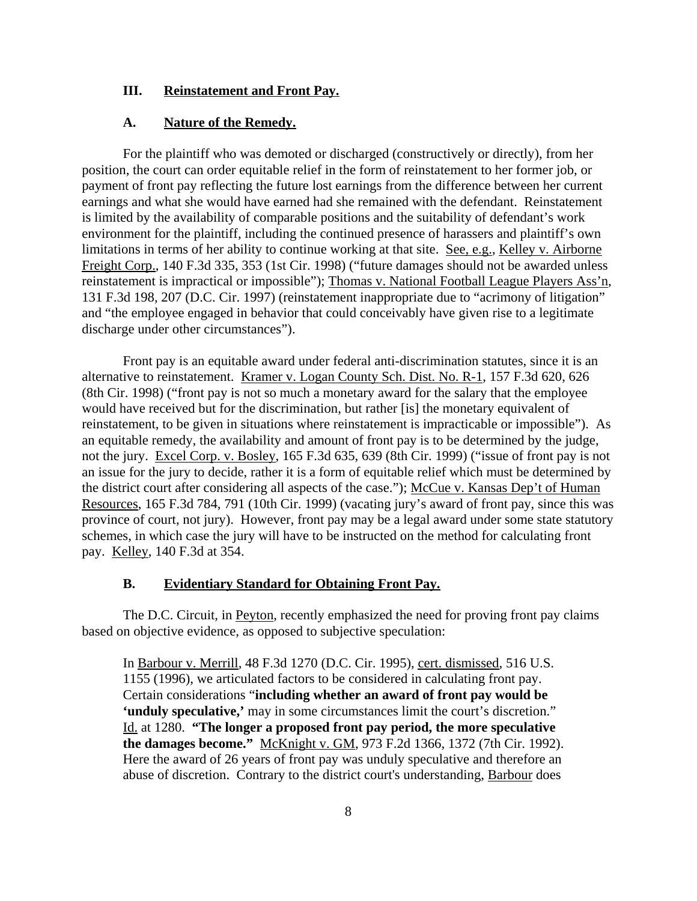#### **III. Reinstatement and Front Pay.**

#### **A. Nature of the Remedy.**

For the plaintiff who was demoted or discharged (constructively or directly), from her position, the court can order equitable relief in the form of reinstatement to her former job, or payment of front pay reflecting the future lost earnings from the difference between her current earnings and what she would have earned had she remained with the defendant. Reinstatement is limited by the availability of comparable positions and the suitability of defendant's work environment for the plaintiff, including the continued presence of harassers and plaintiff's own limitations in terms of her ability to continue working at that site. See, e.g., Kelley v. Airborne Freight Corp., 140 F.3d 335, 353 (1st Cir. 1998) ("future damages should not be awarded unless reinstatement is impractical or impossible"); Thomas v. National Football League Players Ass'n, 131 F.3d 198, 207 (D.C. Cir. 1997) (reinstatement inappropriate due to "acrimony of litigation" and "the employee engaged in behavior that could conceivably have given rise to a legitimate discharge under other circumstances").

Front pay is an equitable award under federal anti-discrimination statutes, since it is an alternative to reinstatement. Kramer v. Logan County Sch. Dist. No. R-1, 157 F.3d 620, 626 (8th Cir. 1998) ("front pay is not so much a monetary award for the salary that the employee would have received but for the discrimination, but rather [is] the monetary equivalent of reinstatement, to be given in situations where reinstatement is impracticable or impossible"). As an equitable remedy, the availability and amount of front pay is to be determined by the judge, not the jury. Excel Corp. v. Bosley, 165 F.3d 635, 639 (8th Cir. 1999) ("issue of front pay is not an issue for the jury to decide, rather it is a form of equitable relief which must be determined by the district court after considering all aspects of the case."); McCue v. Kansas Dep't of Human Resources, 165 F.3d 784, 791 (10th Cir. 1999) (vacating jury's award of front pay, since this was province of court, not jury). However, front pay may be a legal award under some state statutory schemes, in which case the jury will have to be instructed on the method for calculating front pay. Kelley, 140 F.3d at 354.

#### **B. Evidentiary Standard for Obtaining Front Pay.**

The D.C. Circuit, in Peyton, recently emphasized the need for proving front pay claims based on objective evidence, as opposed to subjective speculation:

In Barbour v. Merrill, 48 F.3d 1270 (D.C. Cir. 1995), cert. dismissed, 516 U.S. 1155 (1996), we articulated factors to be considered in calculating front pay. Certain considerations "**including whether an award of front pay would be 'unduly speculative,'** may in some circumstances limit the court's discretion." Id. at 1280. **"The longer a proposed front pay period, the more speculative the damages become."** McKnight v. GM, 973 F.2d 1366, 1372 (7th Cir. 1992). Here the award of 26 years of front pay was unduly speculative and therefore an abuse of discretion. Contrary to the district court's understanding, Barbour does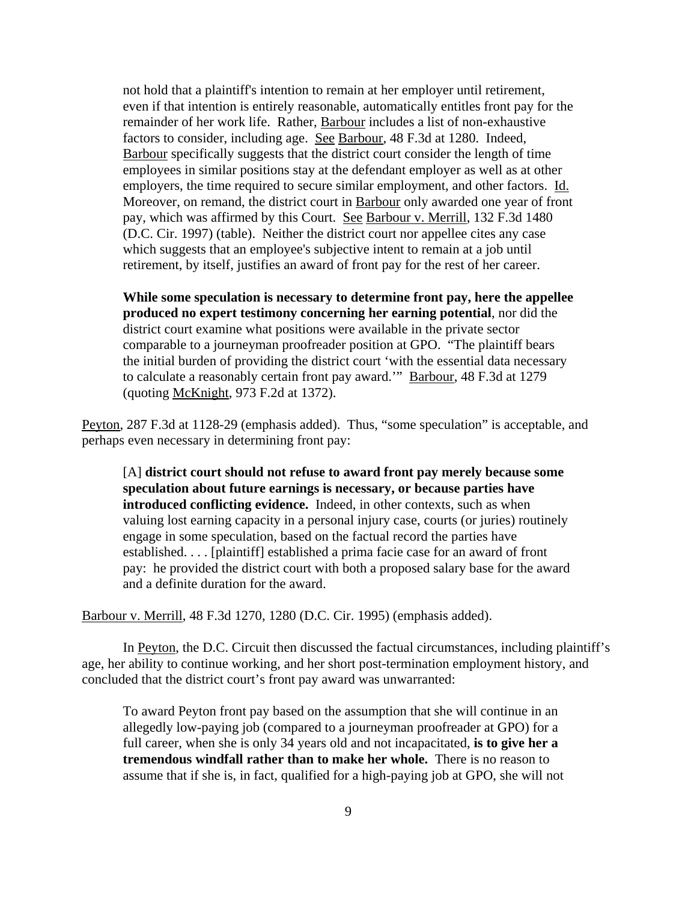not hold that a plaintiff's intention to remain at her employer until retirement, even if that intention is entirely reasonable, automatically entitles front pay for the remainder of her work life. Rather, Barbour includes a list of non-exhaustive factors to consider, including age. See Barbour, 48 F.3d at 1280. Indeed, Barbour specifically suggests that the district court consider the length of time employees in similar positions stay at the defendant employer as well as at other employers, the time required to secure similar employment, and other factors. Id. Moreover, on remand, the district court in Barbour only awarded one year of front pay, which was affirmed by this Court. See Barbour v. Merrill, 132 F.3d 1480 (D.C. Cir. 1997) (table). Neither the district court nor appellee cites any case which suggests that an employee's subjective intent to remain at a job until retirement, by itself, justifies an award of front pay for the rest of her career.

**While some speculation is necessary to determine front pay, here the appellee produced no expert testimony concerning her earning potential**, nor did the district court examine what positions were available in the private sector comparable to a journeyman proofreader position at GPO. "The plaintiff bears the initial burden of providing the district court 'with the essential data necessary to calculate a reasonably certain front pay award." Barbour, 48 F.3d at 1279 (quoting McKnight, 973 F.2d at 1372).

Peyton, 287 F.3d at 1128-29 (emphasis added). Thus, "some speculation" is acceptable, and perhaps even necessary in determining front pay:

[A] **district court should not refuse to award front pay merely because some speculation about future earnings is necessary, or because parties have introduced conflicting evidence.** Indeed, in other contexts, such as when valuing lost earning capacity in a personal injury case, courts (or juries) routinely engage in some speculation, based on the factual record the parties have established. . . . [plaintiff] established a prima facie case for an award of front pay: he provided the district court with both a proposed salary base for the award and a definite duration for the award.

Barbour v. Merrill, 48 F.3d 1270, 1280 (D.C. Cir. 1995) (emphasis added).

In Peyton, the D.C. Circuit then discussed the factual circumstances, including plaintiff's age, her ability to continue working, and her short post-termination employment history, and concluded that the district court's front pay award was unwarranted:

To award Peyton front pay based on the assumption that she will continue in an allegedly low-paying job (compared to a journeyman proofreader at GPO) for a full career, when she is only 34 years old and not incapacitated, **is to give her a tremendous windfall rather than to make her whole.** There is no reason to assume that if she is, in fact, qualified for a high-paying job at GPO, she will not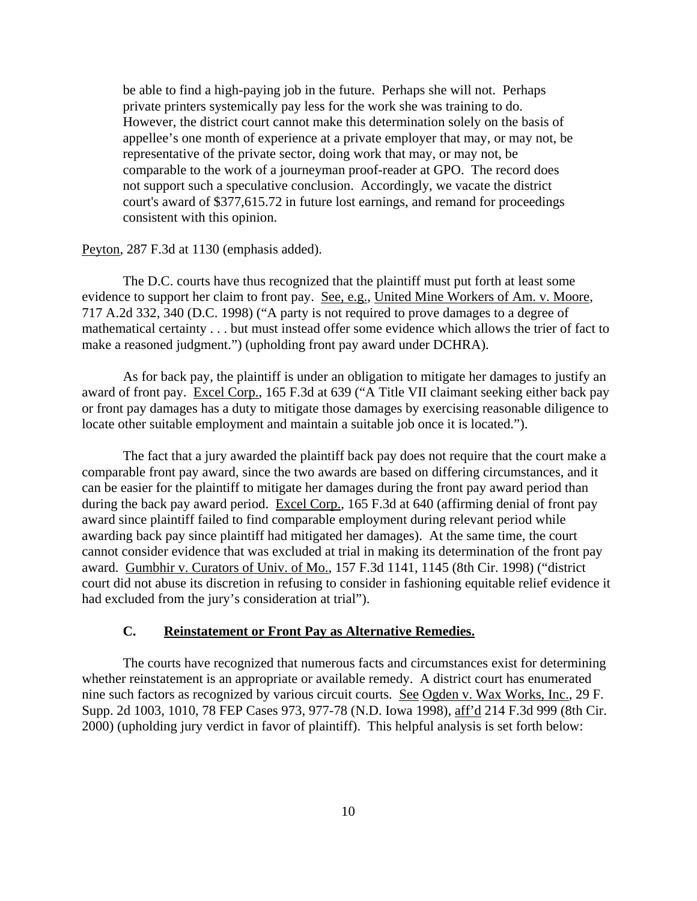be able to find a high-paying job in the future. Perhaps she will not. Perhaps private printers systemically pay less for the work she was training to do. However, the district court cannot make this determination solely on the basis of appellee's one month of experience at a private employer that may, or may not, be representative of the private sector, doing work that may, or may not, be comparable to the work of a journeyman proof-reader at GPO. The record does not support such a speculative conclusion. Accordingly, we vacate the district court's award of \$377,615.72 in future lost earnings, and remand for proceedings consistent with this opinion.

#### Peyton, 287 F.3d at 1130 (emphasis added).

The D.C. courts have thus recognized that the plaintiff must put forth at least some evidence to support her claim to front pay. See, e.g., United Mine Workers of Am. v. Moore, 717 A.2d 332, 340 (D.C. 1998) ("A party is not required to prove damages to a degree of mathematical certainty . . . but must instead offer some evidence which allows the trier of fact to make a reasoned judgment.") (upholding front pay award under DCHRA).

As for back pay, the plaintiff is under an obligation to mitigate her damages to justify an award of front pay. Excel Corp., 165 F.3d at 639 ("A Title VII claimant seeking either back pay or front pay damages has a duty to mitigate those damages by exercising reasonable diligence to locate other suitable employment and maintain a suitable job once it is located.").

The fact that a jury awarded the plaintiff back pay does not require that the court make a comparable front pay award, since the two awards are based on differing circumstances, and it can be easier for the plaintiff to mitigate her damages during the front pay award period than during the back pay award period. Excel Corp., 165 F.3d at 640 (affirming denial of front pay award since plaintiff failed to find comparable employment during relevant period while awarding back pay since plaintiff had mitigated her damages). At the same time, the court cannot consider evidence that was excluded at trial in making its determination of the front pay award. Gumbhir v. Curators of Univ. of Mo., 157 F.3d 1141, 1145 (8th Cir. 1998) ("district court did not abuse its discretion in refusing to consider in fashioning equitable relief evidence it had excluded from the jury's consideration at trial").

### **C. Reinstatement or Front Pay as Alternative Remedies.**

The courts have recognized that numerous facts and circumstances exist for determining whether reinstatement is an appropriate or available remedy. A district court has enumerated nine such factors as recognized by various circuit courts. See Ogden v. Wax Works, Inc., 29 F. Supp. 2d 1003, 1010, 78 FEP Cases 973, 977-78 (N.D. Iowa 1998), aff'd 214 F.3d 999 (8th Cir. 2000) (upholding jury verdict in favor of plaintiff). This helpful analysis is set forth below: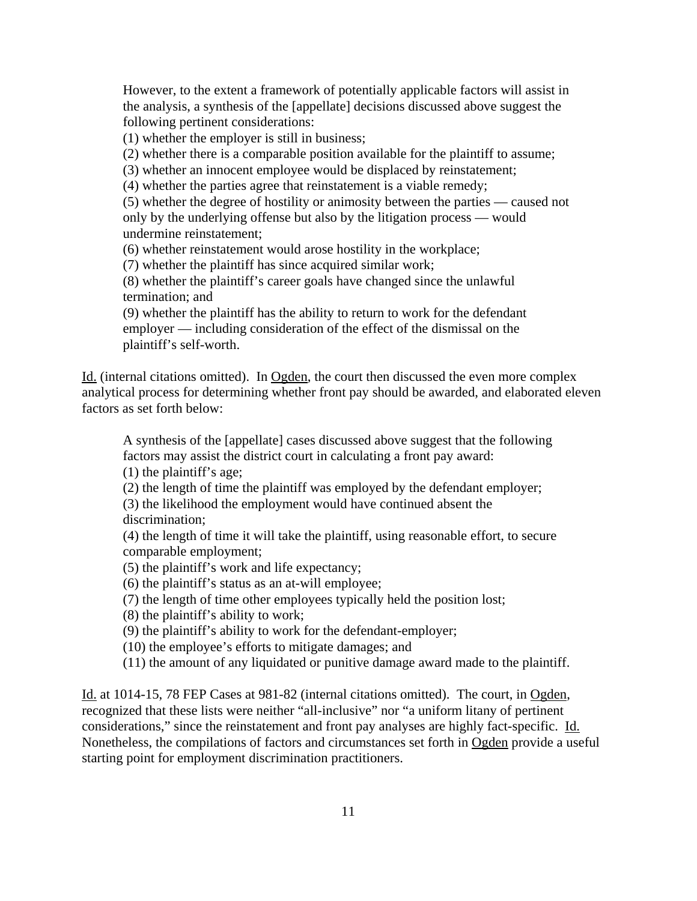However, to the extent a framework of potentially applicable factors will assist in the analysis, a synthesis of the [appellate] decisions discussed above suggest the following pertinent considerations:

(1) whether the employer is still in business;

(2) whether there is a comparable position available for the plaintiff to assume;

(3) whether an innocent employee would be displaced by reinstatement;

(4) whether the parties agree that reinstatement is a viable remedy;

(5) whether the degree of hostility or animosity between the parties — caused not only by the underlying offense but also by the litigation process — would undermine reinstatement;

(6) whether reinstatement would arose hostility in the workplace;

(7) whether the plaintiff has since acquired similar work;

(8) whether the plaintiff's career goals have changed since the unlawful termination; and

(9) whether the plaintiff has the ability to return to work for the defendant employer — including consideration of the effect of the dismissal on the plaintiff's self-worth.

Id. (internal citations omitted). In Ogden, the court then discussed the even more complex analytical process for determining whether front pay should be awarded, and elaborated eleven factors as set forth below:

A synthesis of the [appellate] cases discussed above suggest that the following factors may assist the district court in calculating a front pay award:

(1) the plaintiff's age;

(2) the length of time the plaintiff was employed by the defendant employer;

(3) the likelihood the employment would have continued absent the discrimination;

(4) the length of time it will take the plaintiff, using reasonable effort, to secure comparable employment;

(5) the plaintiff's work and life expectancy;

(6) the plaintiff's status as an at-will employee;

(7) the length of time other employees typically held the position lost;

(8) the plaintiff's ability to work;

(9) the plaintiff's ability to work for the defendant-employer;

(10) the employee's efforts to mitigate damages; and

(11) the amount of any liquidated or punitive damage award made to the plaintiff.

Id. at 1014-15, 78 FEP Cases at 981-82 (internal citations omitted). The court, in Ogden, recognized that these lists were neither "all-inclusive" nor "a uniform litany of pertinent considerations," since the reinstatement and front pay analyses are highly fact-specific. Id. Nonetheless, the compilations of factors and circumstances set forth in Ogden provide a useful starting point for employment discrimination practitioners.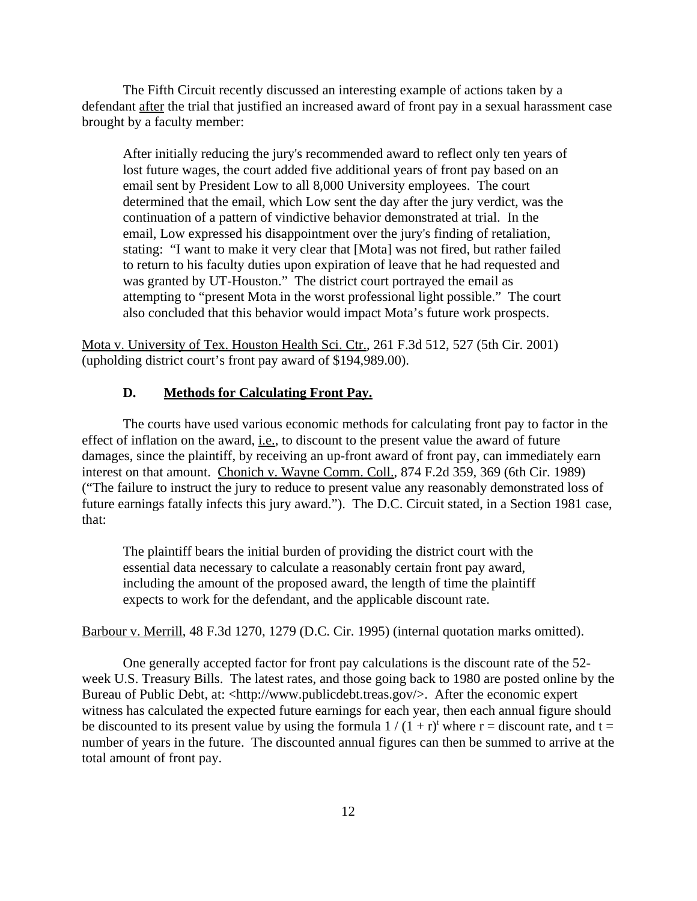The Fifth Circuit recently discussed an interesting example of actions taken by a defendant after the trial that justified an increased award of front pay in a sexual harassment case brought by a faculty member:

After initially reducing the jury's recommended award to reflect only ten years of lost future wages, the court added five additional years of front pay based on an email sent by President Low to all 8,000 University employees. The court determined that the email, which Low sent the day after the jury verdict, was the continuation of a pattern of vindictive behavior demonstrated at trial. In the email, Low expressed his disappointment over the jury's finding of retaliation, stating: "I want to make it very clear that [Mota] was not fired, but rather failed to return to his faculty duties upon expiration of leave that he had requested and was granted by UT-Houston." The district court portrayed the email as attempting to "present Mota in the worst professional light possible." The court also concluded that this behavior would impact Mota's future work prospects.

Mota v. University of Tex. Houston Health Sci. Ctr., 261 F.3d 512, 527 (5th Cir. 2001) (upholding district court's front pay award of \$194,989.00).

#### **D. Methods for Calculating Front Pay.**

The courts have used various economic methods for calculating front pay to factor in the effect of inflation on the award, i.e., to discount to the present value the award of future damages, since the plaintiff, by receiving an up-front award of front pay, can immediately earn interest on that amount. Chonich v. Wayne Comm. Coll., 874 F.2d 359, 369 (6th Cir. 1989) ("The failure to instruct the jury to reduce to present value any reasonably demonstrated loss of future earnings fatally infects this jury award."). The D.C. Circuit stated, in a Section 1981 case, that:

The plaintiff bears the initial burden of providing the district court with the essential data necessary to calculate a reasonably certain front pay award, including the amount of the proposed award, the length of time the plaintiff expects to work for the defendant, and the applicable discount rate.

Barbour v. Merrill, 48 F.3d 1270, 1279 (D.C. Cir. 1995) (internal quotation marks omitted).

One generally accepted factor for front pay calculations is the discount rate of the 52 week U.S. Treasury Bills. The latest rates, and those going back to 1980 are posted online by the Bureau of Public Debt, at: <http://www.publicdebt.treas.gov/>. After the economic expert witness has calculated the expected future earnings for each year, then each annual figure should be discounted to its present value by using the formula  $1/(1 + r)^t$  where  $r =$  discount rate, and  $t =$ number of years in the future. The discounted annual figures can then be summed to arrive at the total amount of front pay.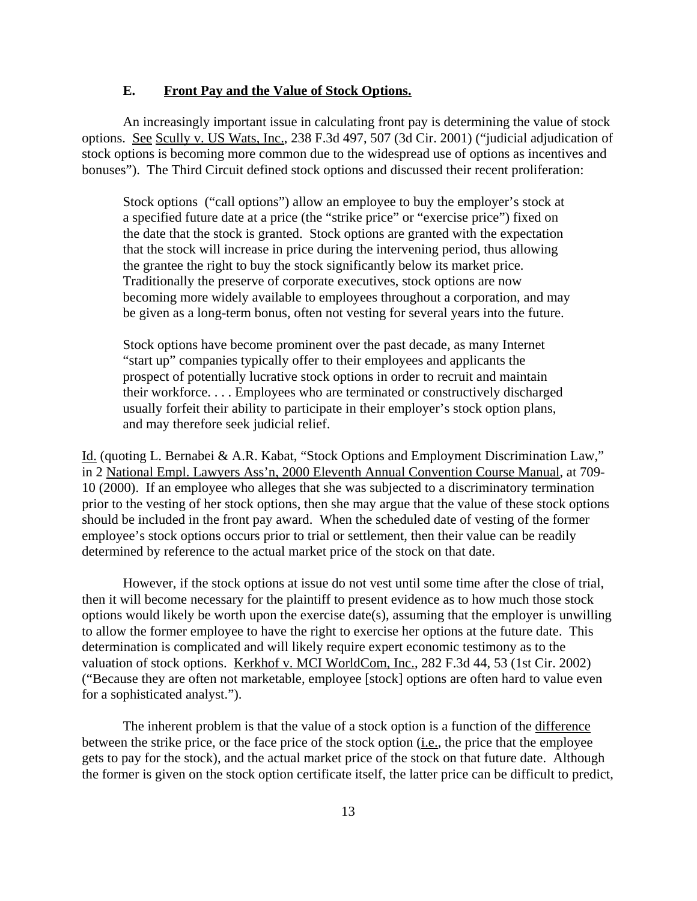### **E. Front Pay and the Value of Stock Options.**

An increasingly important issue in calculating front pay is determining the value of stock options. See Scully v. US Wats, Inc., 238 F.3d 497, 507 (3d Cir. 2001) ("judicial adjudication of stock options is becoming more common due to the widespread use of options as incentives and bonuses"). The Third Circuit defined stock options and discussed their recent proliferation:

Stock options ("call options") allow an employee to buy the employer's stock at a specified future date at a price (the "strike price" or "exercise price") fixed on the date that the stock is granted. Stock options are granted with the expectation that the stock will increase in price during the intervening period, thus allowing the grantee the right to buy the stock significantly below its market price. Traditionally the preserve of corporate executives, stock options are now becoming more widely available to employees throughout a corporation, and may be given as a long-term bonus, often not vesting for several years into the future.

Stock options have become prominent over the past decade, as many Internet "start up" companies typically offer to their employees and applicants the prospect of potentially lucrative stock options in order to recruit and maintain their workforce. . . . Employees who are terminated or constructively discharged usually forfeit their ability to participate in their employer's stock option plans, and may therefore seek judicial relief.

Id. (quoting L. Bernabei & A.R. Kabat, "Stock Options and Employment Discrimination Law," in 2 National Empl. Lawyers Ass'n, 2000 Eleventh Annual Convention Course Manual, at 709- 10 (2000). If an employee who alleges that she was subjected to a discriminatory termination prior to the vesting of her stock options, then she may argue that the value of these stock options should be included in the front pay award. When the scheduled date of vesting of the former employee's stock options occurs prior to trial or settlement, then their value can be readily determined by reference to the actual market price of the stock on that date.

However, if the stock options at issue do not vest until some time after the close of trial, then it will become necessary for the plaintiff to present evidence as to how much those stock options would likely be worth upon the exercise date(s), assuming that the employer is unwilling to allow the former employee to have the right to exercise her options at the future date. This determination is complicated and will likely require expert economic testimony as to the valuation of stock options. Kerkhof v. MCI WorldCom, Inc., 282 F.3d 44, 53 (1st Cir. 2002) ("Because they are often not marketable, employee [stock] options are often hard to value even for a sophisticated analyst.").

The inherent problem is that the value of a stock option is a function of the difference between the strike price, or the face price of the stock option (i.e., the price that the employee gets to pay for the stock), and the actual market price of the stock on that future date. Although the former is given on the stock option certificate itself, the latter price can be difficult to predict,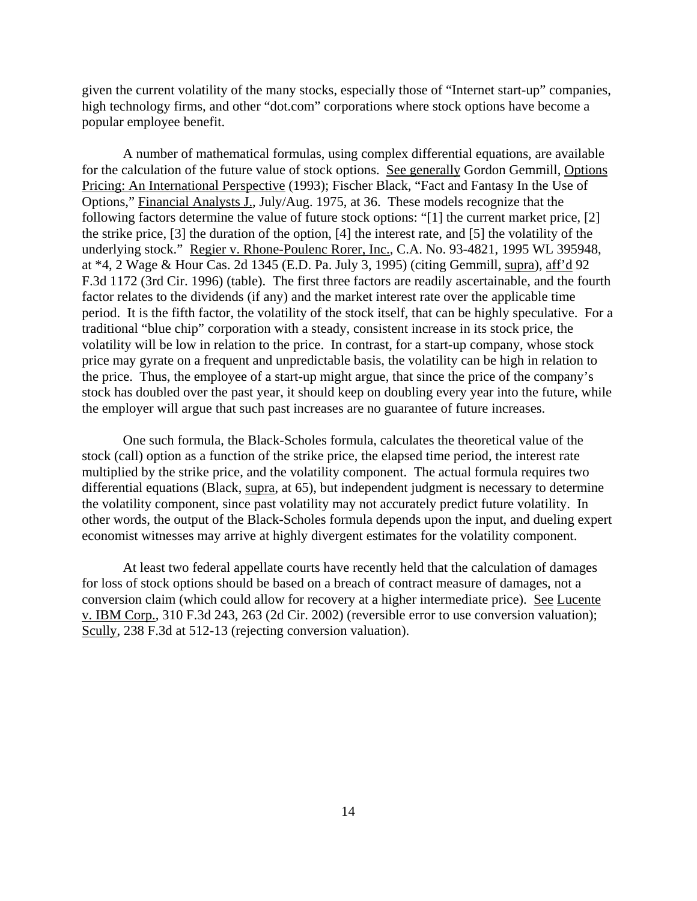given the current volatility of the many stocks, especially those of "Internet start-up" companies, high technology firms, and other "dot.com" corporations where stock options have become a popular employee benefit.

A number of mathematical formulas, using complex differential equations, are available for the calculation of the future value of stock options. See generally Gordon Gemmill, Options Pricing: An International Perspective (1993); Fischer Black, "Fact and Fantasy In the Use of Options," Financial Analysts J., July/Aug. 1975, at 36. These models recognize that the following factors determine the value of future stock options: "[1] the current market price, [2] the strike price, [3] the duration of the option, [4] the interest rate, and [5] the volatility of the underlying stock." Regier v. Rhone-Poulenc Rorer, Inc., C.A. No. 93-4821, 1995 WL 395948, at \*4, 2 Wage & Hour Cas. 2d 1345 (E.D. Pa. July 3, 1995) (citing Gemmill, supra), aff'd 92 F.3d 1172 (3rd Cir. 1996) (table). The first three factors are readily ascertainable, and the fourth factor relates to the dividends (if any) and the market interest rate over the applicable time period. It is the fifth factor, the volatility of the stock itself, that can be highly speculative. For a traditional "blue chip" corporation with a steady, consistent increase in its stock price, the volatility will be low in relation to the price. In contrast, for a start-up company, whose stock price may gyrate on a frequent and unpredictable basis, the volatility can be high in relation to the price. Thus, the employee of a start-up might argue, that since the price of the company's stock has doubled over the past year, it should keep on doubling every year into the future, while the employer will argue that such past increases are no guarantee of future increases.

One such formula, the Black-Scholes formula, calculates the theoretical value of the stock (call) option as a function of the strike price, the elapsed time period, the interest rate multiplied by the strike price, and the volatility component. The actual formula requires two differential equations (Black, supra, at 65), but independent judgment is necessary to determine the volatility component, since past volatility may not accurately predict future volatility. In other words, the output of the Black-Scholes formula depends upon the input, and dueling expert economist witnesses may arrive at highly divergent estimates for the volatility component.

At least two federal appellate courts have recently held that the calculation of damages for loss of stock options should be based on a breach of contract measure of damages, not a conversion claim (which could allow for recovery at a higher intermediate price). See Lucente v. IBM Corp., 310 F.3d 243, 263 (2d Cir. 2002) (reversible error to use conversion valuation); Scully, 238 F.3d at 512-13 (rejecting conversion valuation).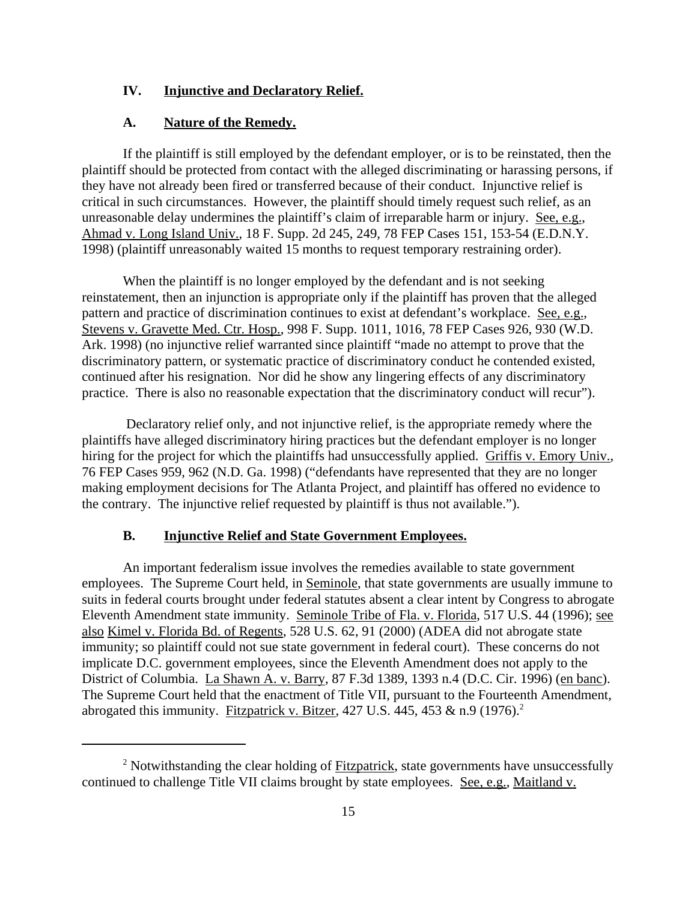#### **IV. Injunctive and Declaratory Relief.**

#### **A. Nature of the Remedy.**

If the plaintiff is still employed by the defendant employer, or is to be reinstated, then the plaintiff should be protected from contact with the alleged discriminating or harassing persons, if they have not already been fired or transferred because of their conduct. Injunctive relief is critical in such circumstances. However, the plaintiff should timely request such relief, as an unreasonable delay undermines the plaintiff's claim of irreparable harm or injury. See, e.g., Ahmad v. Long Island Univ., 18 F. Supp. 2d 245, 249, 78 FEP Cases 151, 153-54 (E.D.N.Y. 1998) (plaintiff unreasonably waited 15 months to request temporary restraining order).

When the plaintiff is no longer employed by the defendant and is not seeking reinstatement, then an injunction is appropriate only if the plaintiff has proven that the alleged pattern and practice of discrimination continues to exist at defendant's workplace. See, e.g., Stevens v. Gravette Med. Ctr. Hosp., 998 F. Supp. 1011, 1016, 78 FEP Cases 926, 930 (W.D. Ark. 1998) (no injunctive relief warranted since plaintiff "made no attempt to prove that the discriminatory pattern, or systematic practice of discriminatory conduct he contended existed, continued after his resignation. Nor did he show any lingering effects of any discriminatory practice. There is also no reasonable expectation that the discriminatory conduct will recur").

 Declaratory relief only, and not injunctive relief, is the appropriate remedy where the plaintiffs have alleged discriminatory hiring practices but the defendant employer is no longer hiring for the project for which the plaintiffs had unsuccessfully applied. Griffis v. Emory Univ., 76 FEP Cases 959, 962 (N.D. Ga. 1998) ("defendants have represented that they are no longer making employment decisions for The Atlanta Project, and plaintiff has offered no evidence to the contrary. The injunctive relief requested by plaintiff is thus not available.").

#### **B. Injunctive Relief and State Government Employees.**

An important federalism issue involves the remedies available to state government employees. The Supreme Court held, in Seminole, that state governments are usually immune to suits in federal courts brought under federal statutes absent a clear intent by Congress to abrogate Eleventh Amendment state immunity. Seminole Tribe of Fla. v. Florida, 517 U.S. 44 (1996); see also Kimel v. Florida Bd. of Regents, 528 U.S. 62, 91 (2000) (ADEA did not abrogate state immunity; so plaintiff could not sue state government in federal court). These concerns do not implicate D.C. government employees, since the Eleventh Amendment does not apply to the District of Columbia. La Shawn A. v. Barry, 87 F.3d 1389, 1393 n.4 (D.C. Cir. 1996) (en banc). The Supreme Court held that the enactment of Title VII, pursuant to the Fourteenth Amendment, abrogated this immunity. Fitzpatrick v. Bitzer, 427 U.S. 445, 453 & n.9 (1976).<sup>2</sup>

<sup>&</sup>lt;sup>2</sup> Notwithstanding the clear holding of Fitzpatrick, state governments have unsuccessfully continued to challenge Title VII claims brought by state employees. See, e.g., Maitland v.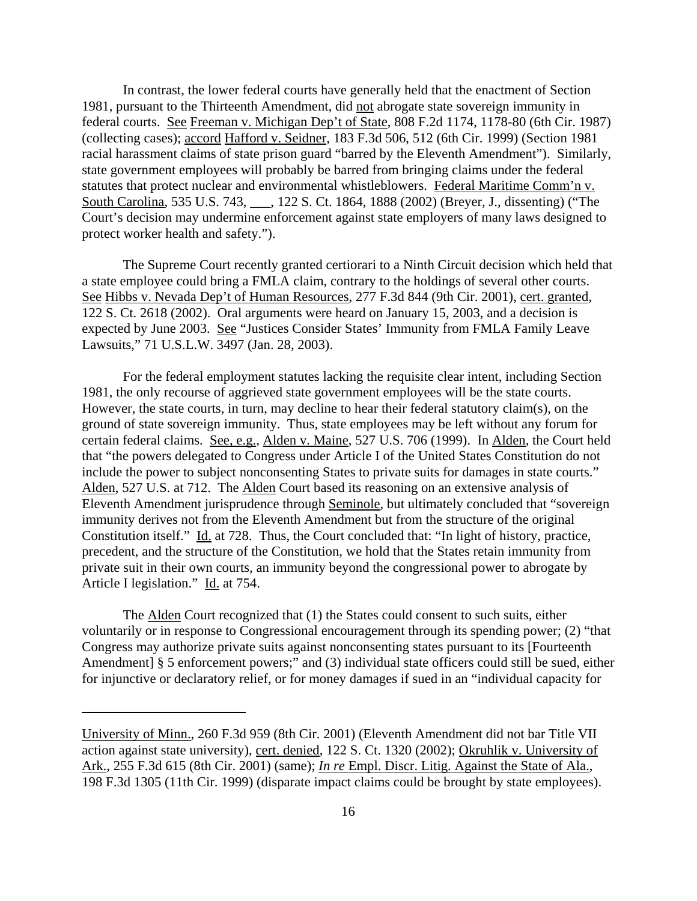In contrast, the lower federal courts have generally held that the enactment of Section 1981, pursuant to the Thirteenth Amendment, did not abrogate state sovereign immunity in federal courts. See Freeman v. Michigan Dep't of State, 808 F.2d 1174, 1178-80 (6th Cir. 1987) (collecting cases); accord Hafford v. Seidner, 183 F.3d 506, 512 (6th Cir. 1999) (Section 1981 racial harassment claims of state prison guard "barred by the Eleventh Amendment"). Similarly, state government employees will probably be barred from bringing claims under the federal statutes that protect nuclear and environmental whistleblowers. Federal Maritime Comm'n v. South Carolina, 535 U.S. 743, \_\_\_, 122 S. Ct. 1864, 1888 (2002) (Breyer, J., dissenting) ("The Court's decision may undermine enforcement against state employers of many laws designed to protect worker health and safety.").

The Supreme Court recently granted certiorari to a Ninth Circuit decision which held that a state employee could bring a FMLA claim, contrary to the holdings of several other courts. See Hibbs v. Nevada Dep't of Human Resources, 277 F.3d 844 (9th Cir. 2001), cert. granted, 122 S. Ct. 2618 (2002). Oral arguments were heard on January 15, 2003, and a decision is expected by June 2003. See "Justices Consider States' Immunity from FMLA Family Leave Lawsuits," 71 U.S.L.W. 3497 (Jan. 28, 2003).

For the federal employment statutes lacking the requisite clear intent, including Section 1981, the only recourse of aggrieved state government employees will be the state courts. However, the state courts, in turn, may decline to hear their federal statutory claim(s), on the ground of state sovereign immunity. Thus, state employees may be left without any forum for certain federal claims. See, e.g., Alden v. Maine, 527 U.S. 706 (1999). In Alden, the Court held that "the powers delegated to Congress under Article I of the United States Constitution do not include the power to subject nonconsenting States to private suits for damages in state courts." Alden, 527 U.S. at 712. The Alden Court based its reasoning on an extensive analysis of Eleventh Amendment jurisprudence through Seminole, but ultimately concluded that "sovereign immunity derives not from the Eleventh Amendment but from the structure of the original Constitution itself." Id. at 728. Thus, the Court concluded that: "In light of history, practice, precedent, and the structure of the Constitution, we hold that the States retain immunity from private suit in their own courts, an immunity beyond the congressional power to abrogate by Article I legislation." Id. at 754.

The Alden Court recognized that (1) the States could consent to such suits, either voluntarily or in response to Congressional encouragement through its spending power; (2) "that Congress may authorize private suits against nonconsenting states pursuant to its [Fourteenth Amendment] § 5 enforcement powers;" and (3) individual state officers could still be sued, either for injunctive or declaratory relief, or for money damages if sued in an "individual capacity for

University of Minn., 260 F.3d 959 (8th Cir. 2001) (Eleventh Amendment did not bar Title VII action against state university), cert. denied, 122 S. Ct. 1320 (2002); Okruhlik v. University of Ark., 255 F.3d 615 (8th Cir. 2001) (same); *In re* Empl. Discr. Litig. Against the State of Ala., 198 F.3d 1305 (11th Cir. 1999) (disparate impact claims could be brought by state employees).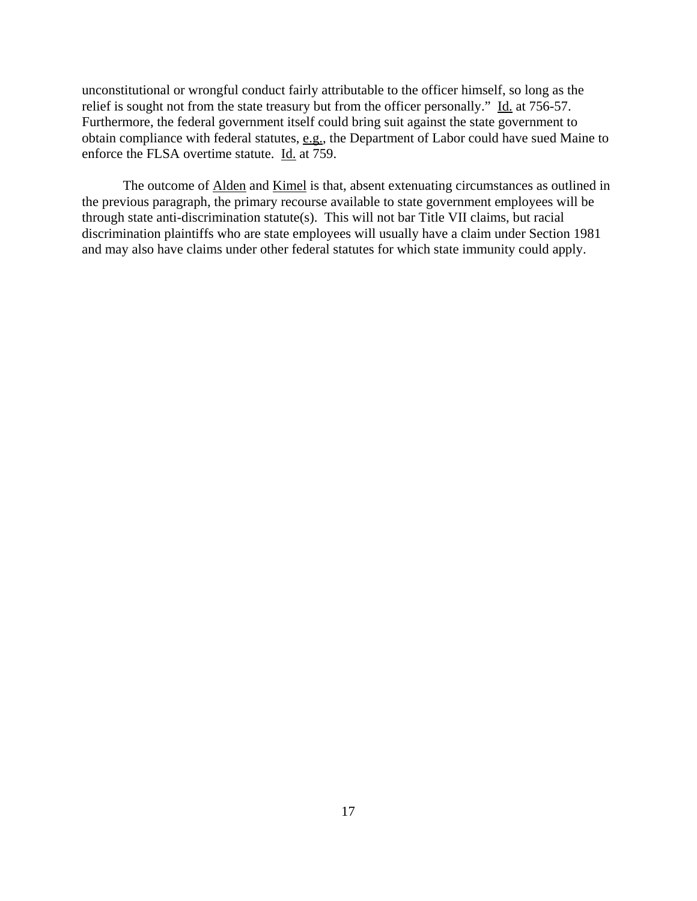unconstitutional or wrongful conduct fairly attributable to the officer himself, so long as the relief is sought not from the state treasury but from the officer personally." Id. at 756-57. Furthermore, the federal government itself could bring suit against the state government to obtain compliance with federal statutes, e.g., the Department of Labor could have sued Maine to enforce the FLSA overtime statute. Id. at 759.

The outcome of Alden and Kimel is that, absent extenuating circumstances as outlined in the previous paragraph, the primary recourse available to state government employees will be through state anti-discrimination statute(s). This will not bar Title VII claims, but racial discrimination plaintiffs who are state employees will usually have a claim under Section 1981 and may also have claims under other federal statutes for which state immunity could apply.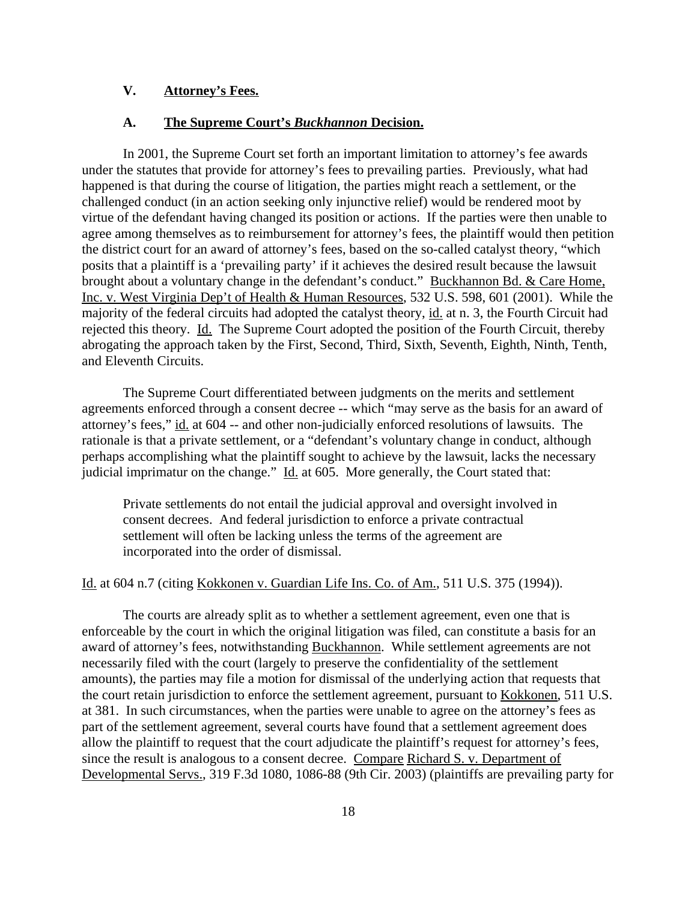## **V. Attorney's Fees.**

#### **A. The Supreme Court's** *Buckhannon* **Decision.**

In 2001, the Supreme Court set forth an important limitation to attorney's fee awards under the statutes that provide for attorney's fees to prevailing parties. Previously, what had happened is that during the course of litigation, the parties might reach a settlement, or the challenged conduct (in an action seeking only injunctive relief) would be rendered moot by virtue of the defendant having changed its position or actions. If the parties were then unable to agree among themselves as to reimbursement for attorney's fees, the plaintiff would then petition the district court for an award of attorney's fees, based on the so-called catalyst theory, "which posits that a plaintiff is a 'prevailing party' if it achieves the desired result because the lawsuit brought about a voluntary change in the defendant's conduct." Buckhannon Bd. & Care Home, Inc. v. West Virginia Dep't of Health & Human Resources, 532 U.S. 598, 601 (2001). While the majority of the federal circuits had adopted the catalyst theory, id. at n. 3, the Fourth Circuit had rejected this theory. Id. The Supreme Court adopted the position of the Fourth Circuit, thereby abrogating the approach taken by the First, Second, Third, Sixth, Seventh, Eighth, Ninth, Tenth, and Eleventh Circuits.

The Supreme Court differentiated between judgments on the merits and settlement agreements enforced through a consent decree -- which "may serve as the basis for an award of attorney's fees," id. at 604 -- and other non-judicially enforced resolutions of lawsuits. The rationale is that a private settlement, or a "defendant's voluntary change in conduct, although perhaps accomplishing what the plaintiff sought to achieve by the lawsuit, lacks the necessary judicial imprimatur on the change." Id. at 605. More generally, the Court stated that:

Private settlements do not entail the judicial approval and oversight involved in consent decrees. And federal jurisdiction to enforce a private contractual settlement will often be lacking unless the terms of the agreement are incorporated into the order of dismissal.

### Id. at 604 n.7 (citing Kokkonen v. Guardian Life Ins. Co. of Am., 511 U.S. 375 (1994)).

The courts are already split as to whether a settlement agreement, even one that is enforceable by the court in which the original litigation was filed, can constitute a basis for an award of attorney's fees, notwithstanding Buckhannon. While settlement agreements are not necessarily filed with the court (largely to preserve the confidentiality of the settlement amounts), the parties may file a motion for dismissal of the underlying action that requests that the court retain jurisdiction to enforce the settlement agreement, pursuant to Kokkonen, 511 U.S. at 381. In such circumstances, when the parties were unable to agree on the attorney's fees as part of the settlement agreement, several courts have found that a settlement agreement does allow the plaintiff to request that the court adjudicate the plaintiff's request for attorney's fees, since the result is analogous to a consent decree. Compare Richard S. v. Department of Developmental Servs., 319 F.3d 1080, 1086-88 (9th Cir. 2003) (plaintiffs are prevailing party for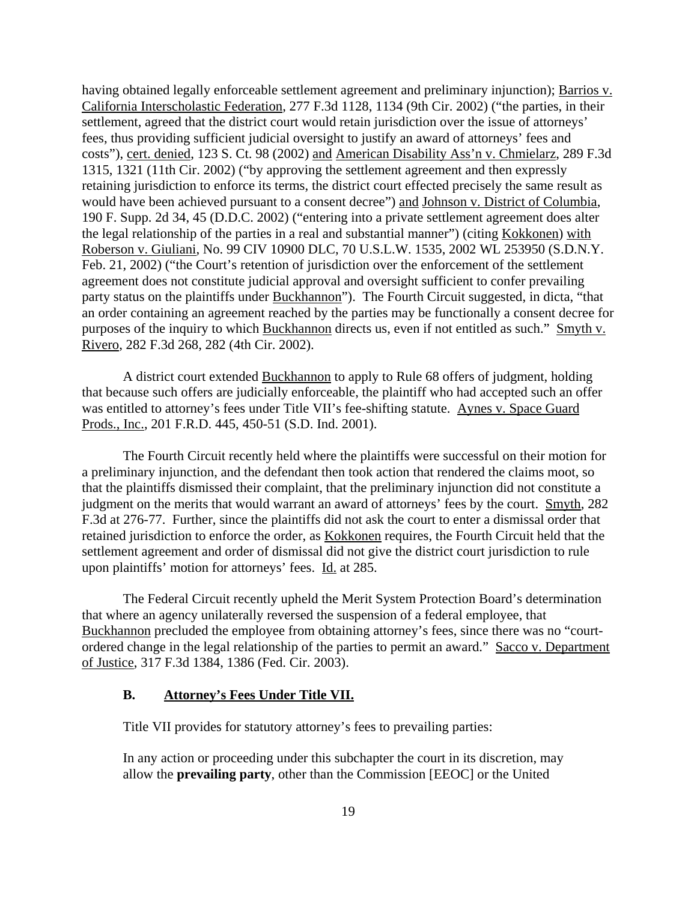having obtained legally enforceable settlement agreement and preliminary injunction); Barrios v. California Interscholastic Federation, 277 F.3d 1128, 1134 (9th Cir. 2002) ("the parties, in their settlement, agreed that the district court would retain jurisdiction over the issue of attorneys' fees, thus providing sufficient judicial oversight to justify an award of attorneys' fees and costs"), cert. denied, 123 S. Ct. 98 (2002) and American Disability Ass'n v. Chmielarz, 289 F.3d 1315, 1321 (11th Cir. 2002) ("by approving the settlement agreement and then expressly retaining jurisdiction to enforce its terms, the district court effected precisely the same result as would have been achieved pursuant to a consent decree") and Johnson v. District of Columbia, 190 F. Supp. 2d 34, 45 (D.D.C. 2002) ("entering into a private settlement agreement does alter the legal relationship of the parties in a real and substantial manner") (citing Kokkonen) with Roberson v. Giuliani, No. 99 CIV 10900 DLC, 70 U.S.L.W. 1535, 2002 WL 253950 (S.D.N.Y. Feb. 21, 2002) ("the Court's retention of jurisdiction over the enforcement of the settlement agreement does not constitute judicial approval and oversight sufficient to confer prevailing party status on the plaintiffs under Buckhannon"). The Fourth Circuit suggested, in dicta, "that an order containing an agreement reached by the parties may be functionally a consent decree for purposes of the inquiry to which Buckhannon directs us, even if not entitled as such." Smyth v. Rivero, 282 F.3d 268, 282 (4th Cir. 2002).

A district court extended Buckhannon to apply to Rule 68 offers of judgment, holding that because such offers are judicially enforceable, the plaintiff who had accepted such an offer was entitled to attorney's fees under Title VII's fee-shifting statute. Aynes v. Space Guard Prods., Inc., 201 F.R.D. 445, 450-51 (S.D. Ind. 2001).

The Fourth Circuit recently held where the plaintiffs were successful on their motion for a preliminary injunction, and the defendant then took action that rendered the claims moot, so that the plaintiffs dismissed their complaint, that the preliminary injunction did not constitute a judgment on the merits that would warrant an award of attorneys' fees by the court. Smyth, 282 F.3d at 276-77. Further, since the plaintiffs did not ask the court to enter a dismissal order that retained jurisdiction to enforce the order, as Kokkonen requires, the Fourth Circuit held that the settlement agreement and order of dismissal did not give the district court jurisdiction to rule upon plaintiffs' motion for attorneys' fees. Id. at 285.

The Federal Circuit recently upheld the Merit System Protection Board's determination that where an agency unilaterally reversed the suspension of a federal employee, that Buckhannon precluded the employee from obtaining attorney's fees, since there was no "courtordered change in the legal relationship of the parties to permit an award." Sacco v. Department of Justice, 317 F.3d 1384, 1386 (Fed. Cir. 2003).

### **B. Attorney's Fees Under Title VII.**

Title VII provides for statutory attorney's fees to prevailing parties:

In any action or proceeding under this subchapter the court in its discretion, may allow the **prevailing party**, other than the Commission [EEOC] or the United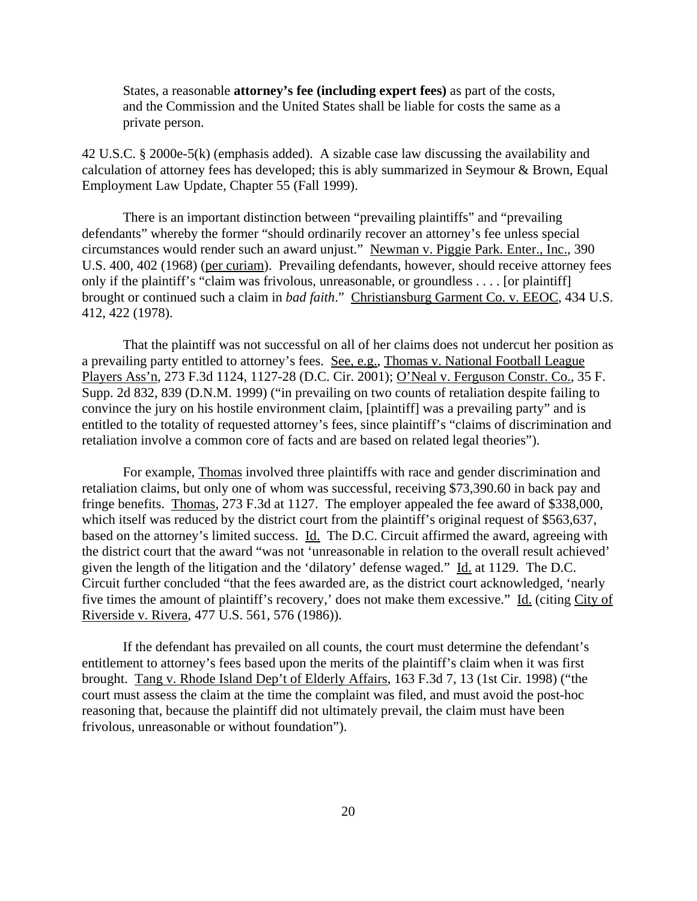States, a reasonable **attorney's fee (including expert fees)** as part of the costs, and the Commission and the United States shall be liable for costs the same as a private person.

42 U.S.C. § 2000e-5(k) (emphasis added). A sizable case law discussing the availability and calculation of attorney fees has developed; this is ably summarized in Seymour & Brown, Equal Employment Law Update, Chapter 55 (Fall 1999).

There is an important distinction between "prevailing plaintiffs" and "prevailing defendants" whereby the former "should ordinarily recover an attorney's fee unless special circumstances would render such an award unjust." Newman v. Piggie Park. Enter., Inc., 390 U.S. 400, 402 (1968) (per curiam). Prevailing defendants, however, should receive attorney fees only if the plaintiff's "claim was frivolous, unreasonable, or groundless . . . . [or plaintiff] brought or continued such a claim in *bad faith*." Christiansburg Garment Co. v. EEOC, 434 U.S. 412, 422 (1978).

That the plaintiff was not successful on all of her claims does not undercut her position as a prevailing party entitled to attorney's fees. See, e.g., Thomas v. National Football League Players Ass'n, 273 F.3d 1124, 1127-28 (D.C. Cir. 2001); O'Neal v. Ferguson Constr. Co., 35 F. Supp. 2d 832, 839 (D.N.M. 1999) ("in prevailing on two counts of retaliation despite failing to convince the jury on his hostile environment claim, [plaintiff] was a prevailing party" and is entitled to the totality of requested attorney's fees, since plaintiff's "claims of discrimination and retaliation involve a common core of facts and are based on related legal theories").

For example, Thomas involved three plaintiffs with race and gender discrimination and retaliation claims, but only one of whom was successful, receiving \$73,390.60 in back pay and fringe benefits. Thomas, 273 F.3d at 1127. The employer appealed the fee award of \$338,000, which itself was reduced by the district court from the plaintiff's original request of \$563,637, based on the attorney's limited success. Id. The D.C. Circuit affirmed the award, agreeing with the district court that the award "was not 'unreasonable in relation to the overall result achieved' given the length of the litigation and the 'dilatory' defense waged." Id. at 1129. The D.C. Circuit further concluded "that the fees awarded are, as the district court acknowledged, 'nearly five times the amount of plaintiff's recovery,' does not make them excessive." Id. (citing City of Riverside v. Rivera, 477 U.S. 561, 576 (1986)).

If the defendant has prevailed on all counts, the court must determine the defendant's entitlement to attorney's fees based upon the merits of the plaintiff's claim when it was first brought. Tang v. Rhode Island Dep't of Elderly Affairs, 163 F.3d 7, 13 (1st Cir. 1998) ("the court must assess the claim at the time the complaint was filed, and must avoid the post-hoc reasoning that, because the plaintiff did not ultimately prevail, the claim must have been frivolous, unreasonable or without foundation").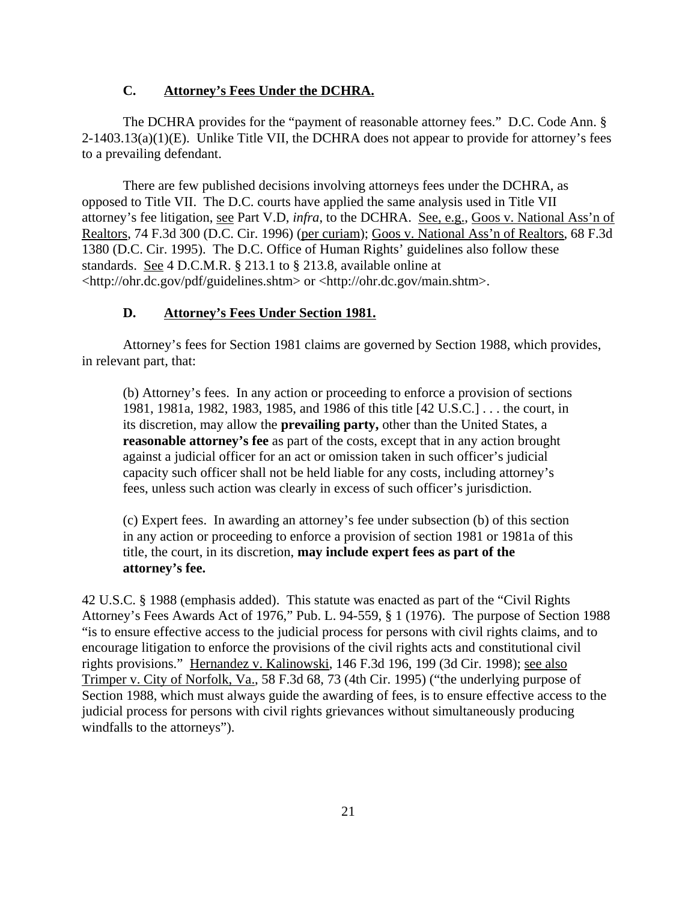### **C. Attorney's Fees Under the DCHRA.**

The DCHRA provides for the "payment of reasonable attorney fees." D.C. Code Ann. §  $2-1403.13(a)(1)(E)$ . Unlike Title VII, the DCHRA does not appear to provide for attorney's fees to a prevailing defendant.

There are few published decisions involving attorneys fees under the DCHRA, as opposed to Title VII. The D.C. courts have applied the same analysis used in Title VII attorney's fee litigation, see Part V.D, *infra*, to the DCHRA. See, e.g., Goos v. National Ass'n of Realtors, 74 F.3d 300 (D.C. Cir. 1996) (per curiam); Goos v. National Ass'n of Realtors, 68 F.3d 1380 (D.C. Cir. 1995). The D.C. Office of Human Rights' guidelines also follow these standards. See 4 D.C.M.R. § 213.1 to § 213.8, available online at <http://ohr.dc.gov/pdf/guidelines.shtm> or <http://ohr.dc.gov/main.shtm>.

#### **D. Attorney's Fees Under Section 1981.**

Attorney's fees for Section 1981 claims are governed by Section 1988, which provides, in relevant part, that:

(b) Attorney's fees. In any action or proceeding to enforce a provision of sections 1981, 1981a, 1982, 1983, 1985, and 1986 of this title [42 U.S.C.] . . . the court, in its discretion, may allow the **prevailing party,** other than the United States, a **reasonable attorney's fee** as part of the costs, except that in any action brought against a judicial officer for an act or omission taken in such officer's judicial capacity such officer shall not be held liable for any costs, including attorney's fees, unless such action was clearly in excess of such officer's jurisdiction.

(c) Expert fees. In awarding an attorney's fee under subsection (b) of this section in any action or proceeding to enforce a provision of section 1981 or 1981a of this title, the court, in its discretion, **may include expert fees as part of the attorney's fee.**

42 U.S.C. § 1988 (emphasis added). This statute was enacted as part of the "Civil Rights Attorney's Fees Awards Act of 1976," Pub. L. 94-559, § 1 (1976). The purpose of Section 1988 "is to ensure effective access to the judicial process for persons with civil rights claims, and to encourage litigation to enforce the provisions of the civil rights acts and constitutional civil rights provisions." Hernandez v. Kalinowski, 146 F.3d 196, 199 (3d Cir. 1998); see also Trimper v. City of Norfolk, Va., 58 F.3d 68, 73 (4th Cir. 1995) ("the underlying purpose of Section 1988, which must always guide the awarding of fees, is to ensure effective access to the judicial process for persons with civil rights grievances without simultaneously producing windfalls to the attorneys").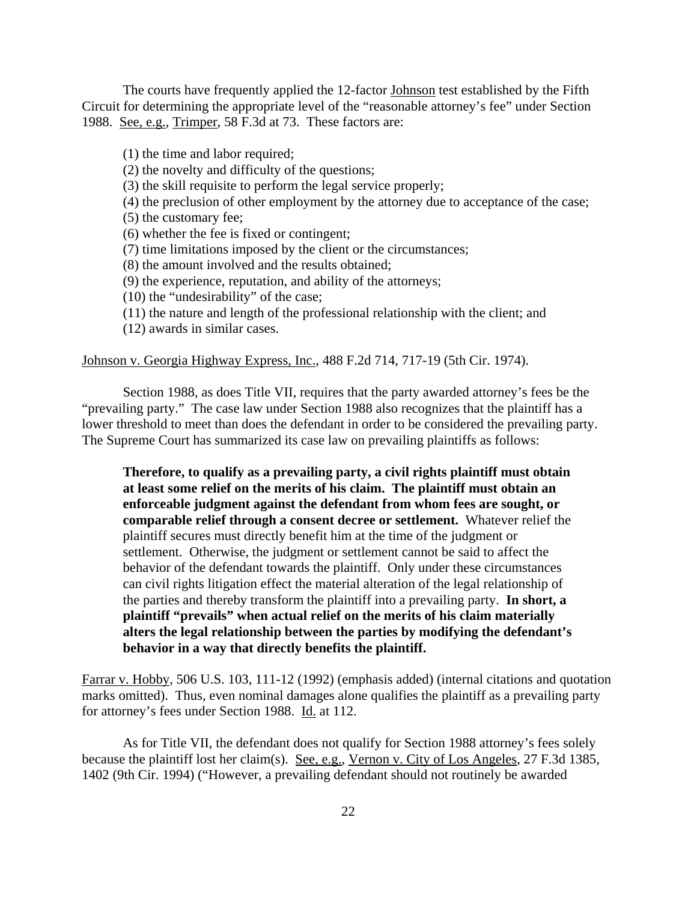The courts have frequently applied the 12-factor Johnson test established by the Fifth Circuit for determining the appropriate level of the "reasonable attorney's fee" under Section 1988. See, e.g., Trimper, 58 F.3d at 73. These factors are:

(1) the time and labor required;

(2) the novelty and difficulty of the questions;

(3) the skill requisite to perform the legal service properly;

(4) the preclusion of other employment by the attorney due to acceptance of the case;

(5) the customary fee;

(6) whether the fee is fixed or contingent;

(7) time limitations imposed by the client or the circumstances;

(8) the amount involved and the results obtained;

(9) the experience, reputation, and ability of the attorneys;

(10) the "undesirability" of the case;

(11) the nature and length of the professional relationship with the client; and

(12) awards in similar cases.

#### Johnson v. Georgia Highway Express, Inc., 488 F.2d 714, 717-19 (5th Cir. 1974).

Section 1988, as does Title VII, requires that the party awarded attorney's fees be the "prevailing party." The case law under Section 1988 also recognizes that the plaintiff has a lower threshold to meet than does the defendant in order to be considered the prevailing party. The Supreme Court has summarized its case law on prevailing plaintiffs as follows:

**Therefore, to qualify as a prevailing party, a civil rights plaintiff must obtain at least some relief on the merits of his claim. The plaintiff must obtain an enforceable judgment against the defendant from whom fees are sought, or comparable relief through a consent decree or settlement.** Whatever relief the plaintiff secures must directly benefit him at the time of the judgment or settlement. Otherwise, the judgment or settlement cannot be said to affect the behavior of the defendant towards the plaintiff. Only under these circumstances can civil rights litigation effect the material alteration of the legal relationship of the parties and thereby transform the plaintiff into a prevailing party. **In short, a plaintiff "prevails" when actual relief on the merits of his claim materially alters the legal relationship between the parties by modifying the defendant's behavior in a way that directly benefits the plaintiff.**

Farrar v. Hobby, 506 U.S. 103, 111-12 (1992) (emphasis added) (internal citations and quotation marks omitted). Thus, even nominal damages alone qualifies the plaintiff as a prevailing party for attorney's fees under Section 1988. Id. at 112.

As for Title VII, the defendant does not qualify for Section 1988 attorney's fees solely because the plaintiff lost her claim(s). See, e.g., Vernon v. City of Los Angeles, 27 F.3d 1385, 1402 (9th Cir. 1994) ("However, a prevailing defendant should not routinely be awarded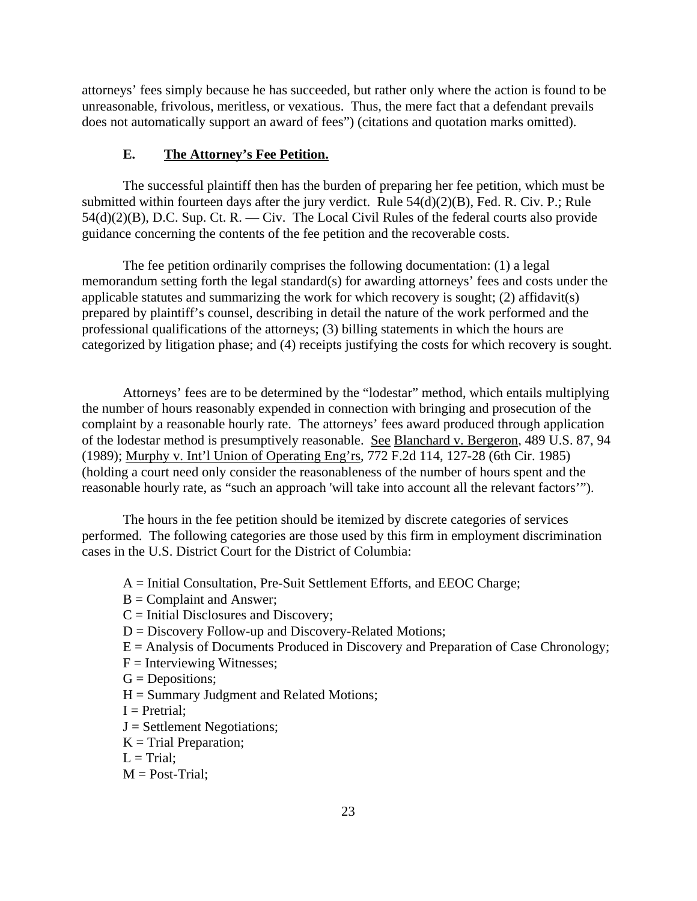attorneys' fees simply because he has succeeded, but rather only where the action is found to be unreasonable, frivolous, meritless, or vexatious. Thus, the mere fact that a defendant prevails does not automatically support an award of fees") (citations and quotation marks omitted).

# **E. The Attorney's Fee Petition.**

The successful plaintiff then has the burden of preparing her fee petition, which must be submitted within fourteen days after the jury verdict. Rule 54(d)(2)(B), Fed. R. Civ. P.; Rule  $54(d)(2)(B)$ , D.C. Sup. Ct. R. — Civ. The Local Civil Rules of the federal courts also provide guidance concerning the contents of the fee petition and the recoverable costs.

The fee petition ordinarily comprises the following documentation: (1) a legal memorandum setting forth the legal standard(s) for awarding attorneys' fees and costs under the applicable statutes and summarizing the work for which recovery is sought; (2) affidavit(s) prepared by plaintiff's counsel, describing in detail the nature of the work performed and the professional qualifications of the attorneys; (3) billing statements in which the hours are categorized by litigation phase; and (4) receipts justifying the costs for which recovery is sought.

Attorneys' fees are to be determined by the "lodestar" method, which entails multiplying the number of hours reasonably expended in connection with bringing and prosecution of the complaint by a reasonable hourly rate. The attorneys' fees award produced through application of the lodestar method is presumptively reasonable. See Blanchard v. Bergeron, 489 U.S. 87, 94 (1989); Murphy v. Int'l Union of Operating Eng'rs, 772 F.2d 114, 127-28 (6th Cir. 1985) (holding a court need only consider the reasonableness of the number of hours spent and the reasonable hourly rate, as "such an approach 'will take into account all the relevant factors'").

The hours in the fee petition should be itemized by discrete categories of services performed. The following categories are those used by this firm in employment discrimination cases in the U.S. District Court for the District of Columbia:

- A = Initial Consultation, Pre-Suit Settlement Efforts, and EEOC Charge;
- $B =$  Complaint and Answer;
- $C =$  Initial Disclosures and Discovery;
- D = Discovery Follow-up and Discovery-Related Motions;
- $E =$  Analysis of Documents Produced in Discovery and Preparation of Case Chronology;
- $F =$  Interviewing Witnesses;
- $G = \text{Depositions};$
- $H =$  Summary Judgment and Related Motions;
- $I = Pretrial;$
- $J =$  Settlement Negotiations;
- $K =$ Trial Preparation;
- $L = \text{Trial}:$
- $M = Post-Trial$ ;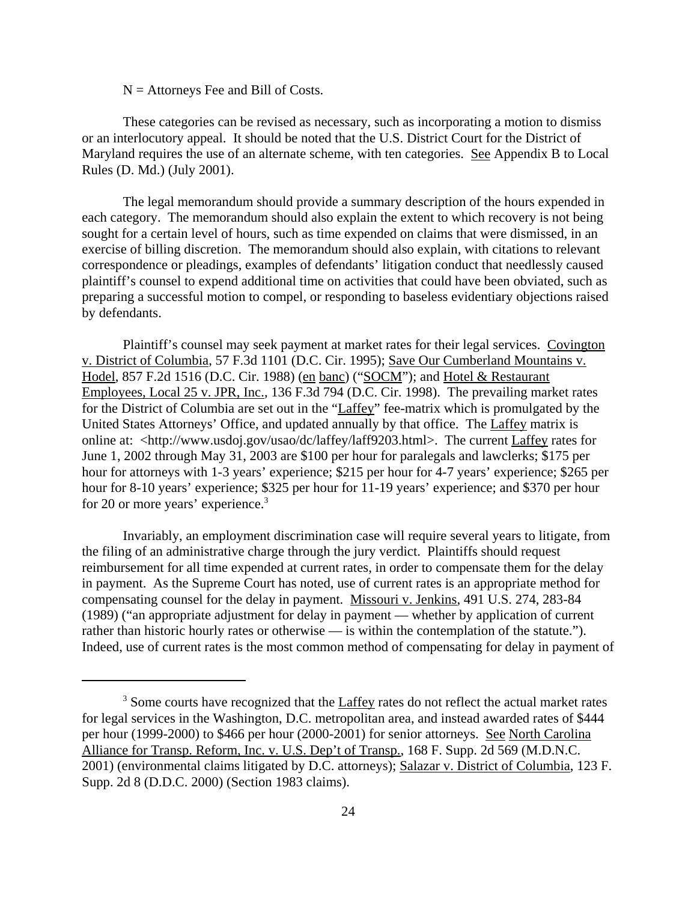$N =$  Attorneys Fee and Bill of Costs.

These categories can be revised as necessary, such as incorporating a motion to dismiss or an interlocutory appeal. It should be noted that the U.S. District Court for the District of Maryland requires the use of an alternate scheme, with ten categories. See Appendix B to Local Rules (D. Md.) (July 2001).

The legal memorandum should provide a summary description of the hours expended in each category. The memorandum should also explain the extent to which recovery is not being sought for a certain level of hours, such as time expended on claims that were dismissed, in an exercise of billing discretion. The memorandum should also explain, with citations to relevant correspondence or pleadings, examples of defendants' litigation conduct that needlessly caused plaintiff's counsel to expend additional time on activities that could have been obviated, such as preparing a successful motion to compel, or responding to baseless evidentiary objections raised by defendants.

Plaintiff's counsel may seek payment at market rates for their legal services. Covington v. District of Columbia, 57 F.3d 1101 (D.C. Cir. 1995); Save Our Cumberland Mountains v. Hodel, 857 F.2d 1516 (D.C. Cir. 1988) (en banc) ("SOCM"); and Hotel & Restaurant Employees, Local 25 v. JPR, Inc., 136 F.3d 794 (D.C. Cir. 1998). The prevailing market rates for the District of Columbia are set out in the "Laffey" fee-matrix which is promulgated by the United States Attorneys' Office, and updated annually by that office. The Laffey matrix is online at: <http://www.usdoj.gov/usao/dc/laffey/laff9203.html>. The current Laffey rates for June 1, 2002 through May 31, 2003 are \$100 per hour for paralegals and lawclerks; \$175 per hour for attorneys with 1-3 years' experience; \$215 per hour for 4-7 years' experience; \$265 per hour for 8-10 years' experience; \$325 per hour for 11-19 years' experience; and \$370 per hour for 20 or more years' experience.<sup>3</sup>

Invariably, an employment discrimination case will require several years to litigate, from the filing of an administrative charge through the jury verdict. Plaintiffs should request reimbursement for all time expended at current rates, in order to compensate them for the delay in payment. As the Supreme Court has noted, use of current rates is an appropriate method for compensating counsel for the delay in payment. Missouri v. Jenkins, 491 U.S. 274, 283-84 (1989) ("an appropriate adjustment for delay in payment — whether by application of current rather than historic hourly rates or otherwise — is within the contemplation of the statute."). Indeed, use of current rates is the most common method of compensating for delay in payment of

 $3$  Some courts have recognized that the  $L$ affey rates do not reflect the actual market rates for legal services in the Washington, D.C. metropolitan area, and instead awarded rates of \$444 per hour (1999-2000) to \$466 per hour (2000-2001) for senior attorneys. See North Carolina Alliance for Transp. Reform, Inc. v. U.S. Dep't of Transp., 168 F. Supp. 2d 569 (M.D.N.C. 2001) (environmental claims litigated by D.C. attorneys); Salazar v. District of Columbia, 123 F. Supp. 2d 8 (D.D.C. 2000) (Section 1983 claims).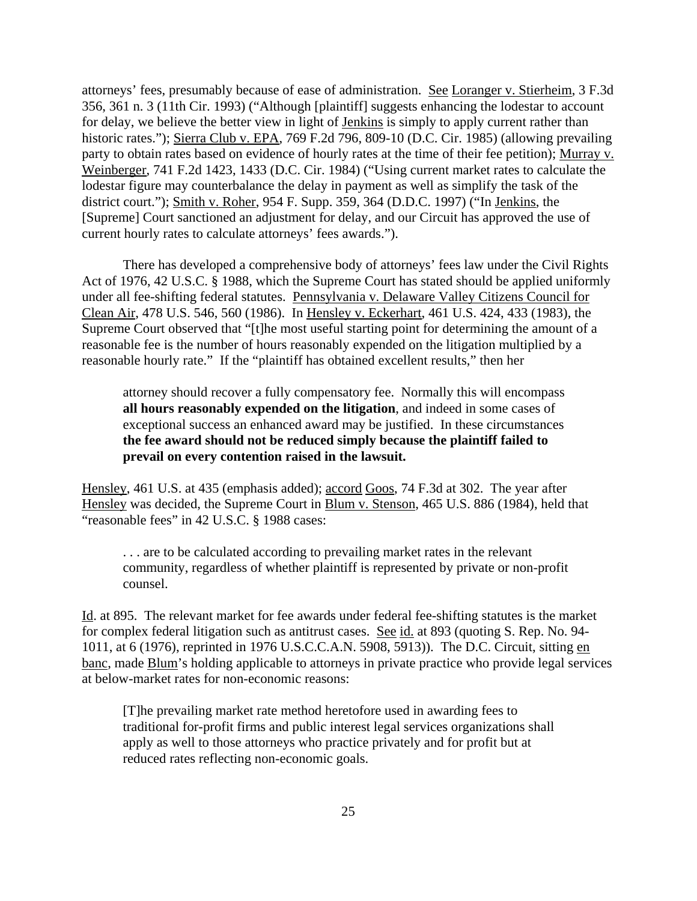attorneys' fees, presumably because of ease of administration. See Loranger v. Stierheim, 3 F.3d 356, 361 n. 3 (11th Cir. 1993) ("Although [plaintiff] suggests enhancing the lodestar to account for delay, we believe the better view in light of Jenkins is simply to apply current rather than historic rates."); Sierra Club v. EPA, 769 F.2d 796, 809-10 (D.C. Cir. 1985) (allowing prevailing party to obtain rates based on evidence of hourly rates at the time of their fee petition); Murray v. Weinberger, 741 F.2d 1423, 1433 (D.C. Cir. 1984) ("Using current market rates to calculate the lodestar figure may counterbalance the delay in payment as well as simplify the task of the district court."); Smith v. Roher, 954 F. Supp. 359, 364 (D.D.C. 1997) ("In Jenkins, the [Supreme] Court sanctioned an adjustment for delay, and our Circuit has approved the use of current hourly rates to calculate attorneys' fees awards.").

There has developed a comprehensive body of attorneys' fees law under the Civil Rights Act of 1976, 42 U.S.C. § 1988, which the Supreme Court has stated should be applied uniformly under all fee-shifting federal statutes. Pennsylvania v. Delaware Valley Citizens Council for Clean Air, 478 U.S. 546, 560 (1986). In Hensley v. Eckerhart, 461 U.S. 424, 433 (1983), the Supreme Court observed that "[t]he most useful starting point for determining the amount of a reasonable fee is the number of hours reasonably expended on the litigation multiplied by a reasonable hourly rate." If the "plaintiff has obtained excellent results," then her

attorney should recover a fully compensatory fee. Normally this will encompass **all hours reasonably expended on the litigation**, and indeed in some cases of exceptional success an enhanced award may be justified. In these circumstances **the fee award should not be reduced simply because the plaintiff failed to prevail on every contention raised in the lawsuit.**

Hensley, 461 U.S. at 435 (emphasis added); accord Goos, 74 F.3d at 302. The year after Hensley was decided, the Supreme Court in Blum v. Stenson, 465 U.S. 886 (1984), held that "reasonable fees" in 42 U.S.C. § 1988 cases:

. . . are to be calculated according to prevailing market rates in the relevant community, regardless of whether plaintiff is represented by private or non-profit counsel.

Id. at 895. The relevant market for fee awards under federal fee-shifting statutes is the market for complex federal litigation such as antitrust cases. See id. at 893 (quoting S. Rep. No. 94-1011, at 6 (1976), reprinted in 1976 U.S.C.C.A.N. 5908, 5913)). The D.C. Circuit, sitting en banc, made Blum's holding applicable to attorneys in private practice who provide legal services at below-market rates for non-economic reasons:

[T]he prevailing market rate method heretofore used in awarding fees to traditional for-profit firms and public interest legal services organizations shall apply as well to those attorneys who practice privately and for profit but at reduced rates reflecting non-economic goals.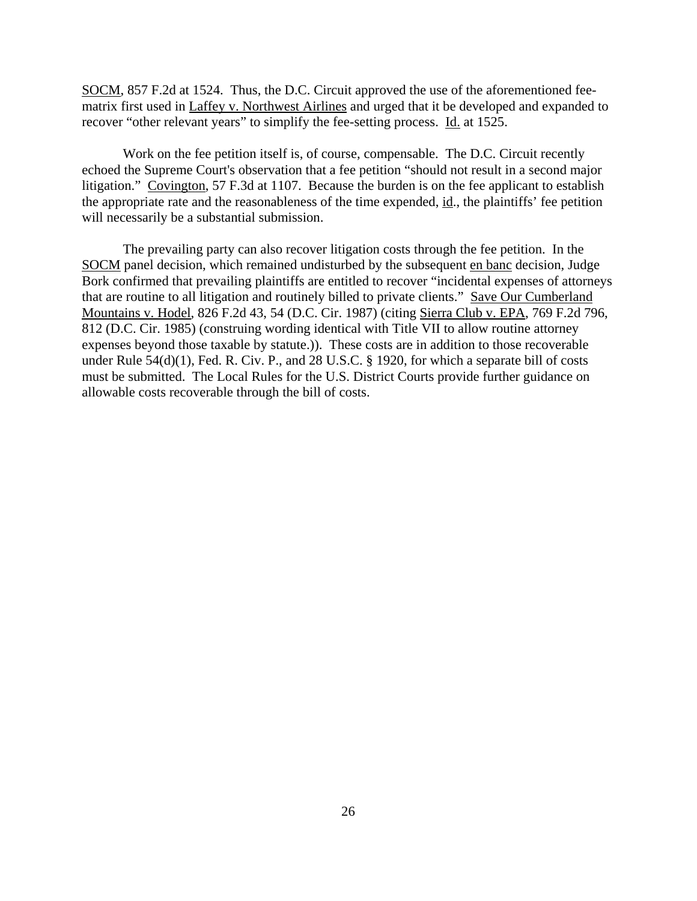SOCM, 857 F.2d at 1524. Thus, the D.C. Circuit approved the use of the aforementioned feematrix first used in Laffey v. Northwest Airlines and urged that it be developed and expanded to recover "other relevant years" to simplify the fee-setting process. Id. at 1525.

Work on the fee petition itself is, of course, compensable. The D.C. Circuit recently echoed the Supreme Court's observation that a fee petition "should not result in a second major litigation." Covington, 57 F.3d at 1107. Because the burden is on the fee applicant to establish the appropriate rate and the reasonableness of the time expended, id., the plaintiffs' fee petition will necessarily be a substantial submission.

The prevailing party can also recover litigation costs through the fee petition. In the SOCM panel decision, which remained undisturbed by the subsequent en banc decision, Judge Bork confirmed that prevailing plaintiffs are entitled to recover "incidental expenses of attorneys that are routine to all litigation and routinely billed to private clients." Save Our Cumberland Mountains v. Hodel, 826 F.2d 43, 54 (D.C. Cir. 1987) (citing Sierra Club v. EPA, 769 F.2d 796, 812 (D.C. Cir. 1985) (construing wording identical with Title VII to allow routine attorney expenses beyond those taxable by statute.)). These costs are in addition to those recoverable under Rule 54(d)(1), Fed. R. Civ. P., and 28 U.S.C. § 1920, for which a separate bill of costs must be submitted. The Local Rules for the U.S. District Courts provide further guidance on allowable costs recoverable through the bill of costs.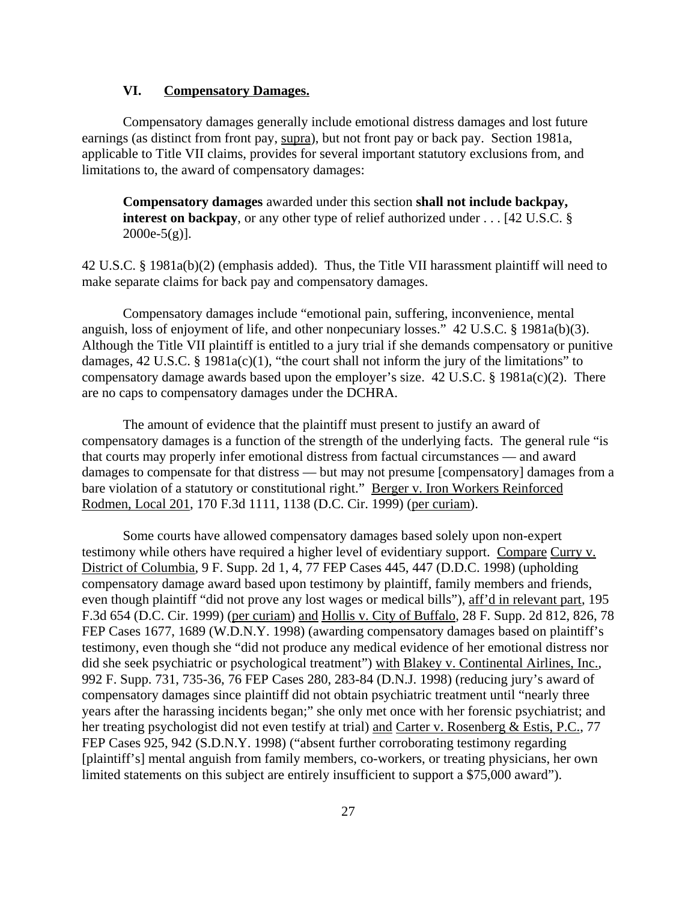### **VI. Compensatory Damages.**

Compensatory damages generally include emotional distress damages and lost future earnings (as distinct from front pay, supra), but not front pay or back pay. Section 1981a, applicable to Title VII claims, provides for several important statutory exclusions from, and limitations to, the award of compensatory damages:

**Compensatory damages** awarded under this section **shall not include backpay, interest on backpay**, or any other type of relief authorized under . . . [42 U.S.C. §  $2000e-5(g)$ ].

42 U.S.C. § 1981a(b)(2) (emphasis added). Thus, the Title VII harassment plaintiff will need to make separate claims for back pay and compensatory damages.

Compensatory damages include "emotional pain, suffering, inconvenience, mental anguish, loss of enjoyment of life, and other nonpecuniary losses." 42 U.S.C. § 1981a(b)(3). Although the Title VII plaintiff is entitled to a jury trial if she demands compensatory or punitive damages,  $42 \text{ U.S.C. }$  §  $1981a(c)(1)$ , "the court shall not inform the jury of the limitations" to compensatory damage awards based upon the employer's size. 42 U.S.C. § 1981a(c)(2). There are no caps to compensatory damages under the DCHRA.

The amount of evidence that the plaintiff must present to justify an award of compensatory damages is a function of the strength of the underlying facts. The general rule "is that courts may properly infer emotional distress from factual circumstances — and award damages to compensate for that distress — but may not presume [compensatory] damages from a bare violation of a statutory or constitutional right." Berger v. Iron Workers Reinforced Rodmen, Local 201, 170 F.3d 1111, 1138 (D.C. Cir. 1999) (per curiam).

Some courts have allowed compensatory damages based solely upon non-expert testimony while others have required a higher level of evidentiary support. Compare Curry v. District of Columbia, 9 F. Supp. 2d 1, 4, 77 FEP Cases 445, 447 (D.D.C. 1998) (upholding compensatory damage award based upon testimony by plaintiff, family members and friends, even though plaintiff "did not prove any lost wages or medical bills"), aff'd in relevant part, 195 F.3d 654 (D.C. Cir. 1999) (per curiam) and Hollis v. City of Buffalo, 28 F. Supp. 2d 812, 826, 78 FEP Cases 1677, 1689 (W.D.N.Y. 1998) (awarding compensatory damages based on plaintiff's testimony, even though she "did not produce any medical evidence of her emotional distress nor did she seek psychiatric or psychological treatment") with Blakey v. Continental Airlines, Inc., 992 F. Supp. 731, 735-36, 76 FEP Cases 280, 283-84 (D.N.J. 1998) (reducing jury's award of compensatory damages since plaintiff did not obtain psychiatric treatment until "nearly three years after the harassing incidents began;" she only met once with her forensic psychiatrist; and her treating psychologist did not even testify at trial) and Carter v. Rosenberg & Estis, P.C., 77 FEP Cases 925, 942 (S.D.N.Y. 1998) ("absent further corroborating testimony regarding [plaintiff's] mental anguish from family members, co-workers, or treating physicians, her own limited statements on this subject are entirely insufficient to support a \$75,000 award").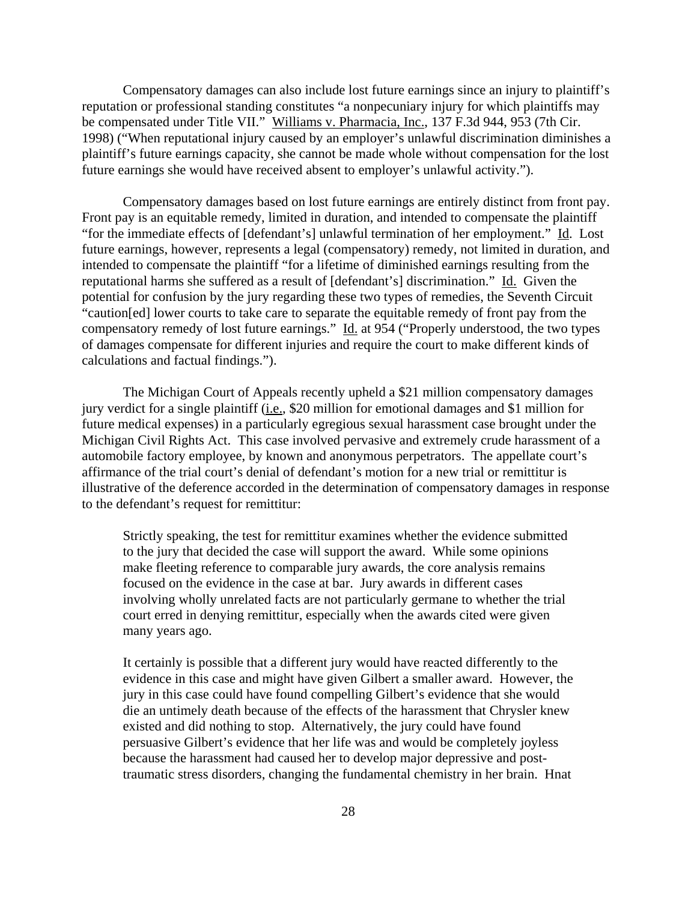Compensatory damages can also include lost future earnings since an injury to plaintiff's reputation or professional standing constitutes "a nonpecuniary injury for which plaintiffs may be compensated under Title VII." Williams v. Pharmacia, Inc., 137 F.3d 944, 953 (7th Cir. 1998) ("When reputational injury caused by an employer's unlawful discrimination diminishes a plaintiff's future earnings capacity, she cannot be made whole without compensation for the lost future earnings she would have received absent to employer's unlawful activity.").

Compensatory damages based on lost future earnings are entirely distinct from front pay. Front pay is an equitable remedy, limited in duration, and intended to compensate the plaintiff "for the immediate effects of [defendant's] unlawful termination of her employment." Id. Lost future earnings, however, represents a legal (compensatory) remedy, not limited in duration, and intended to compensate the plaintiff "for a lifetime of diminished earnings resulting from the reputational harms she suffered as a result of [defendant's] discrimination." Id. Given the potential for confusion by the jury regarding these two types of remedies, the Seventh Circuit "caution[ed] lower courts to take care to separate the equitable remedy of front pay from the compensatory remedy of lost future earnings." Id. at 954 ("Properly understood, the two types of damages compensate for different injuries and require the court to make different kinds of calculations and factual findings.").

The Michigan Court of Appeals recently upheld a \$21 million compensatory damages jury verdict for a single plaintiff (i.e., \$20 million for emotional damages and \$1 million for future medical expenses) in a particularly egregious sexual harassment case brought under the Michigan Civil Rights Act. This case involved pervasive and extremely crude harassment of a automobile factory employee, by known and anonymous perpetrators. The appellate court's affirmance of the trial court's denial of defendant's motion for a new trial or remittitur is illustrative of the deference accorded in the determination of compensatory damages in response to the defendant's request for remittitur:

Strictly speaking, the test for remittitur examines whether the evidence submitted to the jury that decided the case will support the award. While some opinions make fleeting reference to comparable jury awards, the core analysis remains focused on the evidence in the case at bar. Jury awards in different cases involving wholly unrelated facts are not particularly germane to whether the trial court erred in denying remittitur, especially when the awards cited were given many years ago.

It certainly is possible that a different jury would have reacted differently to the evidence in this case and might have given Gilbert a smaller award. However, the jury in this case could have found compelling Gilbert's evidence that she would die an untimely death because of the effects of the harassment that Chrysler knew existed and did nothing to stop. Alternatively, the jury could have found persuasive Gilbert's evidence that her life was and would be completely joyless because the harassment had caused her to develop major depressive and posttraumatic stress disorders, changing the fundamental chemistry in her brain. Hnat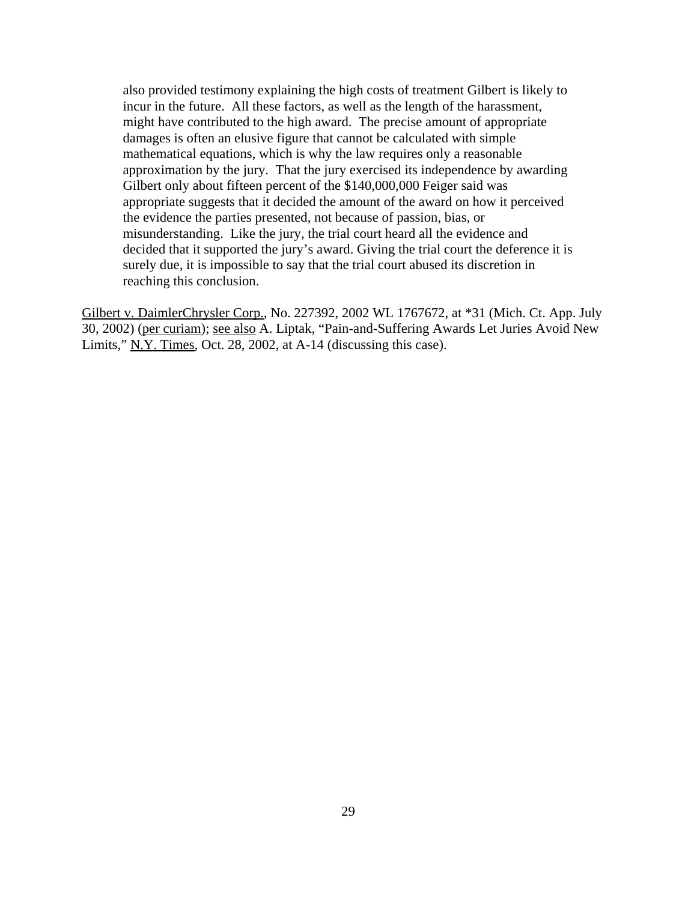also provided testimony explaining the high costs of treatment Gilbert is likely to incur in the future. All these factors, as well as the length of the harassment, might have contributed to the high award. The precise amount of appropriate damages is often an elusive figure that cannot be calculated with simple mathematical equations, which is why the law requires only a reasonable approximation by the jury. That the jury exercised its independence by awarding Gilbert only about fifteen percent of the \$140,000,000 Feiger said was appropriate suggests that it decided the amount of the award on how it perceived the evidence the parties presented, not because of passion, bias, or misunderstanding. Like the jury, the trial court heard all the evidence and decided that it supported the jury's award. Giving the trial court the deference it is surely due, it is impossible to say that the trial court abused its discretion in reaching this conclusion.

Gilbert v. DaimlerChrysler Corp., No. 227392, 2002 WL 1767672, at \*31 (Mich. Ct. App. July 30, 2002) (per curiam); see also A. Liptak, "Pain-and-Suffering Awards Let Juries Avoid New Limits," N.Y. Times, Oct. 28, 2002, at A-14 (discussing this case).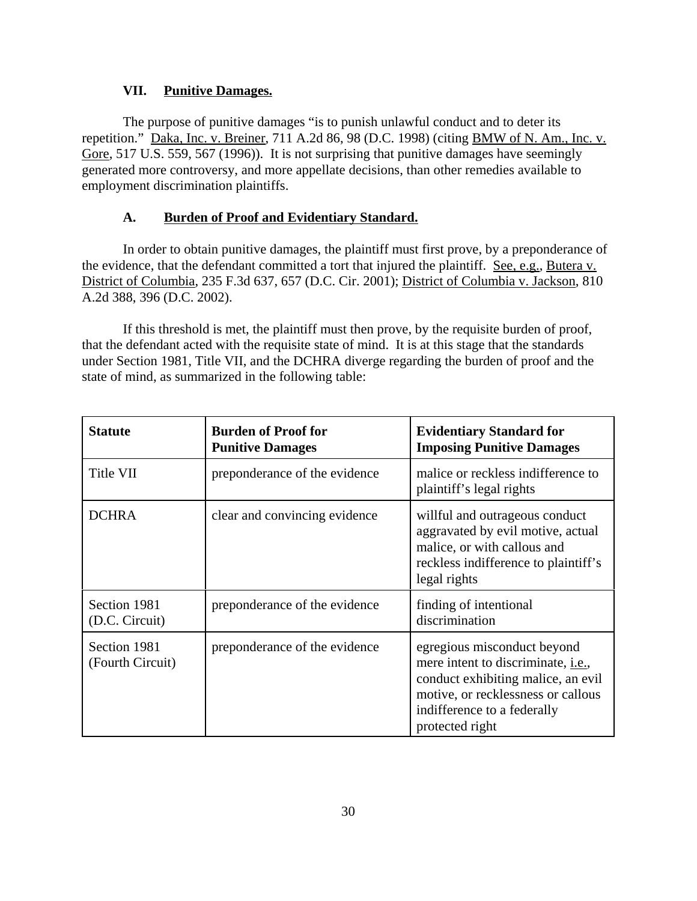### **VII. Punitive Damages.**

The purpose of punitive damages "is to punish unlawful conduct and to deter its repetition." Daka, Inc. v. Breiner, 711 A.2d 86, 98 (D.C. 1998) (citing BMW of N. Am., Inc. v. Gore, 517 U.S. 559, 567 (1996)). It is not surprising that punitive damages have seemingly generated more controversy, and more appellate decisions, than other remedies available to employment discrimination plaintiffs.

### **A. Burden of Proof and Evidentiary Standard.**

In order to obtain punitive damages, the plaintiff must first prove, by a preponderance of the evidence, that the defendant committed a tort that injured the plaintiff. See, e.g., Butera v. District of Columbia, 235 F.3d 637, 657 (D.C. Cir. 2001); District of Columbia v. Jackson, 810 A.2d 388, 396 (D.C. 2002).

If this threshold is met, the plaintiff must then prove, by the requisite burden of proof, that the defendant acted with the requisite state of mind. It is at this stage that the standards under Section 1981, Title VII, and the DCHRA diverge regarding the burden of proof and the state of mind, as summarized in the following table:

| <b>Statute</b>                   | <b>Burden of Proof for</b><br><b>Punitive Damages</b> | <b>Evidentiary Standard for</b><br><b>Imposing Punitive Damages</b>                                                                                                                                     |
|----------------------------------|-------------------------------------------------------|---------------------------------------------------------------------------------------------------------------------------------------------------------------------------------------------------------|
| Title VII                        | preponderance of the evidence                         | malice or reckless indifference to<br>plaintiff's legal rights                                                                                                                                          |
| <b>DCHRA</b>                     | clear and convincing evidence                         | willful and outrageous conduct<br>aggravated by evil motive, actual<br>malice, or with callous and<br>reckless indifference to plaintiff's<br>legal rights                                              |
| Section 1981<br>(D.C. Circuit)   | preponderance of the evidence                         | finding of intentional<br>discrimination                                                                                                                                                                |
| Section 1981<br>(Fourth Circuit) | preponderance of the evidence                         | egregious misconduct beyond<br>mere intent to discriminate, <i>i.e.</i> ,<br>conduct exhibiting malice, an evil<br>motive, or recklessness or callous<br>indifference to a federally<br>protected right |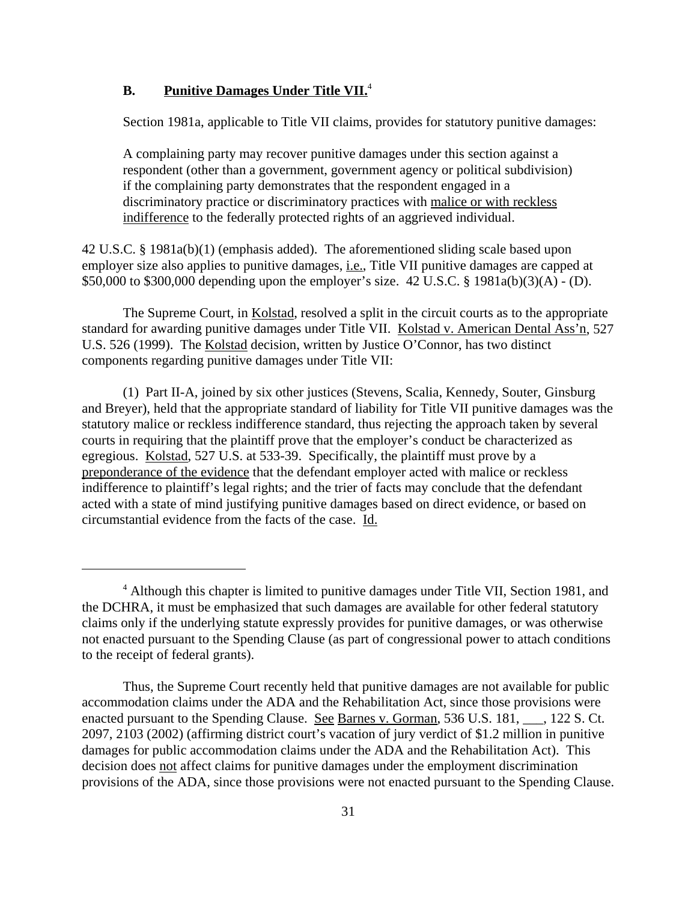### **B. Punitive Damages Under Title VII.**<sup>4</sup>

Section 1981a, applicable to Title VII claims, provides for statutory punitive damages:

A complaining party may recover punitive damages under this section against a respondent (other than a government, government agency or political subdivision) if the complaining party demonstrates that the respondent engaged in a discriminatory practice or discriminatory practices with malice or with reckless indifference to the federally protected rights of an aggrieved individual.

42 U.S.C. § 1981a(b)(1) (emphasis added). The aforementioned sliding scale based upon employer size also applies to punitive damages, *i.e.*, Title VII punitive damages are capped at \$50,000 to \$300,000 depending upon the employer's size. 42 U.S.C. § 1981a(b)(3)(A) - (D).

The Supreme Court, in Kolstad, resolved a split in the circuit courts as to the appropriate standard for awarding punitive damages under Title VII. Kolstad v. American Dental Ass'n, 527 U.S. 526 (1999). The Kolstad decision, written by Justice O'Connor, has two distinct components regarding punitive damages under Title VII:

(1) Part II-A, joined by six other justices (Stevens, Scalia, Kennedy, Souter, Ginsburg and Breyer), held that the appropriate standard of liability for Title VII punitive damages was the statutory malice or reckless indifference standard, thus rejecting the approach taken by several courts in requiring that the plaintiff prove that the employer's conduct be characterized as egregious. Kolstad, 527 U.S. at 533-39. Specifically, the plaintiff must prove by a preponderance of the evidence that the defendant employer acted with malice or reckless indifference to plaintiff's legal rights; and the trier of facts may conclude that the defendant acted with a state of mind justifying punitive damages based on direct evidence, or based on circumstantial evidence from the facts of the case. Id.

<sup>&</sup>lt;sup>4</sup> Although this chapter is limited to punitive damages under Title VII, Section 1981, and the DCHRA, it must be emphasized that such damages are available for other federal statutory claims only if the underlying statute expressly provides for punitive damages, or was otherwise not enacted pursuant to the Spending Clause (as part of congressional power to attach conditions to the receipt of federal grants).

Thus, the Supreme Court recently held that punitive damages are not available for public accommodation claims under the ADA and the Rehabilitation Act, since those provisions were enacted pursuant to the Spending Clause. See Barnes v. Gorman, 536 U.S. 181, \_\_\_, 122 S. Ct. 2097, 2103 (2002) (affirming district court's vacation of jury verdict of \$1.2 million in punitive damages for public accommodation claims under the ADA and the Rehabilitation Act). This decision does not affect claims for punitive damages under the employment discrimination provisions of the ADA, since those provisions were not enacted pursuant to the Spending Clause.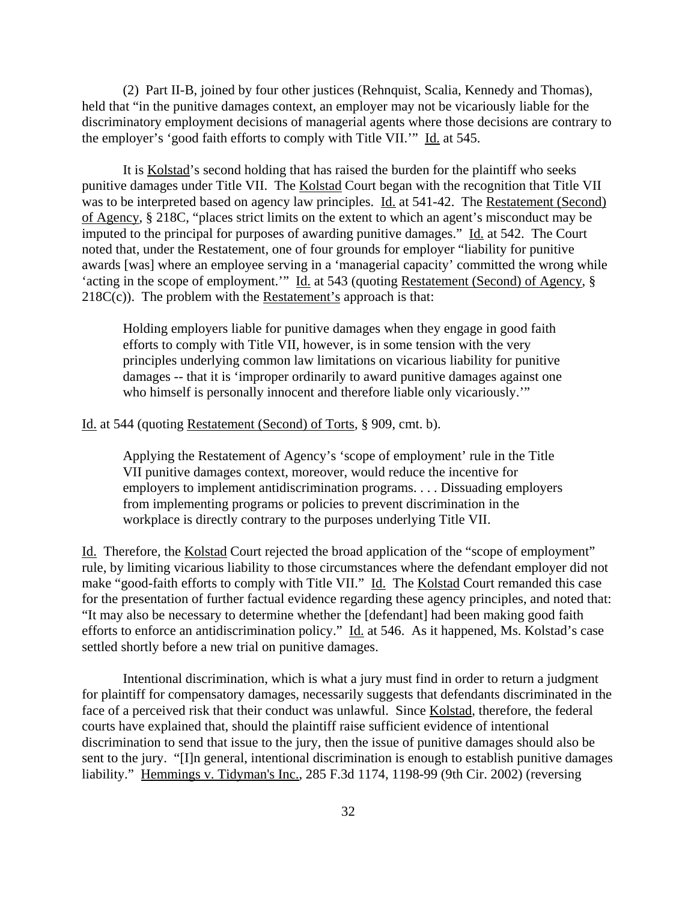(2) Part II-B, joined by four other justices (Rehnquist, Scalia, Kennedy and Thomas), held that "in the punitive damages context, an employer may not be vicariously liable for the discriminatory employment decisions of managerial agents where those decisions are contrary to the employer's 'good faith efforts to comply with Title VII.'" Id. at 545.

It is Kolstad's second holding that has raised the burden for the plaintiff who seeks punitive damages under Title VII. The Kolstad Court began with the recognition that Title VII was to be interpreted based on agency law principles. Id. at 541-42. The Restatement (Second) of Agency, § 218C, "places strict limits on the extent to which an agent's misconduct may be imputed to the principal for purposes of awarding punitive damages." Id. at 542. The Court noted that, under the Restatement, one of four grounds for employer "liability for punitive awards [was] where an employee serving in a 'managerial capacity' committed the wrong while 'acting in the scope of employment.'" Id. at 543 (quoting Restatement (Second) of Agency, §  $218C(c)$ . The problem with the Restatement's approach is that:

Holding employers liable for punitive damages when they engage in good faith efforts to comply with Title VII, however, is in some tension with the very principles underlying common law limitations on vicarious liability for punitive damages -- that it is 'improper ordinarily to award punitive damages against one who himself is personally innocent and therefore liable only vicariously."

Id. at 544 (quoting Restatement (Second) of Torts, § 909, cmt. b).

Applying the Restatement of Agency's 'scope of employment' rule in the Title VII punitive damages context, moreover, would reduce the incentive for employers to implement antidiscrimination programs. . . . Dissuading employers from implementing programs or policies to prevent discrimination in the workplace is directly contrary to the purposes underlying Title VII.

Id. Therefore, the Kolstad Court rejected the broad application of the "scope of employment" rule, by limiting vicarious liability to those circumstances where the defendant employer did not make "good-faith efforts to comply with Title VII." Id. The Kolstad Court remanded this case for the presentation of further factual evidence regarding these agency principles, and noted that: "It may also be necessary to determine whether the [defendant] had been making good faith efforts to enforce an antidiscrimination policy." Id. at 546. As it happened, Ms. Kolstad's case settled shortly before a new trial on punitive damages.

Intentional discrimination, which is what a jury must find in order to return a judgment for plaintiff for compensatory damages, necessarily suggests that defendants discriminated in the face of a perceived risk that their conduct was unlawful. Since Kolstad, therefore, the federal courts have explained that, should the plaintiff raise sufficient evidence of intentional discrimination to send that issue to the jury, then the issue of punitive damages should also be sent to the jury. "[I]n general, intentional discrimination is enough to establish punitive damages liability." Hemmings v. Tidyman's Inc., 285 F.3d 1174, 1198-99 (9th Cir. 2002) (reversing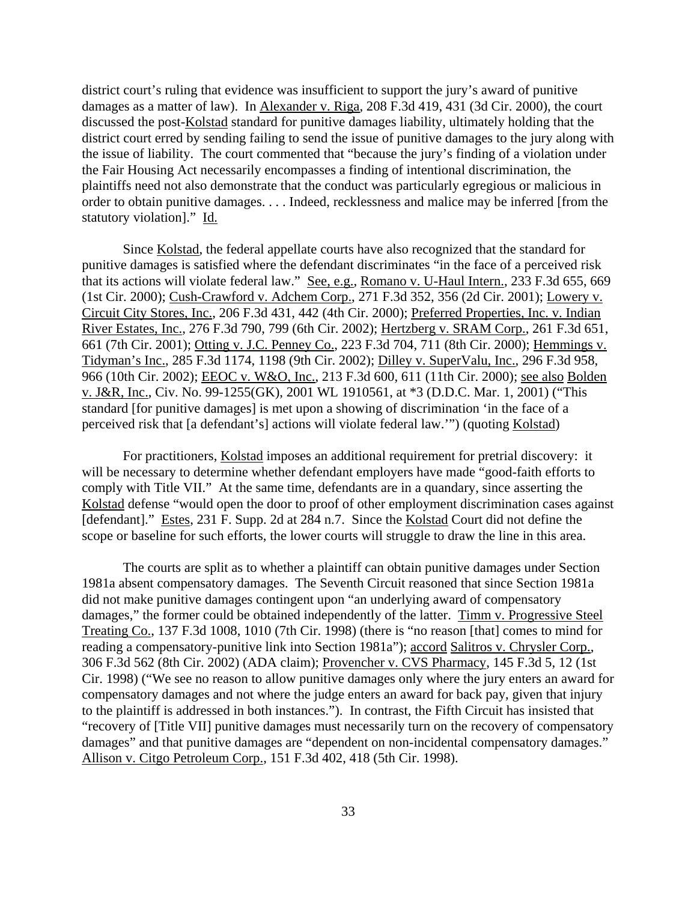district court's ruling that evidence was insufficient to support the jury's award of punitive damages as a matter of law). In Alexander v. Riga, 208 F.3d 419, 431 (3d Cir. 2000), the court discussed the post-Kolstad standard for punitive damages liability, ultimately holding that the district court erred by sending failing to send the issue of punitive damages to the jury along with the issue of liability. The court commented that "because the jury's finding of a violation under the Fair Housing Act necessarily encompasses a finding of intentional discrimination, the plaintiffs need not also demonstrate that the conduct was particularly egregious or malicious in order to obtain punitive damages. . . . Indeed, recklessness and malice may be inferred [from the statutory violation]." Id.

Since Kolstad, the federal appellate courts have also recognized that the standard for punitive damages is satisfied where the defendant discriminates "in the face of a perceived risk that its actions will violate federal law." See, e.g., Romano v. U-Haul Intern., 233 F.3d 655, 669 (1st Cir. 2000); Cush-Crawford v. Adchem Corp., 271 F.3d 352, 356 (2d Cir. 2001); Lowery v. Circuit City Stores, Inc., 206 F.3d 431, 442 (4th Cir. 2000); Preferred Properties, Inc. v. Indian River Estates, Inc., 276 F.3d 790, 799 (6th Cir. 2002); Hertzberg v. SRAM Corp., 261 F.3d 651, 661 (7th Cir. 2001); Otting v. J.C. Penney Co., 223 F.3d 704, 711 (8th Cir. 2000); Hemmings v. Tidyman's Inc., 285 F.3d 1174, 1198 (9th Cir. 2002); Dilley v. SuperValu, Inc., 296 F.3d 958, 966 (10th Cir. 2002); EEOC v. W&O, Inc., 213 F.3d 600, 611 (11th Cir. 2000); see also Bolden v. J&R, Inc., Civ. No. 99-1255(GK), 2001 WL 1910561, at \*3 (D.D.C. Mar. 1, 2001) ("This standard [for punitive damages] is met upon a showing of discrimination 'in the face of a perceived risk that [a defendant's] actions will violate federal law.'") (quoting Kolstad)

For practitioners, Kolstad imposes an additional requirement for pretrial discovery: it will be necessary to determine whether defendant employers have made "good-faith efforts to comply with Title VII." At the same time, defendants are in a quandary, since asserting the Kolstad defense "would open the door to proof of other employment discrimination cases against [defendant]." Estes, 231 F. Supp. 2d at 284 n.7. Since the Kolstad Court did not define the scope or baseline for such efforts, the lower courts will struggle to draw the line in this area.

The courts are split as to whether a plaintiff can obtain punitive damages under Section 1981a absent compensatory damages. The Seventh Circuit reasoned that since Section 1981a did not make punitive damages contingent upon "an underlying award of compensatory damages," the former could be obtained independently of the latter. Timm v. Progressive Steel Treating Co., 137 F.3d 1008, 1010 (7th Cir. 1998) (there is "no reason [that] comes to mind for reading a compensatory-punitive link into Section 1981a"); accord Salitros v. Chrysler Corp., 306 F.3d 562 (8th Cir. 2002) (ADA claim); Provencher v. CVS Pharmacy, 145 F.3d 5, 12 (1st Cir. 1998) ("We see no reason to allow punitive damages only where the jury enters an award for compensatory damages and not where the judge enters an award for back pay, given that injury to the plaintiff is addressed in both instances."). In contrast, the Fifth Circuit has insisted that "recovery of [Title VII] punitive damages must necessarily turn on the recovery of compensatory damages" and that punitive damages are "dependent on non-incidental compensatory damages." Allison v. Citgo Petroleum Corp., 151 F.3d 402, 418 (5th Cir. 1998).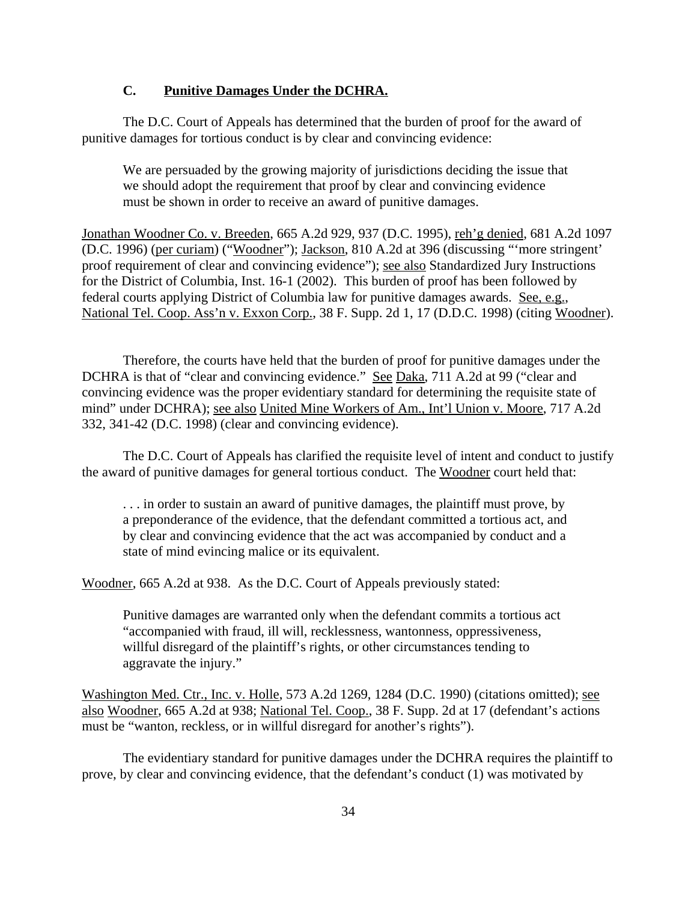### **C. Punitive Damages Under the DCHRA.**

The D.C. Court of Appeals has determined that the burden of proof for the award of punitive damages for tortious conduct is by clear and convincing evidence:

We are persuaded by the growing majority of jurisdictions deciding the issue that we should adopt the requirement that proof by clear and convincing evidence must be shown in order to receive an award of punitive damages.

Jonathan Woodner Co. v. Breeden, 665 A.2d 929, 937 (D.C. 1995), reh'g denied, 681 A.2d 1097 (D.C. 1996) (per curiam) ("Woodner"); Jackson, 810 A.2d at 396 (discussing "'more stringent' proof requirement of clear and convincing evidence"); see also Standardized Jury Instructions for the District of Columbia, Inst. 16-1 (2002). This burden of proof has been followed by federal courts applying District of Columbia law for punitive damages awards. See, e.g., National Tel. Coop. Ass'n v. Exxon Corp., 38 F. Supp. 2d 1, 17 (D.D.C. 1998) (citing Woodner).

Therefore, the courts have held that the burden of proof for punitive damages under the DCHRA is that of "clear and convincing evidence." See Daka, 711 A.2d at 99 ("clear and convincing evidence was the proper evidentiary standard for determining the requisite state of mind" under DCHRA); see also United Mine Workers of Am., Int'l Union v. Moore, 717 A.2d 332, 341-42 (D.C. 1998) (clear and convincing evidence).

The D.C. Court of Appeals has clarified the requisite level of intent and conduct to justify the award of punitive damages for general tortious conduct. The Woodner court held that:

. . . in order to sustain an award of punitive damages, the plaintiff must prove, by a preponderance of the evidence, that the defendant committed a tortious act, and by clear and convincing evidence that the act was accompanied by conduct and a state of mind evincing malice or its equivalent.

Woodner, 665 A.2d at 938. As the D.C. Court of Appeals previously stated:

Punitive damages are warranted only when the defendant commits a tortious act "accompanied with fraud, ill will, recklessness, wantonness, oppressiveness, willful disregard of the plaintiff's rights, or other circumstances tending to aggravate the injury."

Washington Med. Ctr., Inc. v. Holle, 573 A.2d 1269, 1284 (D.C. 1990) (citations omitted); see also Woodner, 665 A.2d at 938; National Tel. Coop., 38 F. Supp. 2d at 17 (defendant's actions must be "wanton, reckless, or in willful disregard for another's rights").

The evidentiary standard for punitive damages under the DCHRA requires the plaintiff to prove, by clear and convincing evidence, that the defendant's conduct (1) was motivated by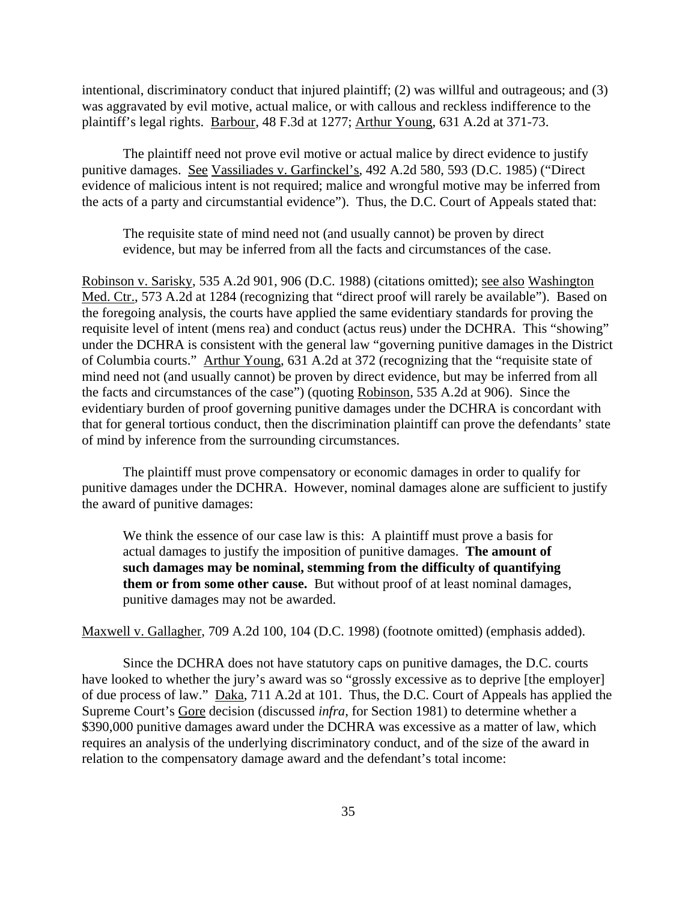intentional, discriminatory conduct that injured plaintiff; (2) was willful and outrageous; and (3) was aggravated by evil motive, actual malice, or with callous and reckless indifference to the plaintiff's legal rights. Barbour, 48 F.3d at 1277; Arthur Young, 631 A.2d at 371-73.

The plaintiff need not prove evil motive or actual malice by direct evidence to justify punitive damages. See Vassiliades v. Garfinckel's, 492 A.2d 580, 593 (D.C. 1985) ("Direct evidence of malicious intent is not required; malice and wrongful motive may be inferred from the acts of a party and circumstantial evidence"). Thus, the D.C. Court of Appeals stated that:

The requisite state of mind need not (and usually cannot) be proven by direct evidence, but may be inferred from all the facts and circumstances of the case.

Robinson v. Sarisky, 535 A.2d 901, 906 (D.C. 1988) (citations omitted); see also Washington Med. Ctr., 573 A.2d at 1284 (recognizing that "direct proof will rarely be available"). Based on the foregoing analysis, the courts have applied the same evidentiary standards for proving the requisite level of intent (mens rea) and conduct (actus reus) under the DCHRA. This "showing" under the DCHRA is consistent with the general law "governing punitive damages in the District of Columbia courts." Arthur Young, 631 A.2d at 372 (recognizing that the "requisite state of mind need not (and usually cannot) be proven by direct evidence, but may be inferred from all the facts and circumstances of the case") (quoting Robinson, 535 A.2d at 906). Since the evidentiary burden of proof governing punitive damages under the DCHRA is concordant with that for general tortious conduct, then the discrimination plaintiff can prove the defendants' state of mind by inference from the surrounding circumstances.

The plaintiff must prove compensatory or economic damages in order to qualify for punitive damages under the DCHRA. However, nominal damages alone are sufficient to justify the award of punitive damages:

We think the essence of our case law is this: A plaintiff must prove a basis for actual damages to justify the imposition of punitive damages. **The amount of such damages may be nominal, stemming from the difficulty of quantifying them or from some other cause.** But without proof of at least nominal damages, punitive damages may not be awarded.

Maxwell v. Gallagher, 709 A.2d 100, 104 (D.C. 1998) (footnote omitted) (emphasis added).

Since the DCHRA does not have statutory caps on punitive damages, the D.C. courts have looked to whether the jury's award was so "grossly excessive as to deprive [the employer] of due process of law." Daka, 711 A.2d at 101. Thus, the D.C. Court of Appeals has applied the Supreme Court's Gore decision (discussed *infra*, for Section 1981) to determine whether a \$390,000 punitive damages award under the DCHRA was excessive as a matter of law, which requires an analysis of the underlying discriminatory conduct, and of the size of the award in relation to the compensatory damage award and the defendant's total income: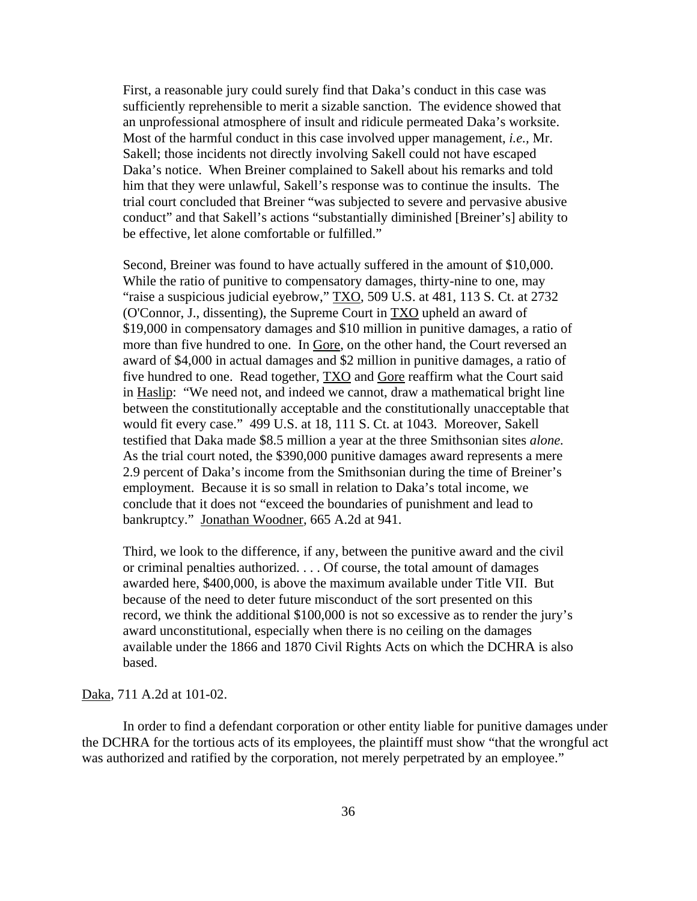First, a reasonable jury could surely find that Daka's conduct in this case was sufficiently reprehensible to merit a sizable sanction. The evidence showed that an unprofessional atmosphere of insult and ridicule permeated Daka's worksite. Most of the harmful conduct in this case involved upper management, *i.e.,* Mr. Sakell; those incidents not directly involving Sakell could not have escaped Daka's notice. When Breiner complained to Sakell about his remarks and told him that they were unlawful, Sakell's response was to continue the insults. The trial court concluded that Breiner "was subjected to severe and pervasive abusive conduct" and that Sakell's actions "substantially diminished [Breiner's] ability to be effective, let alone comfortable or fulfilled."

Second, Breiner was found to have actually suffered in the amount of \$10,000. While the ratio of punitive to compensatory damages, thirty-nine to one, may "raise a suspicious judicial eyebrow," TXO, 509 U.S. at 481, 113 S. Ct. at 2732 (O'Connor, J., dissenting), the Supreme Court in TXO upheld an award of \$19,000 in compensatory damages and \$10 million in punitive damages, a ratio of more than five hundred to one. In Gore, on the other hand, the Court reversed an award of \$4,000 in actual damages and \$2 million in punitive damages, a ratio of five hundred to one. Read together, TXO and Gore reaffirm what the Court said in Haslip: "We need not, and indeed we cannot, draw a mathematical bright line between the constitutionally acceptable and the constitutionally unacceptable that would fit every case." 499 U.S. at 18, 111 S. Ct. at 1043. Moreover, Sakell testified that Daka made \$8.5 million a year at the three Smithsonian sites *alone.* As the trial court noted, the \$390,000 punitive damages award represents a mere 2.9 percent of Daka's income from the Smithsonian during the time of Breiner's employment. Because it is so small in relation to Daka's total income, we conclude that it does not "exceed the boundaries of punishment and lead to bankruptcy." Jonathan Woodner, 665 A.2d at 941.

Third, we look to the difference, if any, between the punitive award and the civil or criminal penalties authorized. . . . Of course, the total amount of damages awarded here, \$400,000, is above the maximum available under Title VII. But because of the need to deter future misconduct of the sort presented on this record, we think the additional \$100,000 is not so excessive as to render the jury's award unconstitutional, especially when there is no ceiling on the damages available under the 1866 and 1870 Civil Rights Acts on which the DCHRA is also based.

#### Daka, 711 A.2d at 101-02.

In order to find a defendant corporation or other entity liable for punitive damages under the DCHRA for the tortious acts of its employees, the plaintiff must show "that the wrongful act was authorized and ratified by the corporation, not merely perpetrated by an employee."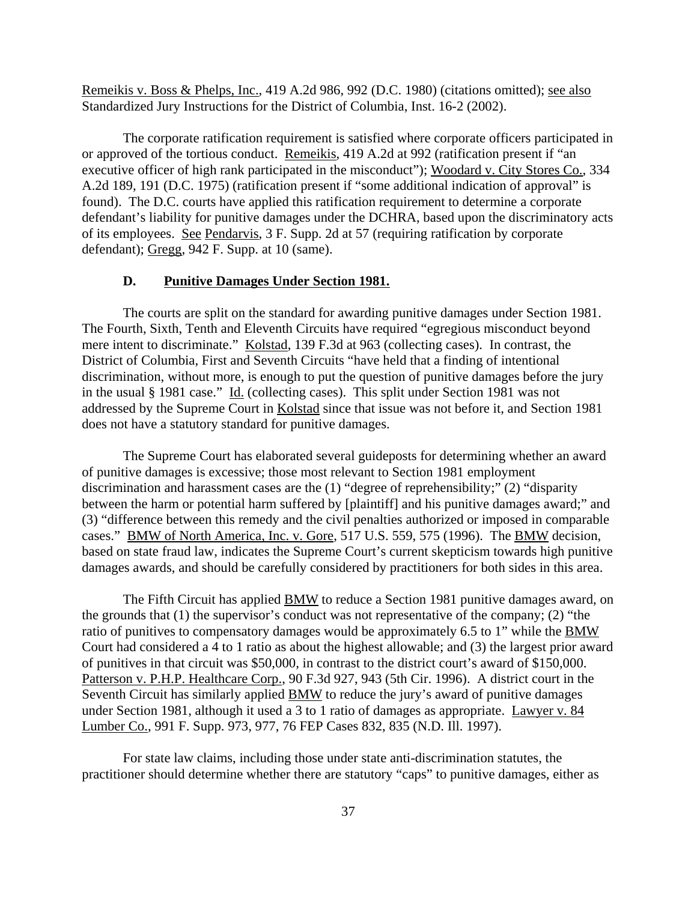Remeikis v. Boss & Phelps, Inc., 419 A.2d 986, 992 (D.C. 1980) (citations omitted); see also Standardized Jury Instructions for the District of Columbia, Inst. 16-2 (2002).

The corporate ratification requirement is satisfied where corporate officers participated in or approved of the tortious conduct. Remeikis, 419 A.2d at 992 (ratification present if "an executive officer of high rank participated in the misconduct"); Woodard v. City Stores Co., 334 A.2d 189, 191 (D.C. 1975) (ratification present if "some additional indication of approval" is found). The D.C. courts have applied this ratification requirement to determine a corporate defendant's liability for punitive damages under the DCHRA, based upon the discriminatory acts of its employees. See Pendarvis, 3 F. Supp. 2d at 57 (requiring ratification by corporate defendant); Gregg, 942 F. Supp. at 10 (same).

#### **D. Punitive Damages Under Section 1981.**

The courts are split on the standard for awarding punitive damages under Section 1981. The Fourth, Sixth, Tenth and Eleventh Circuits have required "egregious misconduct beyond mere intent to discriminate." Kolstad, 139 F.3d at 963 (collecting cases). In contrast, the District of Columbia, First and Seventh Circuits "have held that a finding of intentional discrimination, without more, is enough to put the question of punitive damages before the jury in the usual § 1981 case." Id. (collecting cases). This split under Section 1981 was not addressed by the Supreme Court in Kolstad since that issue was not before it, and Section 1981 does not have a statutory standard for punitive damages.

The Supreme Court has elaborated several guideposts for determining whether an award of punitive damages is excessive; those most relevant to Section 1981 employment discrimination and harassment cases are the (1) "degree of reprehensibility;" (2) "disparity between the harm or potential harm suffered by [plaintiff] and his punitive damages award;" and (3) "difference between this remedy and the civil penalties authorized or imposed in comparable cases." BMW of North America, Inc. v. Gore, 517 U.S. 559, 575 (1996). The BMW decision, based on state fraud law, indicates the Supreme Court's current skepticism towards high punitive damages awards, and should be carefully considered by practitioners for both sides in this area.

The Fifth Circuit has applied **BMW** to reduce a Section 1981 punitive damages award, on the grounds that (1) the supervisor's conduct was not representative of the company; (2) "the ratio of punitives to compensatory damages would be approximately 6.5 to 1" while the BMW Court had considered a 4 to 1 ratio as about the highest allowable; and (3) the largest prior award of punitives in that circuit was \$50,000, in contrast to the district court's award of \$150,000. Patterson v. P.H.P. Healthcare Corp., 90 F.3d 927, 943 (5th Cir. 1996). A district court in the Seventh Circuit has similarly applied BMW to reduce the jury's award of punitive damages under Section 1981, although it used a 3 to 1 ratio of damages as appropriate. Lawyer v. 84 Lumber Co., 991 F. Supp. 973, 977, 76 FEP Cases 832, 835 (N.D. Ill. 1997).

For state law claims, including those under state anti-discrimination statutes, the practitioner should determine whether there are statutory "caps" to punitive damages, either as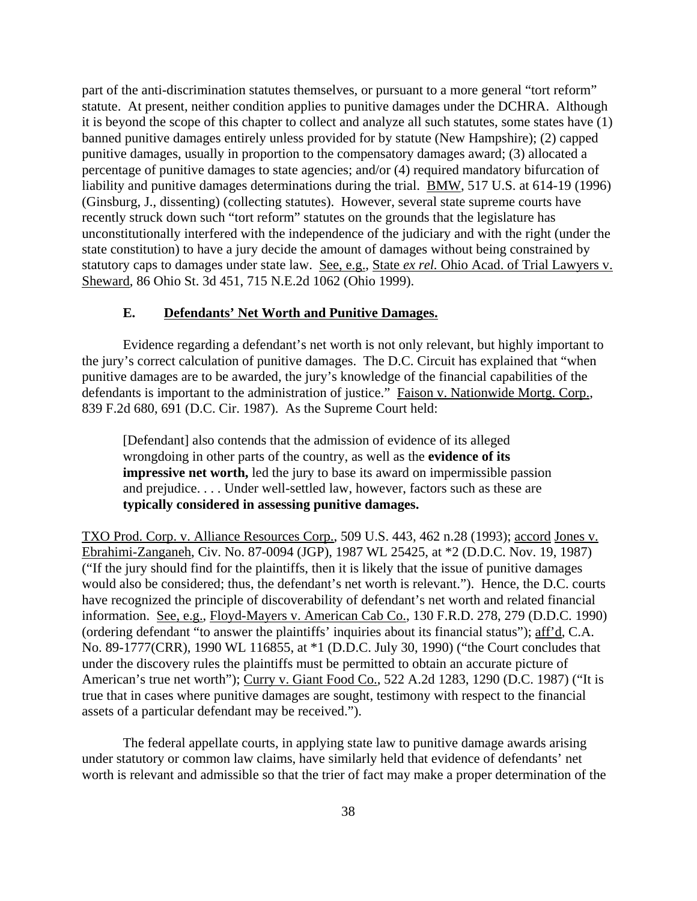part of the anti-discrimination statutes themselves, or pursuant to a more general "tort reform" statute. At present, neither condition applies to punitive damages under the DCHRA. Although it is beyond the scope of this chapter to collect and analyze all such statutes, some states have (1) banned punitive damages entirely unless provided for by statute (New Hampshire); (2) capped punitive damages, usually in proportion to the compensatory damages award; (3) allocated a percentage of punitive damages to state agencies; and/or (4) required mandatory bifurcation of liability and punitive damages determinations during the trial. BMW, 517 U.S. at 614-19 (1996) (Ginsburg, J., dissenting) (collecting statutes). However, several state supreme courts have recently struck down such "tort reform" statutes on the grounds that the legislature has unconstitutionally interfered with the independence of the judiciary and with the right (under the state constitution) to have a jury decide the amount of damages without being constrained by statutory caps to damages under state law. See, e.g., State *ex rel.* Ohio Acad. of Trial Lawyers v. Sheward, 86 Ohio St. 3d 451, 715 N.E.2d 1062 (Ohio 1999).

### **E. Defendants' Net Worth and Punitive Damages.**

Evidence regarding a defendant's net worth is not only relevant, but highly important to the jury's correct calculation of punitive damages. The D.C. Circuit has explained that "when punitive damages are to be awarded, the jury's knowledge of the financial capabilities of the defendants is important to the administration of justice." Faison v. Nationwide Mortg. Corp., 839 F.2d 680, 691 (D.C. Cir. 1987). As the Supreme Court held:

[Defendant] also contends that the admission of evidence of its alleged wrongdoing in other parts of the country, as well as the **evidence of its impressive net worth,** led the jury to base its award on impermissible passion and prejudice. . . . Under well-settled law, however, factors such as these are **typically considered in assessing punitive damages.**

TXO Prod. Corp. v. Alliance Resources Corp., 509 U.S. 443, 462 n.28 (1993); accord Jones v. Ebrahimi-Zanganeh, Civ. No. 87-0094 (JGP), 1987 WL 25425, at \*2 (D.D.C. Nov. 19, 1987) ("If the jury should find for the plaintiffs, then it is likely that the issue of punitive damages would also be considered; thus, the defendant's net worth is relevant."). Hence, the D.C. courts have recognized the principle of discoverability of defendant's net worth and related financial information. See, e.g., Floyd-Mayers v. American Cab Co., 130 F.R.D. 278, 279 (D.D.C. 1990) (ordering defendant "to answer the plaintiffs' inquiries about its financial status"); aff'd, C.A. No. 89-1777(CRR), 1990 WL 116855, at \*1 (D.D.C. July 30, 1990) ("the Court concludes that under the discovery rules the plaintiffs must be permitted to obtain an accurate picture of American's true net worth"); Curry v. Giant Food Co., 522 A.2d 1283, 1290 (D.C. 1987) ("It is true that in cases where punitive damages are sought, testimony with respect to the financial assets of a particular defendant may be received.").

The federal appellate courts, in applying state law to punitive damage awards arising under statutory or common law claims, have similarly held that evidence of defendants' net worth is relevant and admissible so that the trier of fact may make a proper determination of the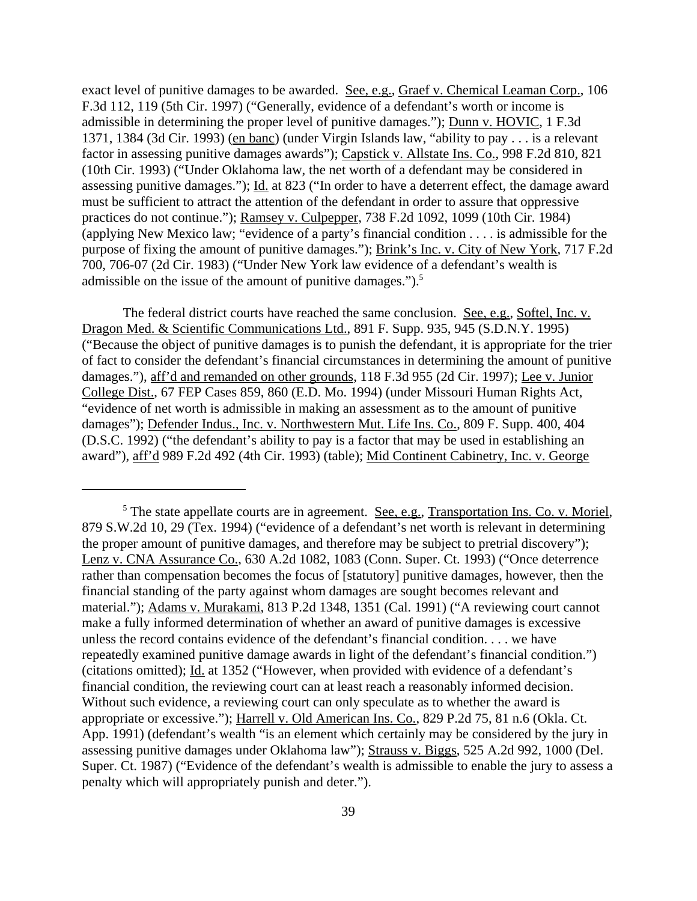exact level of punitive damages to be awarded. See, e.g., Graef v. Chemical Leaman Corp., 106 F.3d 112, 119 (5th Cir. 1997) ("Generally, evidence of a defendant's worth or income is admissible in determining the proper level of punitive damages."); Dunn v. HOVIC, 1 F.3d 1371, 1384 (3d Cir. 1993) (en banc) (under Virgin Islands law, "ability to pay . . . is a relevant factor in assessing punitive damages awards"); Capstick v. Allstate Ins. Co., 998 F.2d 810, 821 (10th Cir. 1993) ("Under Oklahoma law, the net worth of a defendant may be considered in assessing punitive damages."); Id. at 823 ("In order to have a deterrent effect, the damage award must be sufficient to attract the attention of the defendant in order to assure that oppressive practices do not continue."); Ramsey v. Culpepper, 738 F.2d 1092, 1099 (10th Cir. 1984) (applying New Mexico law; "evidence of a party's financial condition . . . . is admissible for the purpose of fixing the amount of punitive damages."); Brink's Inc. v. City of New York, 717 F.2d 700, 706-07 (2d Cir. 1983) ("Under New York law evidence of a defendant's wealth is admissible on the issue of the amount of punitive damages.").<sup>5</sup>

The federal district courts have reached the same conclusion. See, e.g., Softel, Inc. v. Dragon Med. & Scientific Communications Ltd., 891 F. Supp. 935, 945 (S.D.N.Y. 1995) ("Because the object of punitive damages is to punish the defendant, it is appropriate for the trier of fact to consider the defendant's financial circumstances in determining the amount of punitive damages."), aff'd and remanded on other grounds, 118 F.3d 955 (2d Cir. 1997); Lee v. Junior College Dist., 67 FEP Cases 859, 860 (E.D. Mo. 1994) (under Missouri Human Rights Act, "evidence of net worth is admissible in making an assessment as to the amount of punitive damages"); Defender Indus., Inc. v. Northwestern Mut. Life Ins. Co., 809 F. Supp. 400, 404 (D.S.C. 1992) ("the defendant's ability to pay is a factor that may be used in establishing an award"), aff'd 989 F.2d 492 (4th Cir. 1993) (table); Mid Continent Cabinetry, Inc. v. George

<sup>&</sup>lt;sup>5</sup> The state appellate courts are in agreement. See, e.g., Transportation Ins. Co. v. Moriel, 879 S.W.2d 10, 29 (Tex. 1994) ("evidence of a defendant's net worth is relevant in determining the proper amount of punitive damages, and therefore may be subject to pretrial discovery"); Lenz v. CNA Assurance Co., 630 A.2d 1082, 1083 (Conn. Super. Ct. 1993) ("Once deterrence rather than compensation becomes the focus of [statutory] punitive damages, however, then the financial standing of the party against whom damages are sought becomes relevant and material."); Adams v. Murakami, 813 P.2d 1348, 1351 (Cal. 1991) ("A reviewing court cannot make a fully informed determination of whether an award of punitive damages is excessive unless the record contains evidence of the defendant's financial condition. . . . we have repeatedly examined punitive damage awards in light of the defendant's financial condition.") (citations omitted); Id. at 1352 ("However, when provided with evidence of a defendant's financial condition, the reviewing court can at least reach a reasonably informed decision. Without such evidence, a reviewing court can only speculate as to whether the award is appropriate or excessive."); Harrell v. Old American Ins. Co., 829 P.2d 75, 81 n.6 (Okla. Ct. App. 1991) (defendant's wealth "is an element which certainly may be considered by the jury in assessing punitive damages under Oklahoma law"); Strauss v. Biggs, 525 A.2d 992, 1000 (Del. Super. Ct. 1987) ("Evidence of the defendant's wealth is admissible to enable the jury to assess a penalty which will appropriately punish and deter.").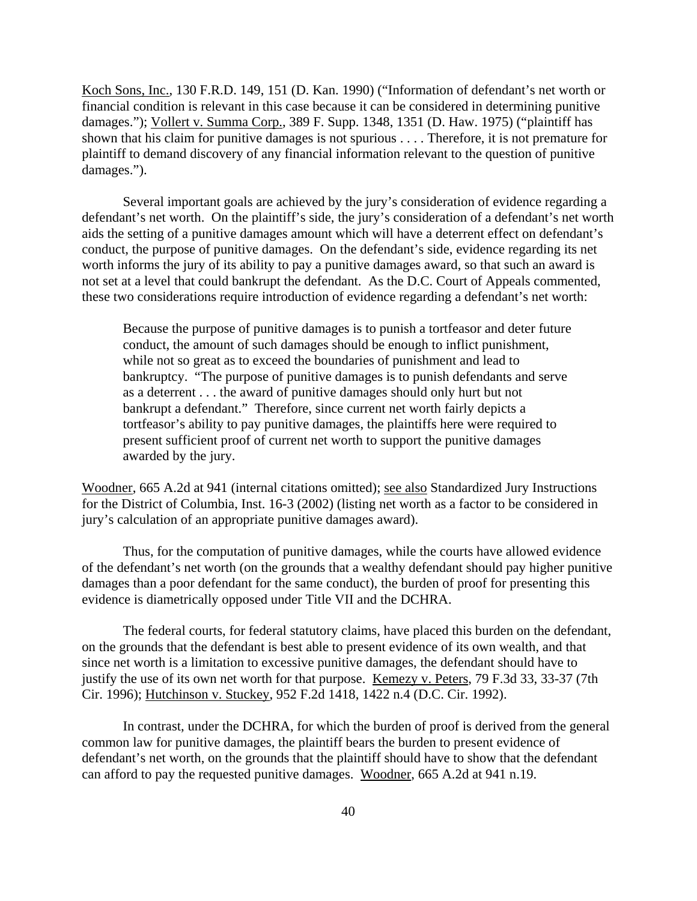Koch Sons, Inc., 130 F.R.D. 149, 151 (D. Kan. 1990) ("Information of defendant's net worth or financial condition is relevant in this case because it can be considered in determining punitive damages."); Vollert v. Summa Corp., 389 F. Supp. 1348, 1351 (D. Haw. 1975) ("plaintiff has shown that his claim for punitive damages is not spurious . . . . Therefore, it is not premature for plaintiff to demand discovery of any financial information relevant to the question of punitive damages.").

Several important goals are achieved by the jury's consideration of evidence regarding a defendant's net worth. On the plaintiff's side, the jury's consideration of a defendant's net worth aids the setting of a punitive damages amount which will have a deterrent effect on defendant's conduct, the purpose of punitive damages. On the defendant's side, evidence regarding its net worth informs the jury of its ability to pay a punitive damages award, so that such an award is not set at a level that could bankrupt the defendant. As the D.C. Court of Appeals commented, these two considerations require introduction of evidence regarding a defendant's net worth:

Because the purpose of punitive damages is to punish a tortfeasor and deter future conduct, the amount of such damages should be enough to inflict punishment, while not so great as to exceed the boundaries of punishment and lead to bankruptcy. "The purpose of punitive damages is to punish defendants and serve as a deterrent . . . the award of punitive damages should only hurt but not bankrupt a defendant." Therefore, since current net worth fairly depicts a tortfeasor's ability to pay punitive damages, the plaintiffs here were required to present sufficient proof of current net worth to support the punitive damages awarded by the jury.

Woodner, 665 A.2d at 941 (internal citations omitted); see also Standardized Jury Instructions for the District of Columbia, Inst. 16-3 (2002) (listing net worth as a factor to be considered in jury's calculation of an appropriate punitive damages award).

Thus, for the computation of punitive damages, while the courts have allowed evidence of the defendant's net worth (on the grounds that a wealthy defendant should pay higher punitive damages than a poor defendant for the same conduct), the burden of proof for presenting this evidence is diametrically opposed under Title VII and the DCHRA.

The federal courts, for federal statutory claims, have placed this burden on the defendant, on the grounds that the defendant is best able to present evidence of its own wealth, and that since net worth is a limitation to excessive punitive damages, the defendant should have to justify the use of its own net worth for that purpose. Kemezy v. Peters, 79 F.3d 33, 33-37 (7th Cir. 1996); Hutchinson v. Stuckey, 952 F.2d 1418, 1422 n.4 (D.C. Cir. 1992).

In contrast, under the DCHRA, for which the burden of proof is derived from the general common law for punitive damages, the plaintiff bears the burden to present evidence of defendant's net worth, on the grounds that the plaintiff should have to show that the defendant can afford to pay the requested punitive damages. Woodner, 665 A.2d at 941 n.19.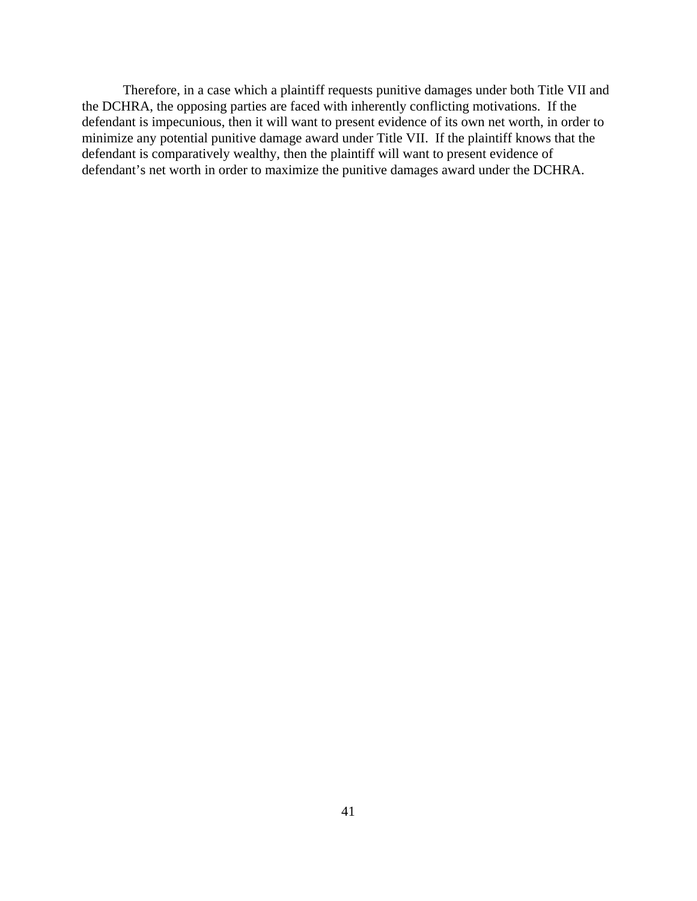Therefore, in a case which a plaintiff requests punitive damages under both Title VII and the DCHRA, the opposing parties are faced with inherently conflicting motivations. If the defendant is impecunious, then it will want to present evidence of its own net worth, in order to minimize any potential punitive damage award under Title VII. If the plaintiff knows that the defendant is comparatively wealthy, then the plaintiff will want to present evidence of defendant's net worth in order to maximize the punitive damages award under the DCHRA.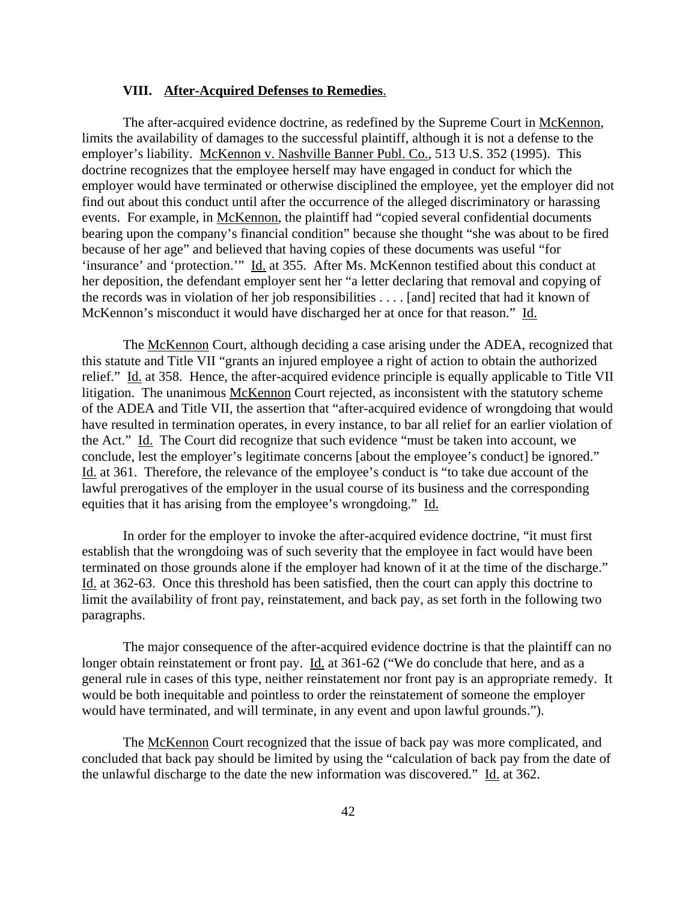### **VIII. After-Acquired Defenses to Remedies**.

The after-acquired evidence doctrine, as redefined by the Supreme Court in McKennon, limits the availability of damages to the successful plaintiff, although it is not a defense to the employer's liability. McKennon v. Nashville Banner Publ. Co., 513 U.S. 352 (1995). This doctrine recognizes that the employee herself may have engaged in conduct for which the employer would have terminated or otherwise disciplined the employee, yet the employer did not find out about this conduct until after the occurrence of the alleged discriminatory or harassing events. For example, in McKennon, the plaintiff had "copied several confidential documents bearing upon the company's financial condition" because she thought "she was about to be fired because of her age" and believed that having copies of these documents was useful "for 'insurance' and 'protection.'" Id. at 355. After Ms. McKennon testified about this conduct at her deposition, the defendant employer sent her "a letter declaring that removal and copying of the records was in violation of her job responsibilities . . . . [and] recited that had it known of McKennon's misconduct it would have discharged her at once for that reason." Id.

The McKennon Court, although deciding a case arising under the ADEA, recognized that this statute and Title VII "grants an injured employee a right of action to obtain the authorized relief." Id. at 358. Hence, the after-acquired evidence principle is equally applicable to Title VII litigation. The unanimous McKennon Court rejected, as inconsistent with the statutory scheme of the ADEA and Title VII, the assertion that "after-acquired evidence of wrongdoing that would have resulted in termination operates, in every instance, to bar all relief for an earlier violation of the Act." Id. The Court did recognize that such evidence "must be taken into account, we conclude, lest the employer's legitimate concerns [about the employee's conduct] be ignored." Id. at 361. Therefore, the relevance of the employee's conduct is "to take due account of the lawful prerogatives of the employer in the usual course of its business and the corresponding equities that it has arising from the employee's wrongdoing." Id.

In order for the employer to invoke the after-acquired evidence doctrine, "it must first establish that the wrongdoing was of such severity that the employee in fact would have been terminated on those grounds alone if the employer had known of it at the time of the discharge." Id. at 362-63. Once this threshold has been satisfied, then the court can apply this doctrine to limit the availability of front pay, reinstatement, and back pay, as set forth in the following two paragraphs.

The major consequence of the after-acquired evidence doctrine is that the plaintiff can no longer obtain reinstatement or front pay. Id. at 361-62 ("We do conclude that here, and as a general rule in cases of this type, neither reinstatement nor front pay is an appropriate remedy. It would be both inequitable and pointless to order the reinstatement of someone the employer would have terminated, and will terminate, in any event and upon lawful grounds.").

The McKennon Court recognized that the issue of back pay was more complicated, and concluded that back pay should be limited by using the "calculation of back pay from the date of the unlawful discharge to the date the new information was discovered." Id. at 362.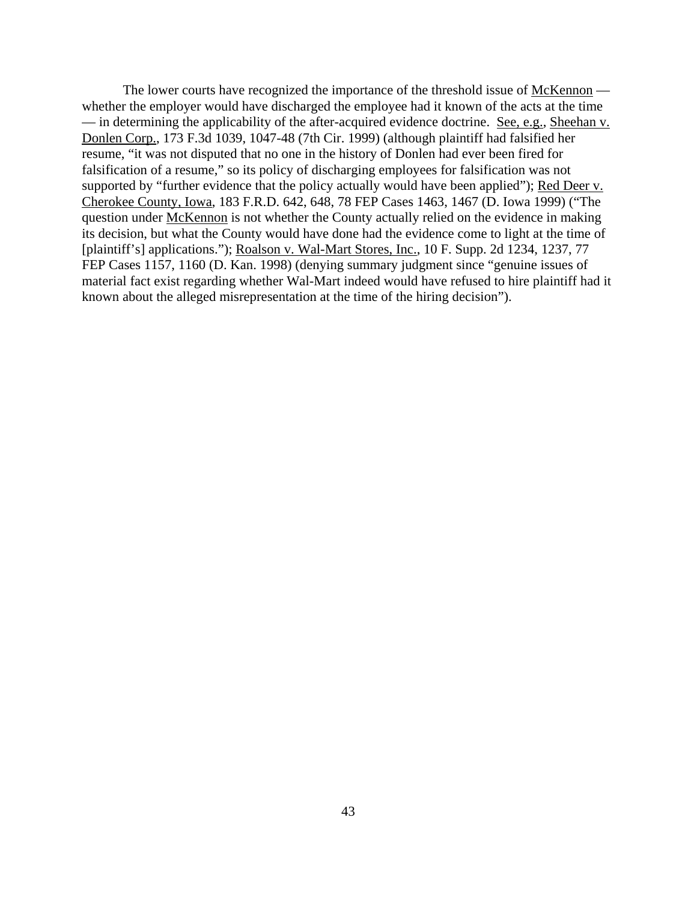The lower courts have recognized the importance of the threshold issue of McKennon whether the employer would have discharged the employee had it known of the acts at the time — in determining the applicability of the after-acquired evidence doctrine. See, e.g., Sheehan v. Donlen Corp., 173 F.3d 1039, 1047-48 (7th Cir. 1999) (although plaintiff had falsified her resume, "it was not disputed that no one in the history of Donlen had ever been fired for falsification of a resume," so its policy of discharging employees for falsification was not supported by "further evidence that the policy actually would have been applied"); Red Deer v. Cherokee County, Iowa, 183 F.R.D. 642, 648, 78 FEP Cases 1463, 1467 (D. Iowa 1999) ("The question under McKennon is not whether the County actually relied on the evidence in making its decision, but what the County would have done had the evidence come to light at the time of [plaintiff's] applications."); Roalson v. Wal-Mart Stores, Inc., 10 F. Supp. 2d 1234, 1237, 77 FEP Cases 1157, 1160 (D. Kan. 1998) (denying summary judgment since "genuine issues of material fact exist regarding whether Wal-Mart indeed would have refused to hire plaintiff had it known about the alleged misrepresentation at the time of the hiring decision").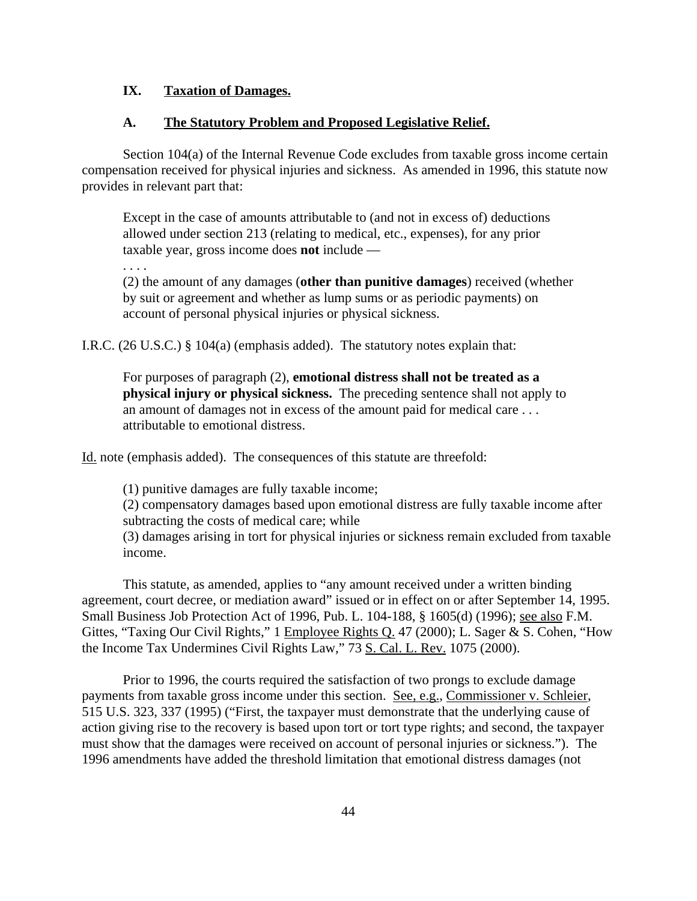### **IX. Taxation of Damages.**

#### **A. The Statutory Problem and Proposed Legislative Relief.**

Section 104(a) of the Internal Revenue Code excludes from taxable gross income certain compensation received for physical injuries and sickness. As amended in 1996, this statute now provides in relevant part that:

Except in the case of amounts attributable to (and not in excess of) deductions allowed under section 213 (relating to medical, etc., expenses), for any prior taxable year, gross income does **not** include —

. . . .

(2) the amount of any damages (**other than punitive damages**) received (whether by suit or agreement and whether as lump sums or as periodic payments) on account of personal physical injuries or physical sickness.

I.R.C. (26 U.S.C.) § 104(a) (emphasis added). The statutory notes explain that:

For purposes of paragraph (2), **emotional distress shall not be treated as a physical injury or physical sickness.** The preceding sentence shall not apply to an amount of damages not in excess of the amount paid for medical care . . . attributable to emotional distress.

Id. note (emphasis added). The consequences of this statute are threefold:

(1) punitive damages are fully taxable income;

(2) compensatory damages based upon emotional distress are fully taxable income after subtracting the costs of medical care; while

(3) damages arising in tort for physical injuries or sickness remain excluded from taxable income.

This statute, as amended, applies to "any amount received under a written binding agreement, court decree, or mediation award" issued or in effect on or after September 14, 1995. Small Business Job Protection Act of 1996, Pub. L. 104-188, § 1605(d) (1996); see also F.M. Gittes, "Taxing Our Civil Rights," 1 Employee Rights Q. 47 (2000); L. Sager & S. Cohen, "How the Income Tax Undermines Civil Rights Law," 73 S. Cal. L. Rev. 1075 (2000).

Prior to 1996, the courts required the satisfaction of two prongs to exclude damage payments from taxable gross income under this section. See, e.g., Commissioner v. Schleier, 515 U.S. 323, 337 (1995) ("First, the taxpayer must demonstrate that the underlying cause of action giving rise to the recovery is based upon tort or tort type rights; and second, the taxpayer must show that the damages were received on account of personal injuries or sickness."). The 1996 amendments have added the threshold limitation that emotional distress damages (not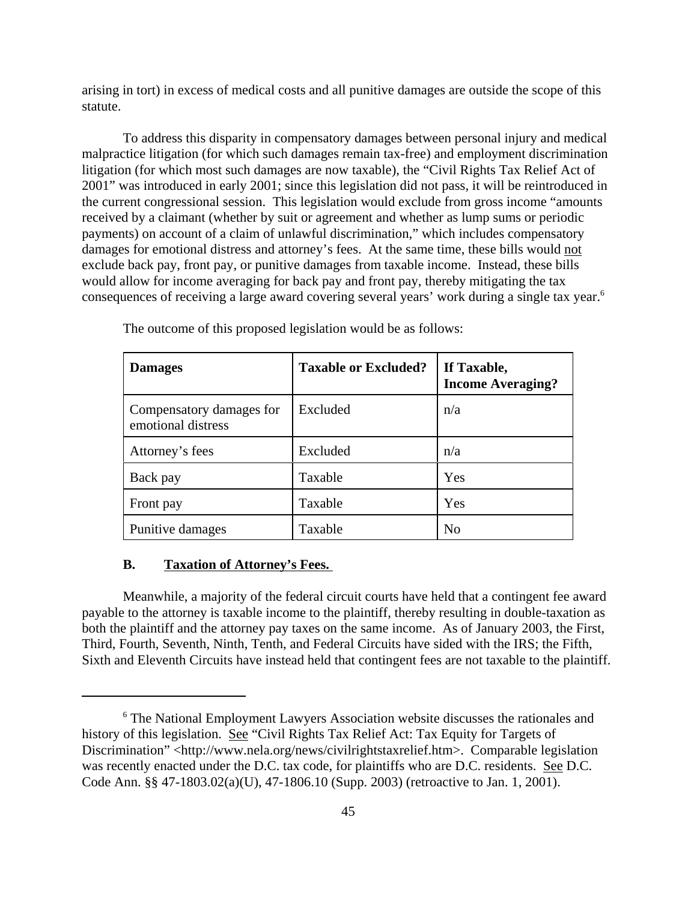arising in tort) in excess of medical costs and all punitive damages are outside the scope of this statute.

To address this disparity in compensatory damages between personal injury and medical malpractice litigation (for which such damages remain tax-free) and employment discrimination litigation (for which most such damages are now taxable), the "Civil Rights Tax Relief Act of 2001" was introduced in early 2001; since this legislation did not pass, it will be reintroduced in the current congressional session. This legislation would exclude from gross income "amounts received by a claimant (whether by suit or agreement and whether as lump sums or periodic payments) on account of a claim of unlawful discrimination," which includes compensatory damages for emotional distress and attorney's fees. At the same time, these bills would not exclude back pay, front pay, or punitive damages from taxable income. Instead, these bills would allow for income averaging for back pay and front pay, thereby mitigating the tax consequences of receiving a large award covering several years' work during a single tax year.<sup>6</sup>

| <b>Damages</b>                                 | <b>Taxable or Excluded?</b> | If Taxable,<br><b>Income Averaging?</b> |
|------------------------------------------------|-----------------------------|-----------------------------------------|
| Compensatory damages for<br>emotional distress | Excluded                    | n/a                                     |
| Attorney's fees                                | Excluded                    | n/a                                     |
| Back pay                                       | Taxable                     | Yes                                     |
| Front pay                                      | Taxable                     | Yes                                     |
| Punitive damages                               | Taxable                     | N <sub>o</sub>                          |

The outcome of this proposed legislation would be as follows:

#### **B. Taxation of Attorney's Fees.**

Meanwhile, a majority of the federal circuit courts have held that a contingent fee award payable to the attorney is taxable income to the plaintiff, thereby resulting in double-taxation as both the plaintiff and the attorney pay taxes on the same income. As of January 2003, the First, Third, Fourth, Seventh, Ninth, Tenth, and Federal Circuits have sided with the IRS; the Fifth, Sixth and Eleventh Circuits have instead held that contingent fees are not taxable to the plaintiff.

<sup>&</sup>lt;sup>6</sup> The National Employment Lawyers Association website discusses the rationales and history of this legislation. See "Civil Rights Tax Relief Act: Tax Equity for Targets of Discrimination" <http://www.nela.org/news/civilrightstaxrelief.htm>. Comparable legislation was recently enacted under the D.C. tax code, for plaintiffs who are D.C. residents. See D.C. Code Ann. §§ 47-1803.02(a)(U), 47-1806.10 (Supp. 2003) (retroactive to Jan. 1, 2001).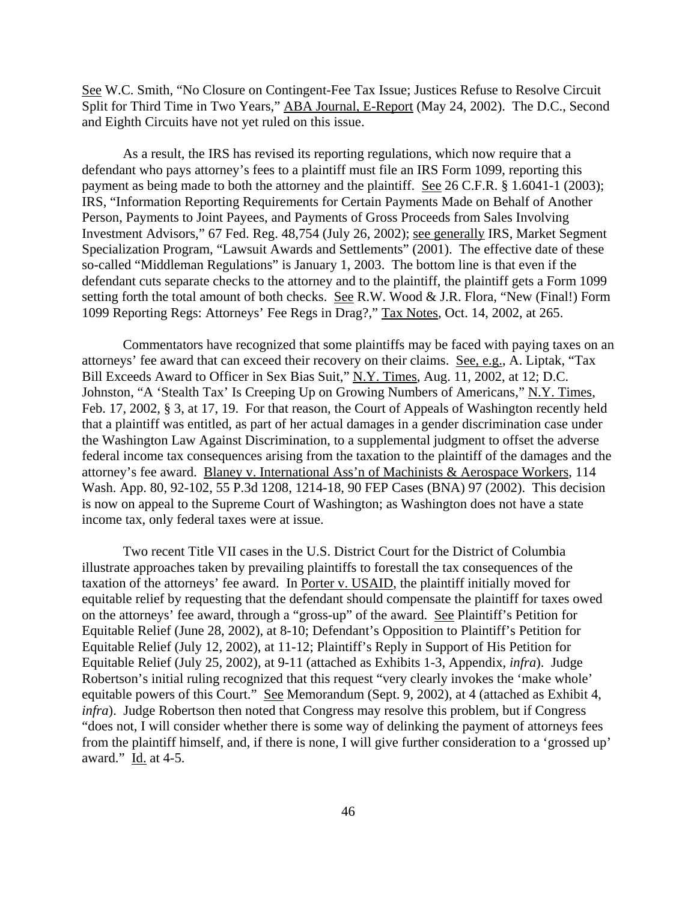See W.C. Smith, "No Closure on Contingent-Fee Tax Issue; Justices Refuse to Resolve Circuit Split for Third Time in Two Years," ABA Journal, E-Report (May 24, 2002). The D.C., Second and Eighth Circuits have not yet ruled on this issue.

As a result, the IRS has revised its reporting regulations, which now require that a defendant who pays attorney's fees to a plaintiff must file an IRS Form 1099, reporting this payment as being made to both the attorney and the plaintiff. See 26 C.F.R. § 1.6041-1 (2003); IRS, "Information Reporting Requirements for Certain Payments Made on Behalf of Another Person, Payments to Joint Payees, and Payments of Gross Proceeds from Sales Involving Investment Advisors," 67 Fed. Reg. 48,754 (July 26, 2002); see generally IRS, Market Segment Specialization Program, "Lawsuit Awards and Settlements" (2001). The effective date of these so-called "Middleman Regulations" is January 1, 2003. The bottom line is that even if the defendant cuts separate checks to the attorney and to the plaintiff, the plaintiff gets a Form 1099 setting forth the total amount of both checks. See R.W. Wood & J.R. Flora, "New (Final!) Form 1099 Reporting Regs: Attorneys' Fee Regs in Drag?," Tax Notes, Oct. 14, 2002, at 265.

Commentators have recognized that some plaintiffs may be faced with paying taxes on an attorneys' fee award that can exceed their recovery on their claims. See, e.g., A. Liptak, "Tax Bill Exceeds Award to Officer in Sex Bias Suit," N.Y. Times, Aug. 11, 2002, at 12; D.C. Johnston, "A 'Stealth Tax' Is Creeping Up on Growing Numbers of Americans," N.Y. Times, Feb. 17, 2002, § 3, at 17, 19. For that reason, the Court of Appeals of Washington recently held that a plaintiff was entitled, as part of her actual damages in a gender discrimination case under the Washington Law Against Discrimination, to a supplemental judgment to offset the adverse federal income tax consequences arising from the taxation to the plaintiff of the damages and the attorney's fee award. Blaney v. International Ass'n of Machinists & Aerospace Workers, 114 Wash. App. 80, 92-102, 55 P.3d 1208, 1214-18, 90 FEP Cases (BNA) 97 (2002). This decision is now on appeal to the Supreme Court of Washington; as Washington does not have a state income tax, only federal taxes were at issue.

Two recent Title VII cases in the U.S. District Court for the District of Columbia illustrate approaches taken by prevailing plaintiffs to forestall the tax consequences of the taxation of the attorneys' fee award. In Porter v. USAID, the plaintiff initially moved for equitable relief by requesting that the defendant should compensate the plaintiff for taxes owed on the attorneys' fee award, through a "gross-up" of the award. See Plaintiff's Petition for Equitable Relief (June 28, 2002), at 8-10; Defendant's Opposition to Plaintiff's Petition for Equitable Relief (July 12, 2002), at 11-12; Plaintiff's Reply in Support of His Petition for Equitable Relief (July 25, 2002), at 9-11 (attached as Exhibits 1-3, Appendix, *infra*). Judge Robertson's initial ruling recognized that this request "very clearly invokes the 'make whole' equitable powers of this Court." See Memorandum (Sept. 9, 2002), at 4 (attached as Exhibit 4, *infra*). Judge Robertson then noted that Congress may resolve this problem, but if Congress "does not, I will consider whether there is some way of delinking the payment of attorneys fees from the plaintiff himself, and, if there is none, I will give further consideration to a 'grossed up' award." Id. at 4-5.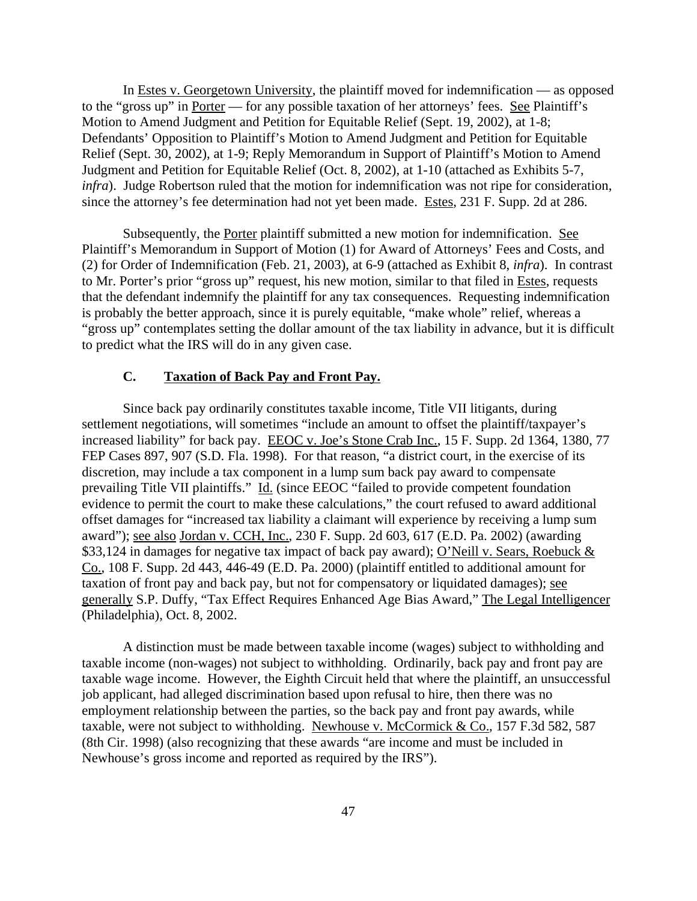In Estes v. Georgetown University, the plaintiff moved for indemnification — as opposed to the "gross up" in Porter — for any possible taxation of her attorneys' fees. See Plaintiff's Motion to Amend Judgment and Petition for Equitable Relief (Sept. 19, 2002), at 1-8; Defendants' Opposition to Plaintiff's Motion to Amend Judgment and Petition for Equitable Relief (Sept. 30, 2002), at 1-9; Reply Memorandum in Support of Plaintiff's Motion to Amend Judgment and Petition for Equitable Relief (Oct. 8, 2002), at 1-10 (attached as Exhibits 5-7, *infra*). Judge Robertson ruled that the motion for indemnification was not ripe for consideration, since the attorney's fee determination had not yet been made. Estes, 231 F. Supp. 2d at 286.

Subsequently, the Porter plaintiff submitted a new motion for indemnification. See Plaintiff's Memorandum in Support of Motion (1) for Award of Attorneys' Fees and Costs, and (2) for Order of Indemnification (Feb. 21, 2003), at 6-9 (attached as Exhibit 8, *infra*). In contrast to Mr. Porter's prior "gross up" request, his new motion, similar to that filed in Estes, requests that the defendant indemnify the plaintiff for any tax consequences. Requesting indemnification is probably the better approach, since it is purely equitable, "make whole" relief, whereas a "gross up" contemplates setting the dollar amount of the tax liability in advance, but it is difficult to predict what the IRS will do in any given case.

#### **C. Taxation of Back Pay and Front Pay.**

Since back pay ordinarily constitutes taxable income, Title VII litigants, during settlement negotiations, will sometimes "include an amount to offset the plaintiff/taxpayer's increased liability" for back pay. EEOC v. Joe's Stone Crab Inc., 15 F. Supp. 2d 1364, 1380, 77 FEP Cases 897, 907 (S.D. Fla. 1998). For that reason, "a district court, in the exercise of its discretion, may include a tax component in a lump sum back pay award to compensate prevailing Title VII plaintiffs." Id. (since EEOC "failed to provide competent foundation evidence to permit the court to make these calculations," the court refused to award additional offset damages for "increased tax liability a claimant will experience by receiving a lump sum award"); see also Jordan v. CCH, Inc., 230 F. Supp. 2d 603, 617 (E.D. Pa. 2002) (awarding \$33,124 in damages for negative tax impact of back pay award); O'Neill v. Sears, Roebuck & Co., 108 F. Supp. 2d 443, 446-49 (E.D. Pa. 2000) (plaintiff entitled to additional amount for taxation of front pay and back pay, but not for compensatory or liquidated damages); see generally S.P. Duffy, "Tax Effect Requires Enhanced Age Bias Award," The Legal Intelligencer (Philadelphia), Oct. 8, 2002.

A distinction must be made between taxable income (wages) subject to withholding and taxable income (non-wages) not subject to withholding. Ordinarily, back pay and front pay are taxable wage income. However, the Eighth Circuit held that where the plaintiff, an unsuccessful job applicant, had alleged discrimination based upon refusal to hire, then there was no employment relationship between the parties, so the back pay and front pay awards, while taxable, were not subject to withholding. Newhouse v. McCormick & Co., 157 F.3d 582, 587 (8th Cir. 1998) (also recognizing that these awards "are income and must be included in Newhouse's gross income and reported as required by the IRS").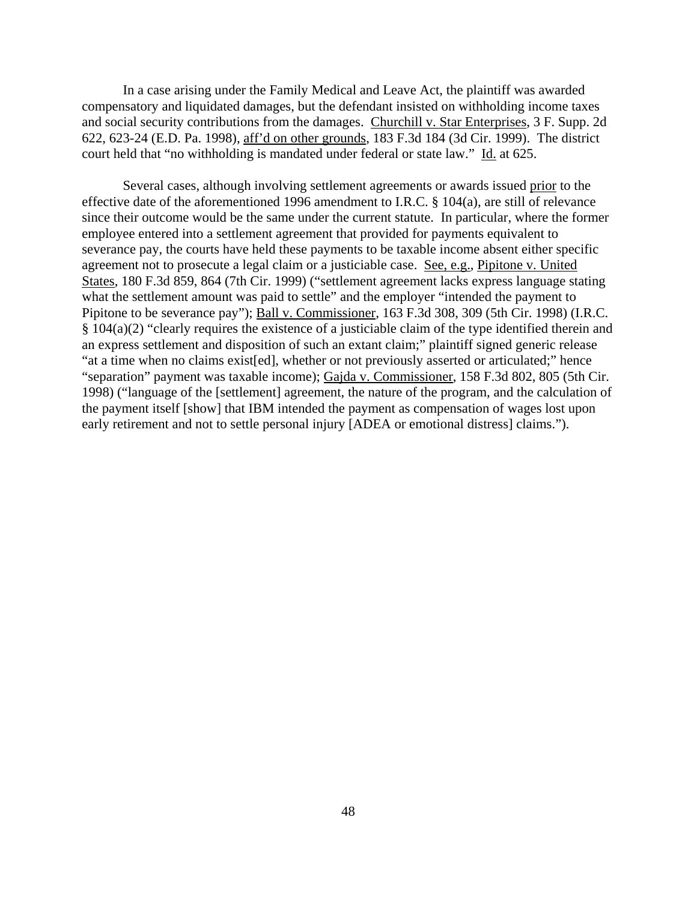In a case arising under the Family Medical and Leave Act, the plaintiff was awarded compensatory and liquidated damages, but the defendant insisted on withholding income taxes and social security contributions from the damages. Churchill v. Star Enterprises, 3 F. Supp. 2d 622, 623-24 (E.D. Pa. 1998), aff'd on other grounds, 183 F.3d 184 (3d Cir. 1999). The district court held that "no withholding is mandated under federal or state law." Id. at 625.

Several cases, although involving settlement agreements or awards issued prior to the effective date of the aforementioned 1996 amendment to I.R.C. § 104(a), are still of relevance since their outcome would be the same under the current statute. In particular, where the former employee entered into a settlement agreement that provided for payments equivalent to severance pay, the courts have held these payments to be taxable income absent either specific agreement not to prosecute a legal claim or a justiciable case. See, e.g., Pipitone v. United States, 180 F.3d 859, 864 (7th Cir. 1999) ("settlement agreement lacks express language stating what the settlement amount was paid to settle" and the employer "intended the payment to Pipitone to be severance pay"); Ball v. Commissioner, 163 F.3d 308, 309 (5th Cir. 1998) (I.R.C. § 104(a)(2) "clearly requires the existence of a justiciable claim of the type identified therein and an express settlement and disposition of such an extant claim;" plaintiff signed generic release "at a time when no claims exist[ed], whether or not previously asserted or articulated;" hence "separation" payment was taxable income); Gajda v. Commissioner, 158 F.3d 802, 805 (5th Cir. 1998) ("language of the [settlement] agreement, the nature of the program, and the calculation of the payment itself [show] that IBM intended the payment as compensation of wages lost upon early retirement and not to settle personal injury [ADEA or emotional distress] claims.").